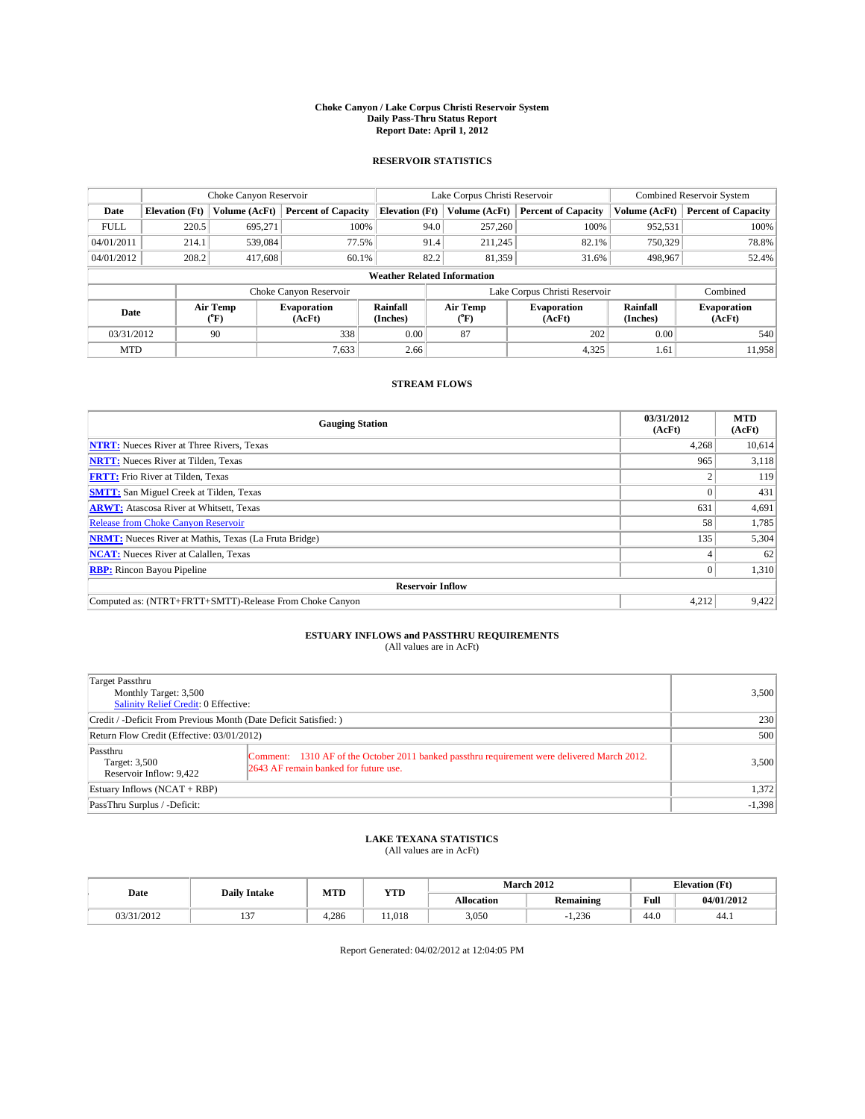### **Choke Canyon / Lake Corpus Christi Reservoir System Daily Pass-Thru Status Report Report Date: April 1, 2012**

### **RESERVOIR STATISTICS**

|             | Choke Canyon Reservoir             |                  |                              |                       | Lake Corpus Christi Reservoir | <b>Combined Reservoir System</b> |                      |                              |  |  |
|-------------|------------------------------------|------------------|------------------------------|-----------------------|-------------------------------|----------------------------------|----------------------|------------------------------|--|--|
| Date        | <b>Elevation</b> (Ft)              | Volume (AcFt)    | <b>Percent of Capacity</b>   | <b>Elevation (Ft)</b> | Volume (AcFt)                 | <b>Percent of Capacity</b>       | Volume (AcFt)        | <b>Percent of Capacity</b>   |  |  |
| <b>FULL</b> | 220.5                              | 695,271          | 100%                         | 94.0                  | 257,260                       | 100%                             | 952,531              | 100%                         |  |  |
| 04/01/2011  | 214.1                              | 539,084          | 77.5%                        | 91.4                  | 211,245                       | 82.1%                            | 750,329              | 78.8%                        |  |  |
| 04/01/2012  | 208.2                              | 417,608          | 60.1%                        | 82.2                  | 81,359                        | 31.6%                            | 498,967              | 52.4%                        |  |  |
|             | <b>Weather Related Information</b> |                  |                              |                       |                               |                                  |                      |                              |  |  |
|             |                                    |                  | Choke Canyon Reservoir       |                       | Lake Corpus Christi Reservoir |                                  |                      | Combined                     |  |  |
| Date        |                                    | Air Temp<br>(°F) | <b>Evaporation</b><br>(AcFt) | Rainfall<br>(Inches)  | Air Temp<br>(°F)              | <b>Evaporation</b><br>(AcFt)     | Rainfall<br>(Inches) | <b>Evaporation</b><br>(AcFt) |  |  |
| 03/31/2012  |                                    | 90               | 338                          | 0.00                  | 87                            | 202                              | 0.00                 | 540                          |  |  |
| <b>MTD</b>  |                                    |                  | 7.633                        | 2.66                  |                               | 4,325                            | 1.61                 | 11.958                       |  |  |

## **STREAM FLOWS**

| <b>Gauging Station</b>                                       | 03/31/2012<br>(AcFt) | <b>MTD</b><br>(AcFt) |  |  |  |  |
|--------------------------------------------------------------|----------------------|----------------------|--|--|--|--|
| <b>NTRT:</b> Nueces River at Three Rivers, Texas             | 4,268                | 10,614               |  |  |  |  |
| <b>NRTT:</b> Nueces River at Tilden, Texas                   | 965                  | 3,118                |  |  |  |  |
| <b>FRTT:</b> Frio River at Tilden, Texas                     |                      | 119                  |  |  |  |  |
| <b>SMTT:</b> San Miguel Creek at Tilden, Texas               |                      | 431                  |  |  |  |  |
| <b>ARWT:</b> Atascosa River at Whitsett, Texas               | 631                  | 4,691                |  |  |  |  |
| <b>Release from Choke Canyon Reservoir</b>                   | 58                   | 1,785                |  |  |  |  |
| <b>NRMT:</b> Nueces River at Mathis, Texas (La Fruta Bridge) | 135                  | 5,304                |  |  |  |  |
| <b>NCAT:</b> Nueces River at Calallen, Texas                 |                      | 62                   |  |  |  |  |
| <b>RBP:</b> Rincon Bayou Pipeline                            | $\Omega$             | 1,310                |  |  |  |  |
| <b>Reservoir Inflow</b>                                      |                      |                      |  |  |  |  |
| Computed as: (NTRT+FRTT+SMTT)-Release From Choke Canyon      | 4,212                | 9,422                |  |  |  |  |

# **ESTUARY INFLOWS and PASSTHRU REQUIREMENTS**<br>(All values are in AcFt)

| Target Passthru<br>Monthly Target: 3,500<br>Salinity Relief Credit: 0 Effective: |                                                                                                                                      | 3,500    |
|----------------------------------------------------------------------------------|--------------------------------------------------------------------------------------------------------------------------------------|----------|
| Credit / -Deficit From Previous Month (Date Deficit Satisfied: )                 |                                                                                                                                      | 230      |
| Return Flow Credit (Effective: 03/01/2012)                                       |                                                                                                                                      | 500      |
| Passthru<br>Target: 3,500<br>Reservoir Inflow: 9,422                             | Comment: 1310 AF of the October 2011 banked passthru requirement were delivered March 2012.<br>2643 AF remain banked for future use. | 3,500    |
| Estuary Inflows (NCAT + RBP)                                                     |                                                                                                                                      | 1,372    |
| PassThru Surplus / -Deficit:                                                     |                                                                                                                                      | $-1,398$ |

# **LAKE TEXANA STATISTICS** (All values are in AcFt)

|            | <b>Daily Intake</b> | MTD<br><b>YTD</b> |       |                   | March 2012       | <b>Elevation</b> (Ft) |            |
|------------|---------------------|-------------------|-------|-------------------|------------------|-----------------------|------------|
| Date       |                     |                   |       | <b>Allocation</b> | <b>Remaining</b> | Full                  | 04/01/2012 |
| 03/31/2012 | $\sim$<br>1 J       | 4.286             | 1.018 | 3,050             | 1.236            | 44.0                  | 44.1       |

Report Generated: 04/02/2012 at 12:04:05 PM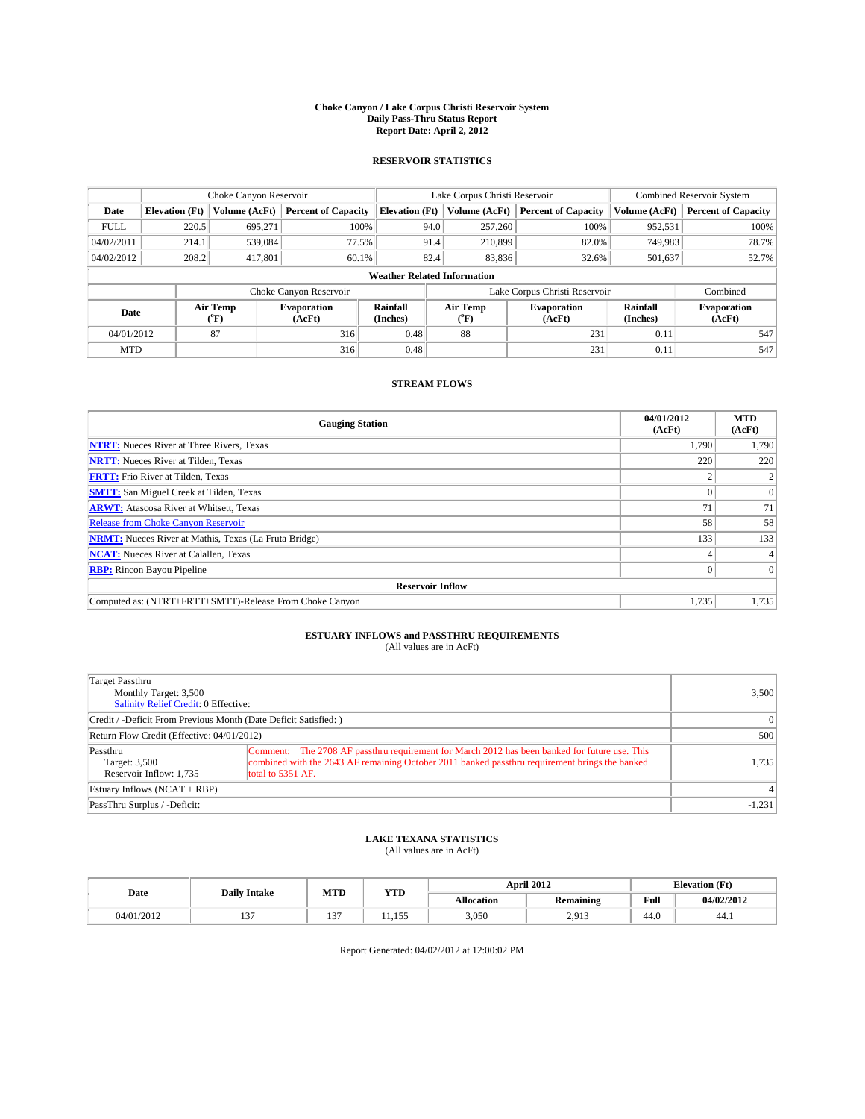### **Choke Canyon / Lake Corpus Christi Reservoir System Daily Pass-Thru Status Report Report Date: April 2, 2012**

### **RESERVOIR STATISTICS**

|             | Choke Canyon Reservoir             |                  |                              |                       | Lake Corpus Christi Reservoir | Combined Reservoir System     |                      |                              |  |  |
|-------------|------------------------------------|------------------|------------------------------|-----------------------|-------------------------------|-------------------------------|----------------------|------------------------------|--|--|
| Date        | <b>Elevation</b> (Ft)              | Volume (AcFt)    | <b>Percent of Capacity</b>   | <b>Elevation</b> (Ft) | Volume (AcFt)                 | <b>Percent of Capacity</b>    | Volume (AcFt)        | <b>Percent of Capacity</b>   |  |  |
| <b>FULL</b> | 220.5                              | 695.271          | 100%                         | 94.0                  | 257,260                       | 100%                          | 952,531              | 100%                         |  |  |
| 04/02/2011  | 214.1                              | 539,084          | 77.5%                        | 91.4                  | 210,899                       | 82.0%                         | 749,983              | 78.7%                        |  |  |
| 04/02/2012  | 208.2                              | 417,801          | 60.1%                        | 82.4                  | 83,836                        | 32.6%                         | 501,637              | 52.7%                        |  |  |
|             | <b>Weather Related Information</b> |                  |                              |                       |                               |                               |                      |                              |  |  |
|             |                                    |                  | Choke Canyon Reservoir       |                       |                               | Lake Corpus Christi Reservoir |                      | Combined                     |  |  |
| Date        |                                    | Air Temp<br>(°F) | <b>Evaporation</b><br>(AcFt) | Rainfall<br>(Inches)  | Air Temp<br>(°F)              | <b>Evaporation</b><br>(AcFt)  | Rainfall<br>(Inches) | <b>Evaporation</b><br>(AcFt) |  |  |
| 04/01/2012  |                                    | 87               | 316                          | 0.48                  | 88                            | 231                           | 0.11                 | 547                          |  |  |
| <b>MTD</b>  |                                    |                  | 316                          | 0.48                  |                               | 231                           | 0.11                 | 547                          |  |  |

### **STREAM FLOWS**

| <b>Gauging Station</b>                                       | 04/01/2012<br>(AcFt) | <b>MTD</b><br>(AcFt) |
|--------------------------------------------------------------|----------------------|----------------------|
| <b>NTRT:</b> Nueces River at Three Rivers, Texas             | 1,790                | 1,790                |
| <b>NRTT:</b> Nueces River at Tilden, Texas                   | 220                  | 220                  |
| <b>FRTT:</b> Frio River at Tilden, Texas                     |                      |                      |
| <b>SMTT:</b> San Miguel Creek at Tilden, Texas               |                      | $\overline{0}$       |
| <b>ARWT:</b> Atascosa River at Whitsett, Texas               | 71                   | 71                   |
| <b>Release from Choke Canyon Reservoir</b>                   | 58                   | 58                   |
| <b>NRMT:</b> Nueces River at Mathis, Texas (La Fruta Bridge) | 133                  | 133                  |
| <b>NCAT:</b> Nueces River at Calallen, Texas                 |                      |                      |
| <b>RBP:</b> Rincon Bayou Pipeline                            |                      | $\Omega$             |
| <b>Reservoir Inflow</b>                                      |                      |                      |
| Computed as: (NTRT+FRTT+SMTT)-Release From Choke Canyon      | 1,735                | 1,735                |

# **ESTUARY INFLOWS and PASSTHRU REQUIREMENTS**<br>(All values are in AcFt)

| Target Passthru<br>Monthly Target: 3,500<br>Salinity Relief Credit: 0 Effective: | 3,500                                                                                                                                                                                                                |          |
|----------------------------------------------------------------------------------|----------------------------------------------------------------------------------------------------------------------------------------------------------------------------------------------------------------------|----------|
| Credit / -Deficit From Previous Month (Date Deficit Satisfied: )                 | $\Omega$                                                                                                                                                                                                             |          |
| Return Flow Credit (Effective: 04/01/2012)                                       | 500                                                                                                                                                                                                                  |          |
| Passthru<br>Target: 3,500<br>Reservoir Inflow: 1,735                             | Comment: The 2708 AF passthru requirement for March 2012 has been banked for future use. This<br>combined with the 2643 AF remaining October 2011 banked passthru requirement brings the banked<br>total to 5351 AF. | 1,735    |
| Estuary Inflows $(NCAT + RBP)$                                                   |                                                                                                                                                                                                                      | $\vert$  |
| PassThru Surplus / -Deficit:                                                     |                                                                                                                                                                                                                      | $-1,231$ |

# **LAKE TEXANA STATISTICS** (All values are in AcFt)

|            | <b>Daily Intake</b> | MTD           | <b>YTD</b> |            | <b>April 2012</b>    | <b>Elevation</b> (Ft) |            |
|------------|---------------------|---------------|------------|------------|----------------------|-----------------------|------------|
| Date       |                     |               |            | Allocation | <b>Remaining</b>     | Full                  | 04/02/2012 |
| 04/01/2012 | $\sim$              | $\sim$<br>. . | 155<br>.   | 3,050      | 2012<br><b>4.713</b> | 44.0                  | 44.1       |

Report Generated: 04/02/2012 at 12:00:02 PM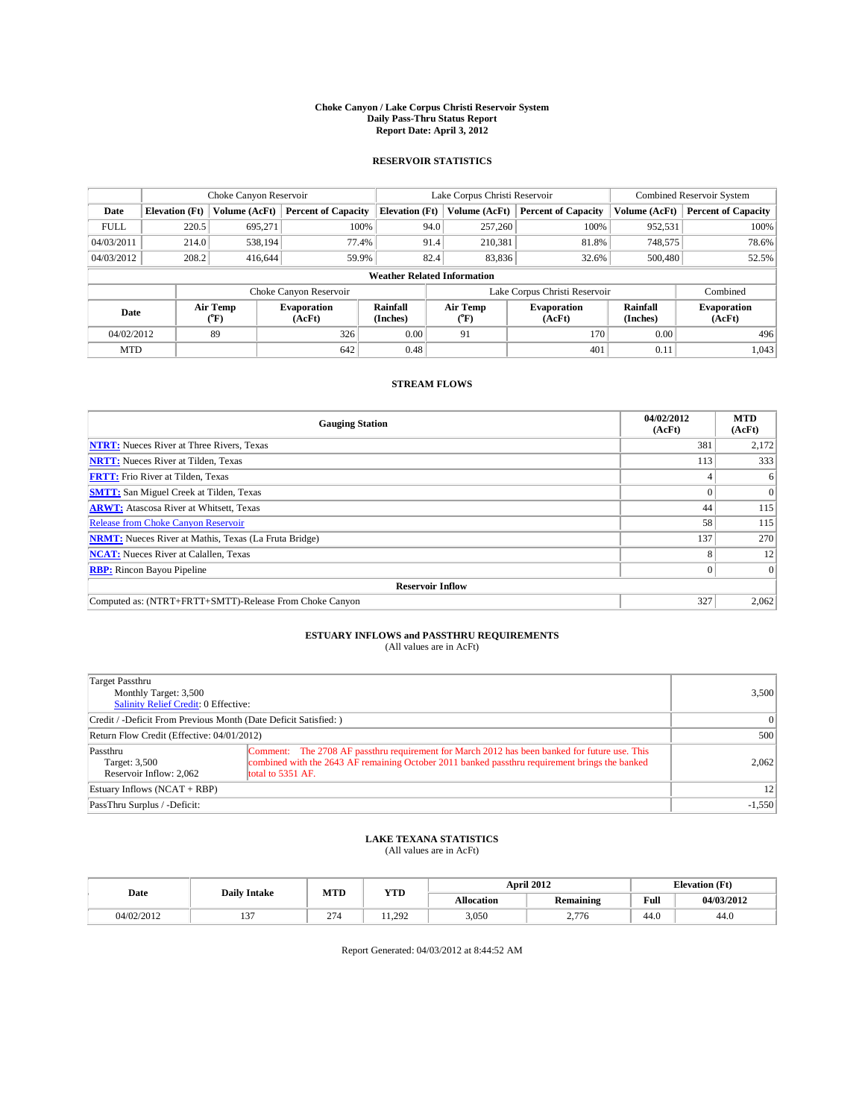### **Choke Canyon / Lake Corpus Christi Reservoir System Daily Pass-Thru Status Report Report Date: April 3, 2012**

### **RESERVOIR STATISTICS**

|             | Choke Canyon Reservoir             |                  |                              |                       | Lake Corpus Christi Reservoir | <b>Combined Reservoir System</b> |                      |                              |  |
|-------------|------------------------------------|------------------|------------------------------|-----------------------|-------------------------------|----------------------------------|----------------------|------------------------------|--|
| Date        | <b>Elevation</b> (Ft)              | Volume (AcFt)    | <b>Percent of Capacity</b>   | <b>Elevation (Ft)</b> | Volume (AcFt)                 | <b>Percent of Capacity</b>       | Volume (AcFt)        | <b>Percent of Capacity</b>   |  |
| <b>FULL</b> | 220.5                              | 695,271          | 100%                         | 94.0                  | 257,260                       | 100%                             | 952,531              | 100%                         |  |
| 04/03/2011  | 214.0                              | 538,194          | 77.4%                        | 91.4                  | 210,381                       | 81.8%                            | 748,575              | 78.6%                        |  |
| 04/03/2012  | 208.2                              | 416.644          | 59.9%                        | 82.4                  | 83,836                        | 32.6%                            | 500,480              | 52.5%                        |  |
|             | <b>Weather Related Information</b> |                  |                              |                       |                               |                                  |                      |                              |  |
|             |                                    |                  | Choke Canyon Reservoir       |                       | Lake Corpus Christi Reservoir |                                  |                      | Combined                     |  |
| Date        |                                    | Air Temp<br>(°F) | <b>Evaporation</b><br>(AcFt) | Rainfall<br>(Inches)  | Air Temp<br>(°F)              | <b>Evaporation</b><br>(AcFt)     | Rainfall<br>(Inches) | <b>Evaporation</b><br>(AcFt) |  |
| 04/02/2012  |                                    | 89               | 326                          | 0.00                  | 91                            | 170                              | 0.00                 | 496                          |  |
| <b>MTD</b>  |                                    |                  | 642                          | 0.48                  |                               | 401                              | 0.11                 | 1,043                        |  |

### **STREAM FLOWS**

| <b>Gauging Station</b>                                       | 04/02/2012<br>(AcFt) | <b>MTD</b><br>(AcFt) |  |  |  |  |
|--------------------------------------------------------------|----------------------|----------------------|--|--|--|--|
| <b>NTRT:</b> Nueces River at Three Rivers, Texas             | 381                  | 2,172                |  |  |  |  |
| <b>NRTT:</b> Nueces River at Tilden, Texas                   | 113                  | 333                  |  |  |  |  |
| <b>FRTT:</b> Frio River at Tilden, Texas                     |                      | 6                    |  |  |  |  |
| <b>SMTT:</b> San Miguel Creek at Tilden, Texas               |                      | $\Omega$             |  |  |  |  |
| <b>ARWT:</b> Atascosa River at Whitsett, Texas               | 44                   | 115                  |  |  |  |  |
| <b>Release from Choke Canyon Reservoir</b>                   | 58                   | 115                  |  |  |  |  |
| <b>NRMT:</b> Nueces River at Mathis, Texas (La Fruta Bridge) | 137                  | 270                  |  |  |  |  |
| <b>NCAT:</b> Nueces River at Calallen, Texas                 | 8                    | 12                   |  |  |  |  |
| <b>RBP:</b> Rincon Bayou Pipeline                            | $\Omega$             | $\Omega$             |  |  |  |  |
| <b>Reservoir Inflow</b>                                      |                      |                      |  |  |  |  |
| Computed as: (NTRT+FRTT+SMTT)-Release From Choke Canyon      | 327                  | 2,062                |  |  |  |  |

# **ESTUARY INFLOWS and PASSTHRU REQUIREMENTS**<br>(All values are in AcFt)

| Target Passthru<br>Monthly Target: 3,500<br>Salinity Relief Credit: 0 Effective: |                                                                                                                                                                                                                      | 3,500     |
|----------------------------------------------------------------------------------|----------------------------------------------------------------------------------------------------------------------------------------------------------------------------------------------------------------------|-----------|
| Credit / -Deficit From Previous Month (Date Deficit Satisfied: )                 |                                                                                                                                                                                                                      | $\vert$ 0 |
| Return Flow Credit (Effective: 04/01/2012)                                       | 500                                                                                                                                                                                                                  |           |
| Passthru<br>Target: 3,500<br>Reservoir Inflow: 2.062                             | Comment: The 2708 AF passthru requirement for March 2012 has been banked for future use. This<br>combined with the 2643 AF remaining October 2011 banked passthru requirement brings the banked<br>total to 5351 AF. | 2,062     |
| Estuary Inflows (NCAT + RBP)                                                     |                                                                                                                                                                                                                      | 12        |
| PassThru Surplus / -Deficit:                                                     |                                                                                                                                                                                                                      | $-1,550$  |

# **LAKE TEXANA STATISTICS** (All values are in AcFt)

|            | <b>Daily Intake</b> | MTD | <b>YTD</b> |                   | <b>April 2012</b> | <b>Elevation</b> (Ft) |            |
|------------|---------------------|-----|------------|-------------------|-------------------|-----------------------|------------|
| Date       |                     |     |            | <b>Allocation</b> | Remaining         | Full                  | 04/03/2012 |
| 04/02/2012 | $\sim$              | 274 | 11.292     | 3.050             | 2.776             | 44.0                  | 44.0       |

Report Generated: 04/03/2012 at 8:44:52 AM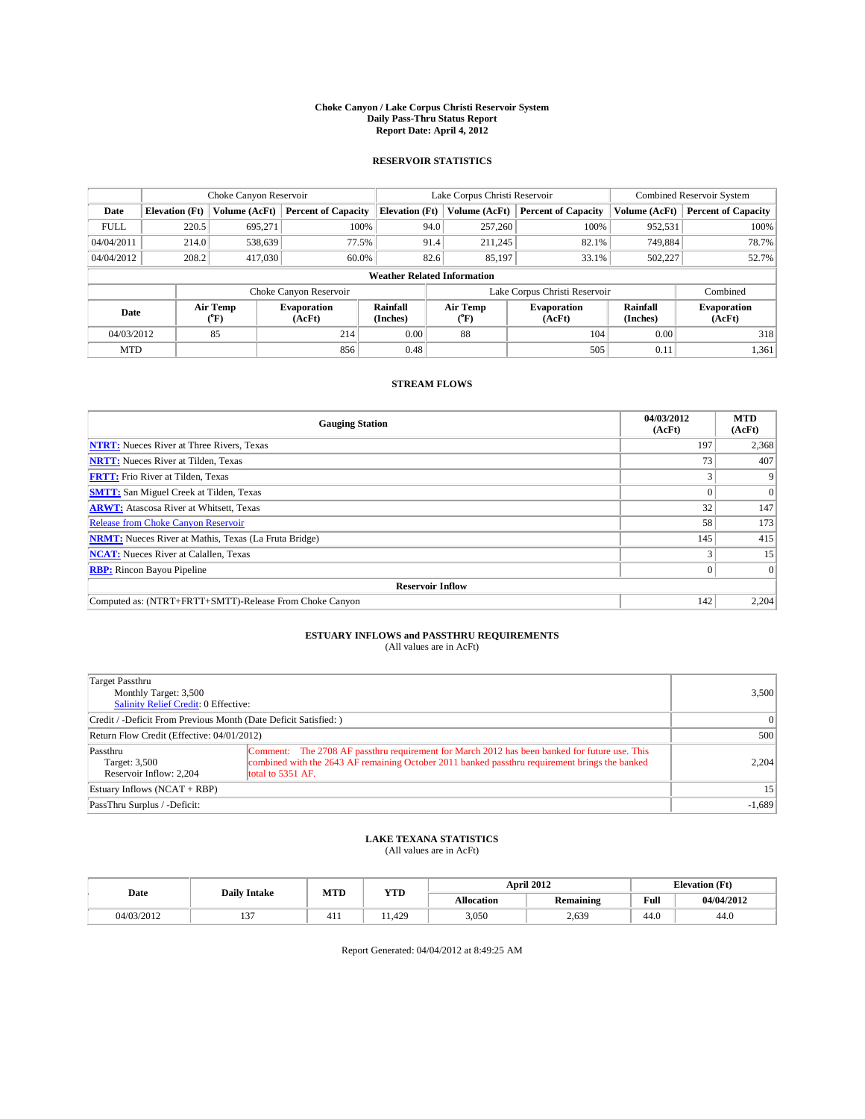### **Choke Canyon / Lake Corpus Christi Reservoir System Daily Pass-Thru Status Report Report Date: April 4, 2012**

### **RESERVOIR STATISTICS**

|             | Choke Canyon Reservoir             |                  |                              |                       | Lake Corpus Christi Reservoir | <b>Combined Reservoir System</b> |                      |                              |  |  |
|-------------|------------------------------------|------------------|------------------------------|-----------------------|-------------------------------|----------------------------------|----------------------|------------------------------|--|--|
| Date        | <b>Elevation</b> (Ft)              | Volume (AcFt)    | <b>Percent of Capacity</b>   | <b>Elevation (Ft)</b> | Volume (AcFt)                 | <b>Percent of Capacity</b>       | Volume (AcFt)        | <b>Percent of Capacity</b>   |  |  |
| <b>FULL</b> | 220.5                              | 695.271          | 100%                         | 94.0                  | 257,260                       | 100%                             | 952,531              | 100%                         |  |  |
| 04/04/2011  | 214.0                              | 538,639          | 77.5%                        | 91.4                  | 211,245                       | 82.1%                            | 749,884              | 78.7%                        |  |  |
| 04/04/2012  | 208.2                              | 417,030          | 60.0%                        | 82.6                  | 85,197                        | 33.1%                            | 502,227              | 52.7%                        |  |  |
|             | <b>Weather Related Information</b> |                  |                              |                       |                               |                                  |                      |                              |  |  |
|             |                                    |                  | Choke Canyon Reservoir       |                       |                               | Lake Corpus Christi Reservoir    |                      | Combined                     |  |  |
| Date        |                                    | Air Temp<br>(°F) | <b>Evaporation</b><br>(AcFt) | Rainfall<br>(Inches)  | Air Temp<br>(°F)              | <b>Evaporation</b><br>(AcFt)     | Rainfall<br>(Inches) | <b>Evaporation</b><br>(AcFt) |  |  |
| 04/03/2012  |                                    | 85               | 214                          | 0.00                  | 88                            | 104                              | 0.00                 | 318                          |  |  |
| <b>MTD</b>  |                                    |                  | 856                          | 0.48                  |                               | 505                              | 0.11                 | 1,361                        |  |  |

### **STREAM FLOWS**

| <b>Gauging Station</b>                                       | 04/03/2012<br>(AcFt) | <b>MTD</b><br>(AcFt) |
|--------------------------------------------------------------|----------------------|----------------------|
| <b>NTRT:</b> Nueces River at Three Rivers, Texas             | 197                  | 2,368                |
| <b>NRTT:</b> Nueces River at Tilden, Texas                   | 73                   | 407                  |
| <b>FRTT:</b> Frio River at Tilden, Texas                     |                      |                      |
| <b>SMTT:</b> San Miguel Creek at Tilden, Texas               |                      | $\Omega$             |
| <b>ARWT:</b> Atascosa River at Whitsett, Texas               | 32                   | 147                  |
| Release from Choke Canyon Reservoir                          | 58                   | 173                  |
| <b>NRMT:</b> Nueces River at Mathis, Texas (La Fruta Bridge) | 145                  | 415                  |
| <b>NCAT:</b> Nueces River at Calallen, Texas                 |                      | 15                   |
| <b>RBP:</b> Rincon Bayou Pipeline                            | 0                    | $\Omega$             |
| <b>Reservoir Inflow</b>                                      |                      |                      |
| Computed as: (NTRT+FRTT+SMTT)-Release From Choke Canyon      | 142                  | 2,204                |

# **ESTUARY INFLOWS and PASSTHRU REQUIREMENTS**<br>(All values are in AcFt)

| Target Passthru<br>Monthly Target: 3,500<br>Salinity Relief Credit: 0 Effective: |                                                                                                                                                                                                                      | 3,500           |
|----------------------------------------------------------------------------------|----------------------------------------------------------------------------------------------------------------------------------------------------------------------------------------------------------------------|-----------------|
| Credit / -Deficit From Previous Month (Date Deficit Satisfied: )                 |                                                                                                                                                                                                                      | $\vert$ 0       |
| Return Flow Credit (Effective: 04/01/2012)                                       |                                                                                                                                                                                                                      | 500             |
| Passthru<br>Target: 3,500<br>Reservoir Inflow: 2.204                             | Comment: The 2708 AF passthru requirement for March 2012 has been banked for future use. This<br>combined with the 2643 AF remaining October 2011 banked passthru requirement brings the banked<br>total to 5351 AF. | 2,204           |
| Estuary Inflows (NCAT + RBP)                                                     |                                                                                                                                                                                                                      | 15 <sup>2</sup> |
| PassThru Surplus / -Deficit:                                                     |                                                                                                                                                                                                                      | $-1,689$        |

# **LAKE TEXANA STATISTICS** (All values are in AcFt)

|            | <b>Daily Intake</b> | MTD | <b>YTD</b> |                   | <b>April 2012</b> |      | <b>Elevation</b> (Ft) |
|------------|---------------------|-----|------------|-------------------|-------------------|------|-----------------------|
| Date       |                     |     |            | <b>Allocation</b> | Remaining         | Full | 04/04/2012            |
| 04/03/2012 | $\sim$              | +11 | .1.429     | 3,050             | 2.639             | 44.0 | 44.0                  |

Report Generated: 04/04/2012 at 8:49:25 AM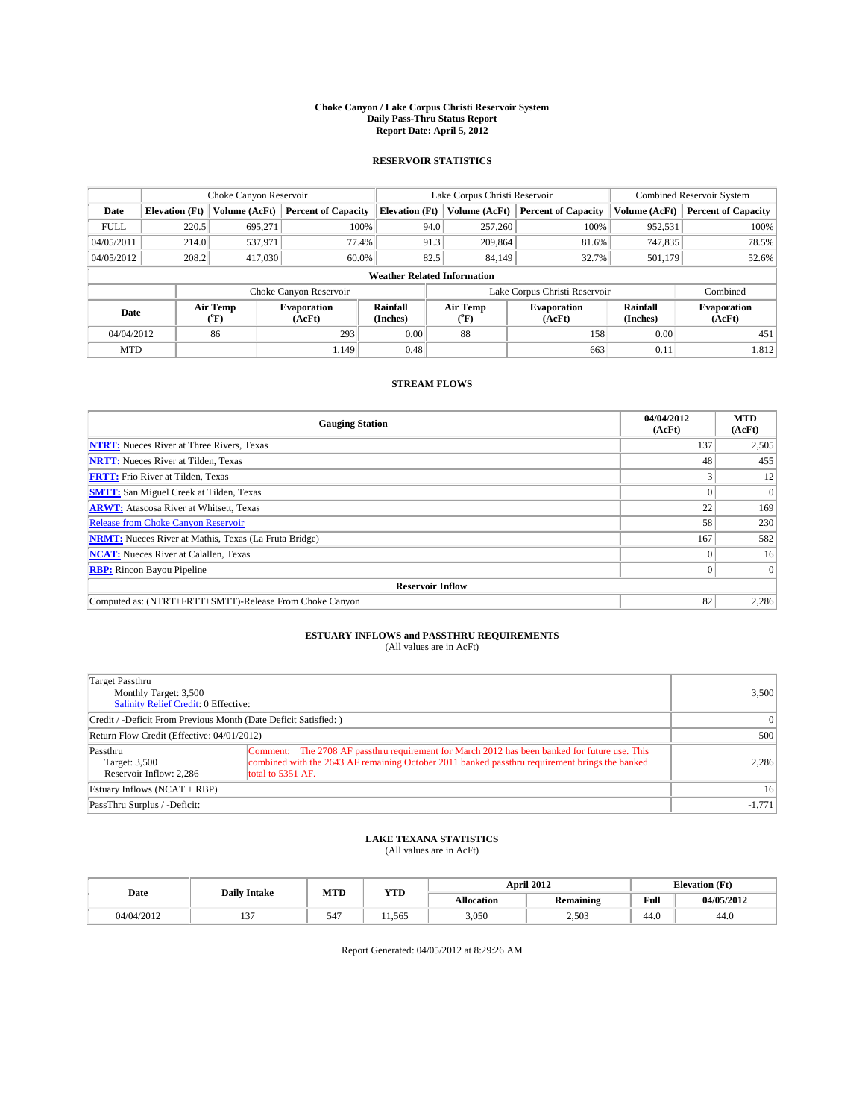### **Choke Canyon / Lake Corpus Christi Reservoir System Daily Pass-Thru Status Report Report Date: April 5, 2012**

### **RESERVOIR STATISTICS**

|             | Choke Canyon Reservoir             |                  |                              |                       | Lake Corpus Christi Reservoir | Combined Reservoir System     |                      |                              |  |  |
|-------------|------------------------------------|------------------|------------------------------|-----------------------|-------------------------------|-------------------------------|----------------------|------------------------------|--|--|
| Date        | <b>Elevation</b> (Ft)              | Volume (AcFt)    | <b>Percent of Capacity</b>   | <b>Elevation (Ft)</b> | Volume (AcFt)                 | <b>Percent of Capacity</b>    | Volume (AcFt)        | <b>Percent of Capacity</b>   |  |  |
| <b>FULL</b> | 220.5                              | 695.271          | 100%                         | 94.0                  | 257,260                       | 100%                          | 952,531              | 100%                         |  |  |
| 04/05/2011  | 214.0                              | 537,971          | 77.4%                        | 91.3                  | 209,864                       | 81.6%                         | 747,835              | 78.5%                        |  |  |
| 04/05/2012  | 208.2                              | 417,030          | 60.0%                        | 82.5                  | 84,149                        | 32.7%                         | 501,179              | 52.6%                        |  |  |
|             | <b>Weather Related Information</b> |                  |                              |                       |                               |                               |                      |                              |  |  |
|             |                                    |                  | Choke Canyon Reservoir       |                       |                               | Lake Corpus Christi Reservoir |                      | Combined                     |  |  |
| Date        |                                    | Air Temp<br>(°F) | <b>Evaporation</b><br>(AcFt) | Rainfall<br>(Inches)  | Air Temp<br>(°F)              | <b>Evaporation</b><br>(AcFt)  | Rainfall<br>(Inches) | <b>Evaporation</b><br>(AcFt) |  |  |
| 04/04/2012  |                                    | 86               | 293                          | 0.00                  | 88                            | 158                           | 0.00                 | 451                          |  |  |
| <b>MTD</b>  |                                    |                  | 1.149                        | 0.48                  |                               | 663                           | 0.11                 | 1,812                        |  |  |

## **STREAM FLOWS**

| <b>Gauging Station</b>                                       | 04/04/2012<br>(AcFt) | <b>MTD</b><br>(AcFt) |
|--------------------------------------------------------------|----------------------|----------------------|
| <b>NTRT:</b> Nueces River at Three Rivers, Texas             | 137                  | 2,505                |
| <b>NRTT:</b> Nueces River at Tilden, Texas                   | 48                   | 455                  |
| <b>FRTT:</b> Frio River at Tilden, Texas                     | o                    | 12                   |
| <b>SMTT:</b> San Miguel Creek at Tilden, Texas               |                      | $\Omega$             |
| <b>ARWT:</b> Atascosa River at Whitsett, Texas               | 22                   | 169                  |
| <b>Release from Choke Canyon Reservoir</b>                   | 58                   | 230                  |
| <b>NRMT:</b> Nueces River at Mathis, Texas (La Fruta Bridge) | 167                  | 582                  |
| <b>NCAT:</b> Nueces River at Calallen, Texas                 |                      | 16                   |
| <b>RBP:</b> Rincon Bayou Pipeline                            | $\Omega$             | $\Omega$             |
| <b>Reservoir Inflow</b>                                      |                      |                      |
| Computed as: (NTRT+FRTT+SMTT)-Release From Choke Canyon      | 82                   | 2,286                |

# **ESTUARY INFLOWS and PASSTHRU REQUIREMENTS**<br>(All values are in AcFt)

| Target Passthru<br>Monthly Target: 3,500<br>Salinity Relief Credit: 0 Effective: |                                                                                                                                                                                                                      | 3,500           |
|----------------------------------------------------------------------------------|----------------------------------------------------------------------------------------------------------------------------------------------------------------------------------------------------------------------|-----------------|
| Credit / -Deficit From Previous Month (Date Deficit Satisfied: )                 |                                                                                                                                                                                                                      | $\vert$ 0       |
| Return Flow Credit (Effective: 04/01/2012)                                       |                                                                                                                                                                                                                      | 500             |
| Passthru<br>Target: 3,500<br>Reservoir Inflow: 2.286                             | Comment: The 2708 AF passthru requirement for March 2012 has been banked for future use. This<br>combined with the 2643 AF remaining October 2011 banked passthru requirement brings the banked<br>total to 5351 AF. | 2,286           |
| Estuary Inflows (NCAT + RBP)                                                     |                                                                                                                                                                                                                      | 16 <sup>1</sup> |
| PassThru Surplus / -Deficit:                                                     |                                                                                                                                                                                                                      | $-1,771$        |

# **LAKE TEXANA STATISTICS** (All values are in AcFt)

|            | <b>Daily Intake</b> | MTD             | <b>YTD</b> |                   | <b>April 2012</b> |      | <b>Elevation</b> (Ft) |
|------------|---------------------|-----------------|------------|-------------------|-------------------|------|-----------------------|
| Date       |                     |                 |            | <b>Allocation</b> | Remaining         | Full | 04/05/2012            |
| 04/04/2012 | $\sim$              | 54 <sup>7</sup> | 11.565     | 3.050             | 2,503             | 44.0 | 44.0                  |

Report Generated: 04/05/2012 at 8:29:26 AM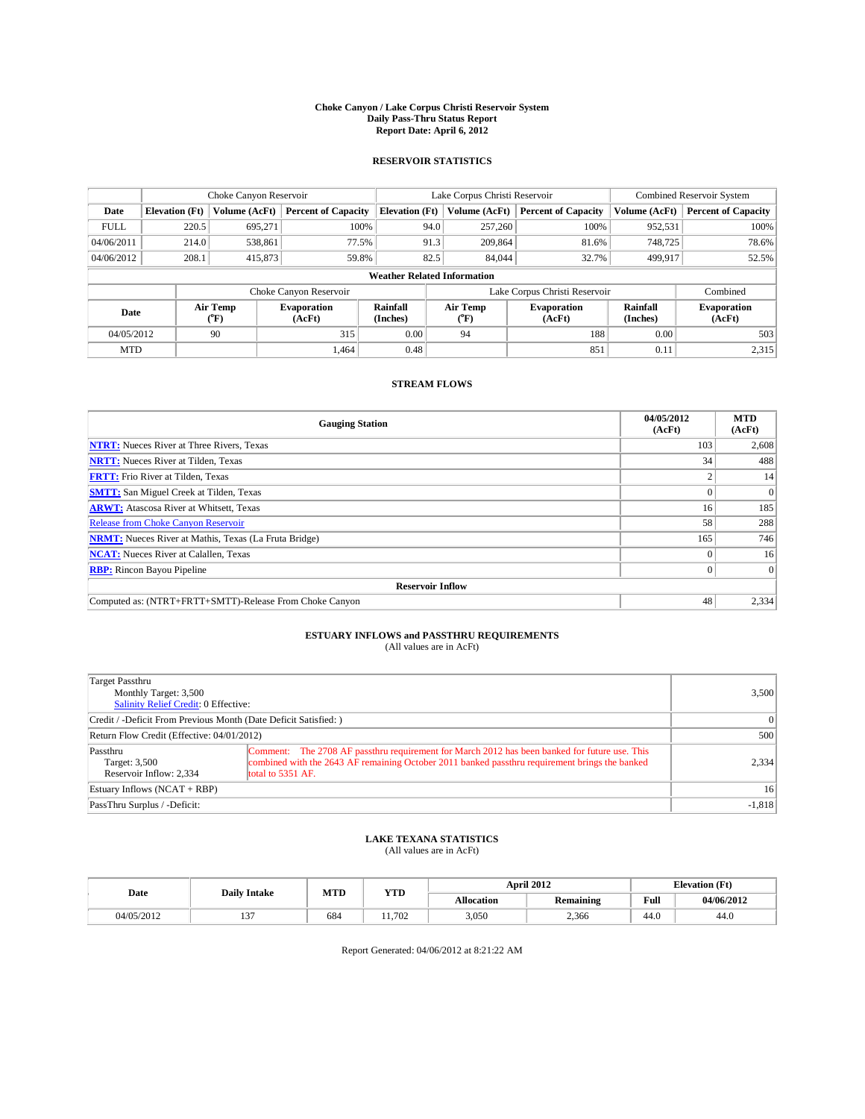### **Choke Canyon / Lake Corpus Christi Reservoir System Daily Pass-Thru Status Report Report Date: April 6, 2012**

### **RESERVOIR STATISTICS**

|             | Choke Canyon Reservoir             |                  |                              |                       | Lake Corpus Christi Reservoir |                               |                      | <b>Combined Reservoir System</b> |  |  |
|-------------|------------------------------------|------------------|------------------------------|-----------------------|-------------------------------|-------------------------------|----------------------|----------------------------------|--|--|
| Date        | <b>Elevation</b> (Ft)              | Volume (AcFt)    | <b>Percent of Capacity</b>   | <b>Elevation (Ft)</b> | Volume (AcFt)                 | <b>Percent of Capacity</b>    | Volume (AcFt)        | <b>Percent of Capacity</b>       |  |  |
| <b>FULL</b> | 220.5                              | 695.271          | 100%                         | 94.0                  | 257,260                       | 100%                          | 952,531              | 100%                             |  |  |
| 04/06/2011  | 214.0                              | 538,861          | 77.5%                        | 91.3                  | 209,864                       | 81.6%                         | 748,725              | 78.6%                            |  |  |
| 04/06/2012  | 208.1                              | 415,873          | 59.8%                        | 82.5                  | 84,044                        | 32.7%                         | 499,917              | 52.5%                            |  |  |
|             | <b>Weather Related Information</b> |                  |                              |                       |                               |                               |                      |                                  |  |  |
|             |                                    |                  | Choke Canyon Reservoir       |                       |                               | Lake Corpus Christi Reservoir |                      | Combined                         |  |  |
| Date        |                                    | Air Temp<br>(°F) | <b>Evaporation</b><br>(AcFt) | Rainfall<br>(Inches)  | Air Temp<br>$(^{0}F)$         | <b>Evaporation</b><br>(AcFt)  | Rainfall<br>(Inches) | <b>Evaporation</b><br>(AcFt)     |  |  |
| 04/05/2012  |                                    | 90               | 315                          | 0.00                  | 94                            | 188                           | 0.00                 | 503                              |  |  |
| <b>MTD</b>  |                                    |                  | 1.464                        | 0.48                  |                               | 851                           | 0.11                 | 2,315                            |  |  |

## **STREAM FLOWS**

| <b>Gauging Station</b>                                       | 04/05/2012<br>(AcFt) | <b>MTD</b><br>(AcFt) |
|--------------------------------------------------------------|----------------------|----------------------|
| <b>NTRT:</b> Nueces River at Three Rivers, Texas             | 103                  | 2,608                |
| <b>NRTT:</b> Nueces River at Tilden, Texas                   | 34                   | 488                  |
| <b>FRTT:</b> Frio River at Tilden, Texas                     |                      | 14                   |
| <b>SMTT:</b> San Miguel Creek at Tilden, Texas               |                      | $\overline{0}$       |
| <b>ARWT:</b> Atascosa River at Whitsett, Texas               | 16                   | 185                  |
| <b>Release from Choke Canyon Reservoir</b>                   | 58                   | 288                  |
| <b>NRMT:</b> Nueces River at Mathis, Texas (La Fruta Bridge) | 165                  | 746                  |
| <b>NCAT:</b> Nueces River at Calallen, Texas                 |                      | 16                   |
| <b>RBP:</b> Rincon Bayou Pipeline                            | 0                    | $\Omega$             |
| <b>Reservoir Inflow</b>                                      |                      |                      |
| Computed as: (NTRT+FRTT+SMTT)-Release From Choke Canyon      | 48                   | 2,334                |

# **ESTUARY INFLOWS and PASSTHRU REQUIREMENTS**<br>(All values are in AcFt)

| Target Passthru<br>Monthly Target: 3,500<br>Salinity Relief Credit: 0 Effective: |                                                                                                                                                                                                                      | 3,500           |
|----------------------------------------------------------------------------------|----------------------------------------------------------------------------------------------------------------------------------------------------------------------------------------------------------------------|-----------------|
| Credit / -Deficit From Previous Month (Date Deficit Satisfied: )                 |                                                                                                                                                                                                                      | $\vert$ 0       |
| Return Flow Credit (Effective: 04/01/2012)                                       |                                                                                                                                                                                                                      | 500             |
| Passthru<br>Target: 3,500<br>Reservoir Inflow: 2.334                             | Comment: The 2708 AF passthru requirement for March 2012 has been banked for future use. This<br>combined with the 2643 AF remaining October 2011 banked passthru requirement brings the banked<br>total to 5351 AF. | 2,334           |
| Estuary Inflows (NCAT + RBP)                                                     |                                                                                                                                                                                                                      | 16 <sup>1</sup> |
| PassThru Surplus / -Deficit:                                                     |                                                                                                                                                                                                                      | $-1,818$        |

# **LAKE TEXANA STATISTICS** (All values are in AcFt)

|            | <b>Daily Intake</b> | MTD | <b>YTD</b> |                   | <b>April 2012</b> |      | <b>Elevation</b> (Ft) |
|------------|---------------------|-----|------------|-------------------|-------------------|------|-----------------------|
| Date       |                     |     |            | <b>Allocation</b> | Remaining         | Full | 04/06/2012            |
| 04/05/2012 | $\sim$              | 684 | 11.702     | 3.050             | 2,366             | 44.0 | 44.0                  |

Report Generated: 04/06/2012 at 8:21:22 AM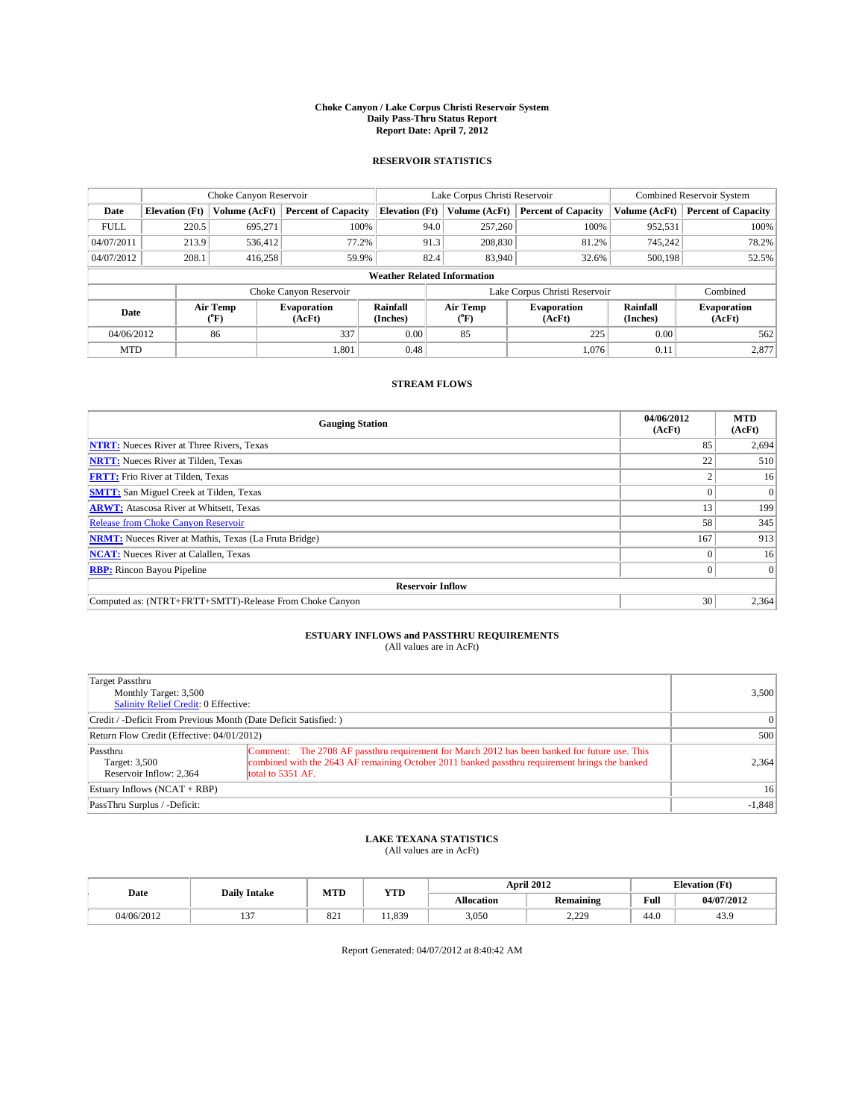### **Choke Canyon / Lake Corpus Christi Reservoir System Daily Pass-Thru Status Report Report Date: April 7, 2012**

### **RESERVOIR STATISTICS**

|                                    | Choke Canyon Reservoir |                  |                              |                       | Lake Corpus Christi Reservoir |                              |                      | Combined Reservoir System    |  |
|------------------------------------|------------------------|------------------|------------------------------|-----------------------|-------------------------------|------------------------------|----------------------|------------------------------|--|
| Date                               | <b>Elevation</b> (Ft)  | Volume (AcFt)    | <b>Percent of Capacity</b>   | <b>Elevation (Ft)</b> | Volume (AcFt)                 | <b>Percent of Capacity</b>   | Volume (AcFt)        | <b>Percent of Capacity</b>   |  |
| <b>FULL</b>                        | 220.5                  | 695,271          | 100%                         |                       | 257,260<br>94.0               | 100%                         | 952,531              | 100%                         |  |
| 04/07/2011                         | 213.9                  | 536,412          | 77.2%                        |                       | 208,830<br>91.3               | 81.2%                        | 745,242              | 78.2%                        |  |
| 04/07/2012                         | 208.1                  | 416.258          | 59.9%                        | 82.4                  | 83,940                        | 32.6%                        | 500,198              | 52.5%                        |  |
| <b>Weather Related Information</b> |                        |                  |                              |                       |                               |                              |                      |                              |  |
|                                    |                        |                  | Choke Canyon Reservoir       |                       | Lake Corpus Christi Reservoir |                              |                      | Combined                     |  |
| Date                               |                        | Air Temp<br>(°F) | <b>Evaporation</b><br>(AcFt) | Rainfall<br>(Inches)  | Air Temp<br>$(^{0}F)$         | <b>Evaporation</b><br>(AcFt) | Rainfall<br>(Inches) | <b>Evaporation</b><br>(AcFt) |  |
| 04/06/2012                         |                        | 86               | 337                          | 0.00                  | 85                            | 225                          | 0.00                 | 562                          |  |
| <b>MTD</b>                         |                        |                  | 1,801                        | 0.48                  |                               | 1,076                        | 0.11                 | 2,877                        |  |

### **STREAM FLOWS**

| <b>Gauging Station</b>                                       | 04/06/2012<br>(AcFt) | <b>MTD</b><br>(AcFt) |
|--------------------------------------------------------------|----------------------|----------------------|
| <b>NTRT:</b> Nueces River at Three Rivers, Texas             | 85                   | 2,694                |
| <b>NRTT:</b> Nueces River at Tilden, Texas                   | 22                   | 510                  |
| <b>FRTT:</b> Frio River at Tilden, Texas                     |                      | 16                   |
| <b>SMTT:</b> San Miguel Creek at Tilden, Texas               |                      | $\overline{0}$       |
| <b>ARWT:</b> Atascosa River at Whitsett, Texas               | 13                   | 199                  |
| <b>Release from Choke Canyon Reservoir</b>                   | 58                   | 345                  |
| <b>NRMT:</b> Nueces River at Mathis, Texas (La Fruta Bridge) | 167                  | 913                  |
| <b>NCAT:</b> Nueces River at Calallen, Texas                 |                      | 16                   |
| <b>RBP:</b> Rincon Bayou Pipeline                            | 0                    | $\Omega$             |
| <b>Reservoir Inflow</b>                                      |                      |                      |
| Computed as: (NTRT+FRTT+SMTT)-Release From Choke Canyon      | 30                   | 2,364                |

# **ESTUARY INFLOWS and PASSTHRU REQUIREMENTS**<br>(All values are in AcFt)

| Target Passthru<br>Monthly Target: 3,500<br>Salinity Relief Credit: 0 Effective: |                                                                                                                                                                                                                      | 3,500           |
|----------------------------------------------------------------------------------|----------------------------------------------------------------------------------------------------------------------------------------------------------------------------------------------------------------------|-----------------|
| Credit / -Deficit From Previous Month (Date Deficit Satisfied: )                 |                                                                                                                                                                                                                      | $\vert$ 0       |
| Return Flow Credit (Effective: 04/01/2012)                                       | 500                                                                                                                                                                                                                  |                 |
| Passthru<br>Target: 3,500<br>Reservoir Inflow: 2.364                             | Comment: The 2708 AF passthru requirement for March 2012 has been banked for future use. This<br>combined with the 2643 AF remaining October 2011 banked passthru requirement brings the banked<br>total to 5351 AF. | 2,364           |
| Estuary Inflows (NCAT + RBP)                                                     |                                                                                                                                                                                                                      | 16 <sup>1</sup> |
| PassThru Surplus / -Deficit:                                                     |                                                                                                                                                                                                                      | $-1,848$        |

# **LAKE TEXANA STATISTICS** (All values are in AcFt)

| Date |            | <b>Daily Intake</b>      | MTD | <b>YTD</b> |            | <b>April 2012</b> |      | <b>Elevation</b> (Ft) |
|------|------------|--------------------------|-----|------------|------------|-------------------|------|-----------------------|
|      |            |                          |     |            | Allocation | <b>Remaining</b>  | Full | 04/07/2012            |
|      | 04/06/2012 | $\sim$<br>$\overline{ }$ | 821 | . 1.839    | 3,050      | ാറ<br><u>____</u> | 44.0 | 43.9                  |

Report Generated: 04/07/2012 at 8:40:42 AM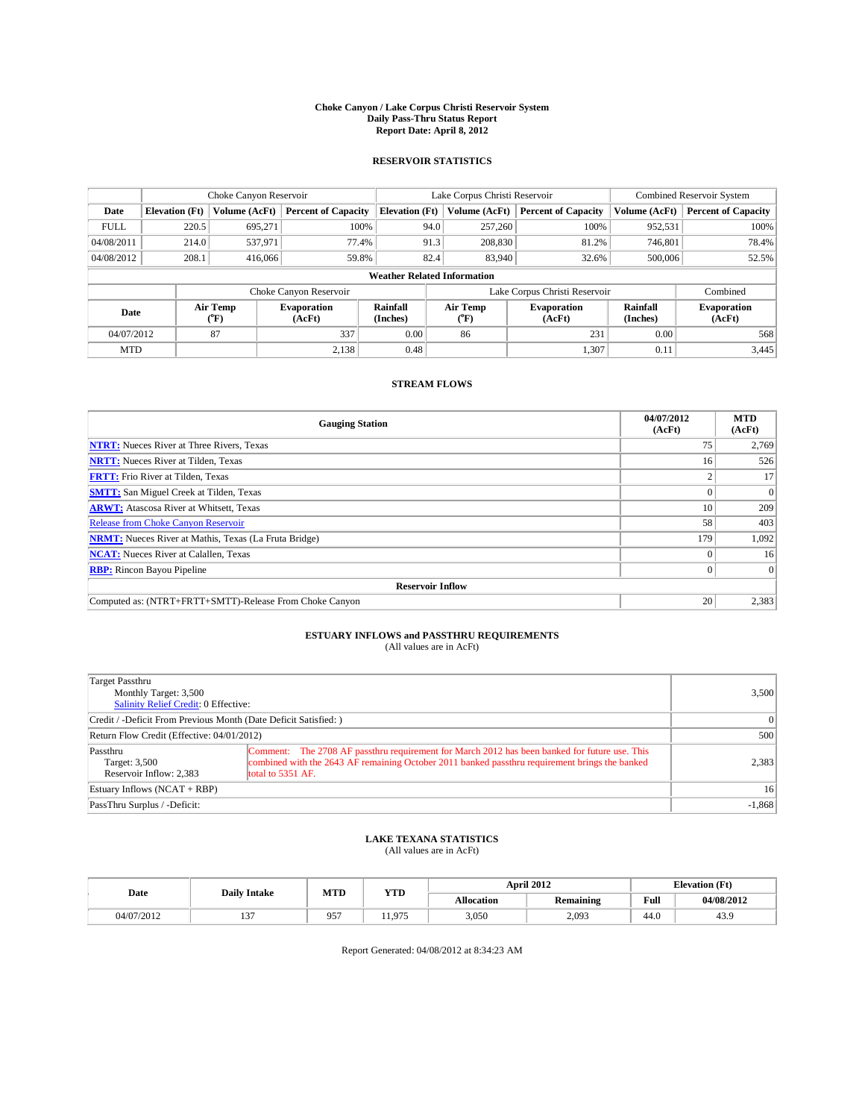### **Choke Canyon / Lake Corpus Christi Reservoir System Daily Pass-Thru Status Report Report Date: April 8, 2012**

### **RESERVOIR STATISTICS**

|             | Choke Canyon Reservoir             |                  |                              |                       | Lake Corpus Christi Reservoir | <b>Combined Reservoir System</b> |                      |                              |  |  |
|-------------|------------------------------------|------------------|------------------------------|-----------------------|-------------------------------|----------------------------------|----------------------|------------------------------|--|--|
| Date        | <b>Elevation</b> (Ft)              | Volume (AcFt)    | <b>Percent of Capacity</b>   | <b>Elevation (Ft)</b> | Volume (AcFt)                 | <b>Percent of Capacity</b>       | Volume (AcFt)        | <b>Percent of Capacity</b>   |  |  |
| <b>FULL</b> | 220.5                              | 695,271          | 100%                         | 94.0                  | 257,260                       | 100%                             | 952,531              | 100%                         |  |  |
| 04/08/2011  | 214.0                              | 537,971          | 77.4%                        | 91.3                  | 208,830                       | 81.2%                            | 746,801              | 78.4%                        |  |  |
| 04/08/2012  | 208.1                              | 416,066          | 59.8%                        | 82.4                  | 83,940                        | 32.6%                            | 500,006              | 52.5%                        |  |  |
|             | <b>Weather Related Information</b> |                  |                              |                       |                               |                                  |                      |                              |  |  |
|             |                                    |                  | Choke Canyon Reservoir       |                       | Lake Corpus Christi Reservoir |                                  |                      | Combined                     |  |  |
| Date        |                                    | Air Temp<br>(°F) | <b>Evaporation</b><br>(AcFt) | Rainfall<br>(Inches)  | Air Temp<br>(°F)              | <b>Evaporation</b><br>(AcFt)     | Rainfall<br>(Inches) | <b>Evaporation</b><br>(AcFt) |  |  |
| 04/07/2012  |                                    | 87               | 337                          | 0.00                  | 86                            | 231                              | 0.00                 | 568                          |  |  |
| <b>MTD</b>  |                                    |                  | 2,138                        | 0.48                  |                               | 1,307                            | 0.11                 | 3,445                        |  |  |

## **STREAM FLOWS**

| <b>Gauging Station</b>                                       | 04/07/2012<br>(AcFt) | <b>MTD</b><br>(AcFt) |
|--------------------------------------------------------------|----------------------|----------------------|
| <b>NTRT:</b> Nueces River at Three Rivers, Texas             | 75                   | 2,769                |
| <b>NRTT:</b> Nueces River at Tilden, Texas                   | 16                   | 526                  |
| <b>FRTT:</b> Frio River at Tilden, Texas                     |                      | 17                   |
| <b>SMTT:</b> San Miguel Creek at Tilden, Texas               |                      | $\overline{0}$       |
| <b>ARWT:</b> Atascosa River at Whitsett, Texas               | 10                   | 209                  |
| Release from Choke Canyon Reservoir                          | 58                   | 403                  |
| <b>NRMT:</b> Nueces River at Mathis, Texas (La Fruta Bridge) | 179                  | 1,092                |
| <b>NCAT:</b> Nueces River at Calallen, Texas                 |                      | 16                   |
| <b>RBP:</b> Rincon Bayou Pipeline                            | 0                    | $\Omega$             |
| <b>Reservoir Inflow</b>                                      |                      |                      |
| Computed as: (NTRT+FRTT+SMTT)-Release From Choke Canyon      | 20                   | 2,383                |

# **ESTUARY INFLOWS and PASSTHRU REQUIREMENTS**<br>(All values are in AcFt)

| Target Passthru<br>Monthly Target: 3,500<br>Salinity Relief Credit: 0 Effective: |                                                                                                                                                                                                                      | 3,500           |
|----------------------------------------------------------------------------------|----------------------------------------------------------------------------------------------------------------------------------------------------------------------------------------------------------------------|-----------------|
| Credit / -Deficit From Previous Month (Date Deficit Satisfied: )                 |                                                                                                                                                                                                                      | $\vert$ 0       |
| Return Flow Credit (Effective: 04/01/2012)                                       |                                                                                                                                                                                                                      | 500             |
| Passthru<br>Target: 3,500<br>Reservoir Inflow: 2.383                             | Comment: The 2708 AF passthru requirement for March 2012 has been banked for future use. This<br>combined with the 2643 AF remaining October 2011 banked passthru requirement brings the banked<br>total to 5351 AF. | 2,383           |
| Estuary Inflows (NCAT + RBP)                                                     |                                                                                                                                                                                                                      | 16 <sup>1</sup> |
| PassThru Surplus / -Deficit:                                                     |                                                                                                                                                                                                                      | $-1,868$        |

# **LAKE TEXANA STATISTICS** (All values are in AcFt)

|                 | <b>Daily Intake</b> | MTD        | <b>YTD</b> |                   | <b>April 2012</b> |      | <b>Elevation</b> (Ft) |
|-----------------|---------------------|------------|------------|-------------------|-------------------|------|-----------------------|
| Date            |                     |            |            | <b>Allocation</b> | Remaining         | Full | 04/08/2012            |
| 72012<br>04/07/ | $\sim$              | 057<br>ر ر | .075       | 3,050             | 2,093             | 44.0 | 43.9                  |

Report Generated: 04/08/2012 at 8:34:23 AM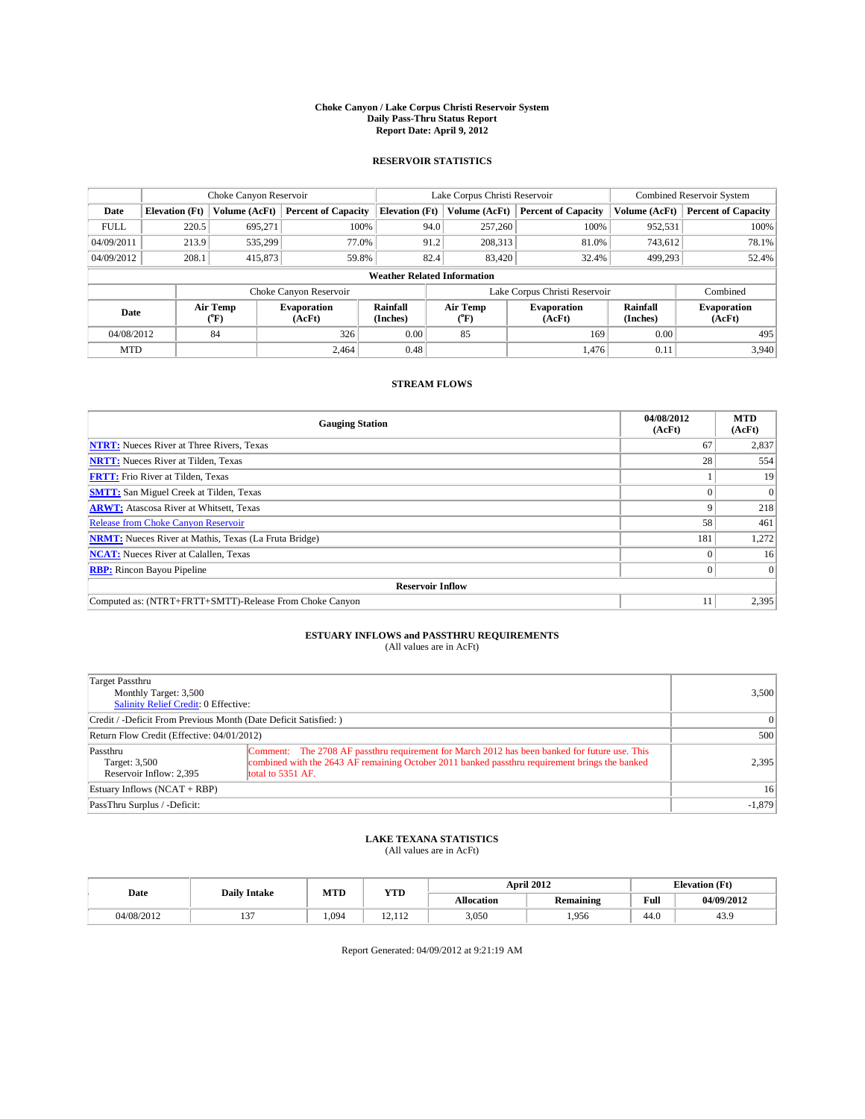### **Choke Canyon / Lake Corpus Christi Reservoir System Daily Pass-Thru Status Report Report Date: April 9, 2012**

### **RESERVOIR STATISTICS**

|                                    | Choke Canyon Reservoir |                  |                              |                       | Lake Corpus Christi Reservoir | <b>Combined Reservoir System</b> |                      |                              |  |
|------------------------------------|------------------------|------------------|------------------------------|-----------------------|-------------------------------|----------------------------------|----------------------|------------------------------|--|
| Date                               | <b>Elevation</b> (Ft)  | Volume (AcFt)    | <b>Percent of Capacity</b>   | <b>Elevation (Ft)</b> | Volume (AcFt)                 | <b>Percent of Capacity</b>       | Volume (AcFt)        | <b>Percent of Capacity</b>   |  |
| <b>FULL</b>                        | 220.5                  | 695,271          | 100%                         | 94.0                  | 257,260                       | 100%                             | 952,531              | 100%                         |  |
| 04/09/2011                         | 213.9                  | 535,299          | 77.0%                        | 91.2                  | 208,313                       | 81.0%                            | 743,612              | 78.1%                        |  |
| 04/09/2012                         | 208.1                  | 415,873          | 59.8%                        | 82.4                  | 83,420                        | 32.4%                            | 499,293              | 52.4%                        |  |
| <b>Weather Related Information</b> |                        |                  |                              |                       |                               |                                  |                      |                              |  |
|                                    |                        |                  | Choke Canyon Reservoir       |                       | Lake Corpus Christi Reservoir |                                  |                      | Combined                     |  |
| Date                               |                        | Air Temp<br>(°F) | <b>Evaporation</b><br>(AcFt) | Rainfall<br>(Inches)  | Air Temp<br>(°F)              | <b>Evaporation</b><br>(AcFt)     | Rainfall<br>(Inches) | <b>Evaporation</b><br>(AcFt) |  |
| 04/08/2012                         |                        | 84               | 326                          | 0.00                  | 85                            | 169                              | 0.00                 | 495                          |  |
| <b>MTD</b>                         |                        |                  | 2.464                        | 0.48                  |                               | 1.476                            | 0.11                 | 3,940                        |  |

### **STREAM FLOWS**

| <b>Gauging Station</b>                                       | 04/08/2012<br>(AcFt) | <b>MTD</b><br>(AcFt) |
|--------------------------------------------------------------|----------------------|----------------------|
| <b>NTRT:</b> Nueces River at Three Rivers, Texas             | 67                   | 2,837                |
| <b>NRTT:</b> Nueces River at Tilden, Texas                   | 28                   | 554                  |
| <b>FRTT:</b> Frio River at Tilden, Texas                     |                      | 19                   |
| <b>SMTT:</b> San Miguel Creek at Tilden, Texas               |                      | $\Omega$             |
| <b>ARWT:</b> Atascosa River at Whitsett, Texas               |                      | 218                  |
| Release from Choke Canyon Reservoir                          | 58                   | 461                  |
| <b>NRMT:</b> Nueces River at Mathis, Texas (La Fruta Bridge) | 181                  | 1,272                |
| <b>NCAT:</b> Nueces River at Calallen, Texas                 |                      | 16                   |
| <b>RBP:</b> Rincon Bayou Pipeline                            | 0                    | $\Omega$             |
| <b>Reservoir Inflow</b>                                      |                      |                      |
| Computed as: (NTRT+FRTT+SMTT)-Release From Choke Canyon      |                      | 2,395                |

# **ESTUARY INFLOWS and PASSTHRU REQUIREMENTS**<br>(All values are in AcFt)

| Target Passthru<br>Monthly Target: 3,500<br>Salinity Relief Credit: 0 Effective: |                                                                                                                                                                                                                      | 3,500           |
|----------------------------------------------------------------------------------|----------------------------------------------------------------------------------------------------------------------------------------------------------------------------------------------------------------------|-----------------|
| Credit / -Deficit From Previous Month (Date Deficit Satisfied: )                 |                                                                                                                                                                                                                      | $\vert$ 0       |
| Return Flow Credit (Effective: 04/01/2012)                                       |                                                                                                                                                                                                                      | 500             |
| Passthru<br>Target: 3,500<br>Reservoir Inflow: 2.395                             | Comment: The 2708 AF passthru requirement for March 2012 has been banked for future use. This<br>combined with the 2643 AF remaining October 2011 banked passthru requirement brings the banked<br>total to 5351 AF. | 2,395           |
| Estuary Inflows (NCAT + RBP)                                                     |                                                                                                                                                                                                                      | 16 <sup>1</sup> |
| PassThru Surplus / -Deficit:                                                     |                                                                                                                                                                                                                      | $-1,879$        |

# **LAKE TEXANA STATISTICS** (All values are in AcFt)

|            |        | MTD<br><b>Daily Intake</b> |                         | <b>April 2012</b> |           |      | <b>Elevation</b> (Ft) |  |
|------------|--------|----------------------------|-------------------------|-------------------|-----------|------|-----------------------|--|
| Date       |        |                            | <b>YTD</b>              | <b>Allocation</b> | Remaining | Full | 04/09/2012            |  |
| 04/08/2012 | $\sim$ | 1.094                      | $\sim$<br>110<br>14.114 | 3,050             | 1,956     | 44.0 | 43.9                  |  |

Report Generated: 04/09/2012 at 9:21:19 AM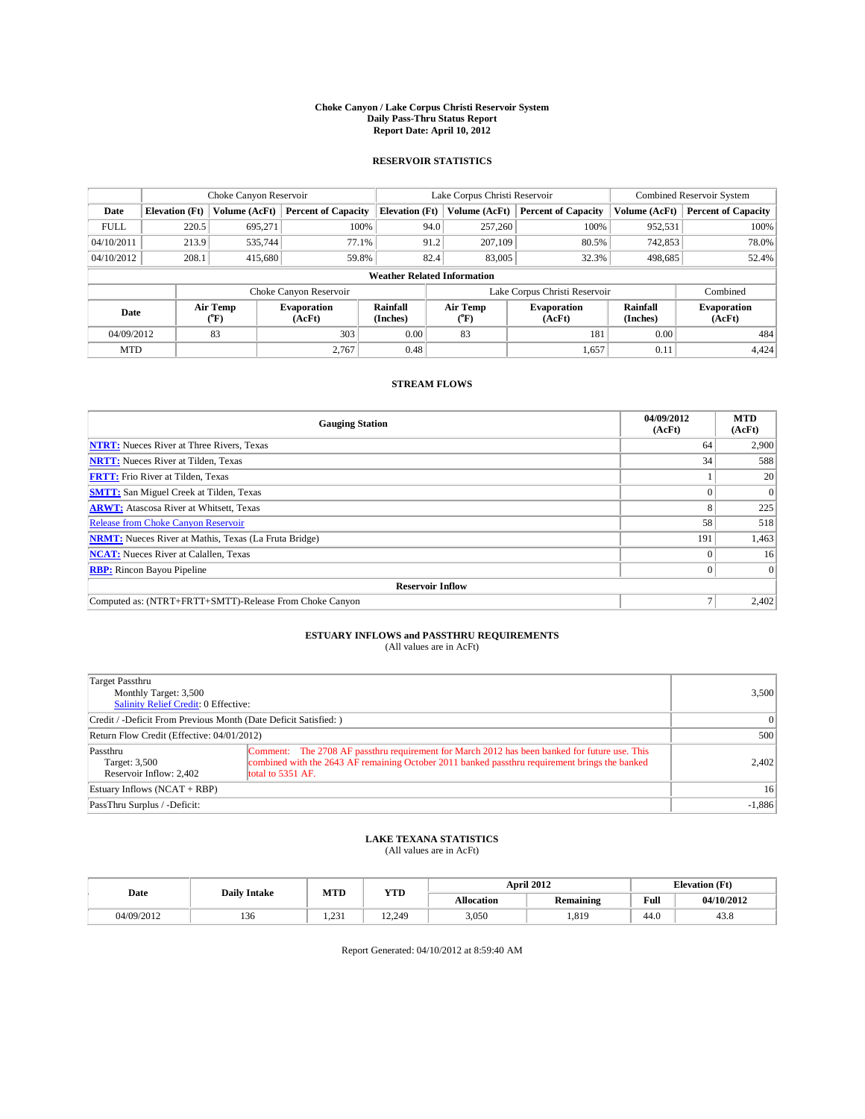### **Choke Canyon / Lake Corpus Christi Reservoir System Daily Pass-Thru Status Report Report Date: April 10, 2012**

### **RESERVOIR STATISTICS**

|             | Choke Canyon Reservoir             |                  |                              |                       | Lake Corpus Christi Reservoir | <b>Combined Reservoir System</b> |                      |                              |  |  |
|-------------|------------------------------------|------------------|------------------------------|-----------------------|-------------------------------|----------------------------------|----------------------|------------------------------|--|--|
| Date        | <b>Elevation</b> (Ft)              | Volume (AcFt)    | <b>Percent of Capacity</b>   | <b>Elevation (Ft)</b> | Volume (AcFt)                 | <b>Percent of Capacity</b>       | Volume (AcFt)        | <b>Percent of Capacity</b>   |  |  |
| <b>FULL</b> | 220.5                              | 695,271          | 100%                         | 94.0                  | 257,260                       | 100%                             | 952,531              | 100%                         |  |  |
| 04/10/2011  | 213.9                              | 535,744          | 77.1%                        | 91.2                  | 207,109                       | 80.5%                            | 742,853              | 78.0%                        |  |  |
| 04/10/2012  | 208.1                              | 415.680          | 59.8%                        | 82.4                  | 83,005                        | 32.3%                            | 498.685              | 52.4%                        |  |  |
|             | <b>Weather Related Information</b> |                  |                              |                       |                               |                                  |                      |                              |  |  |
|             |                                    |                  | Choke Canyon Reservoir       |                       | Lake Corpus Christi Reservoir |                                  |                      | Combined                     |  |  |
| Date        |                                    | Air Temp<br>(°F) | <b>Evaporation</b><br>(AcFt) | Rainfall<br>(Inches)  | Air Temp<br>(°F)              | <b>Evaporation</b><br>(AcFt)     | Rainfall<br>(Inches) | <b>Evaporation</b><br>(AcFt) |  |  |
| 04/09/2012  |                                    | 83               | 303                          | 0.00                  | 83                            | 181                              | 0.00                 | 484                          |  |  |
| <b>MTD</b>  |                                    |                  | 2.767                        | 0.48                  |                               | 1,657                            | 0.11                 | 4,424                        |  |  |

### **STREAM FLOWS**

| <b>Gauging Station</b>                                       | 04/09/2012<br>(AcFt) | <b>MTD</b><br>(AcFt) |
|--------------------------------------------------------------|----------------------|----------------------|
| <b>NTRT:</b> Nueces River at Three Rivers, Texas             | 64                   | 2,900                |
| <b>NRTT:</b> Nueces River at Tilden, Texas                   | 34                   | 588                  |
| <b>FRTT:</b> Frio River at Tilden, Texas                     |                      | 20                   |
| <b>SMTT:</b> San Miguel Creek at Tilden, Texas               |                      | $\Omega$             |
| <b>ARWT:</b> Atascosa River at Whitsett, Texas               | 8                    | 225                  |
| <b>Release from Choke Canyon Reservoir</b>                   | 58                   | 518                  |
| <b>NRMT:</b> Nueces River at Mathis, Texas (La Fruta Bridge) | 191                  | 1,463                |
| <b>NCAT:</b> Nueces River at Calallen, Texas                 |                      | 16                   |
| <b>RBP:</b> Rincon Bayou Pipeline                            | $\Omega$             | $\Omega$             |
| <b>Reservoir Inflow</b>                                      |                      |                      |
| Computed as: (NTRT+FRTT+SMTT)-Release From Choke Canyon      |                      | 2,402                |

# **ESTUARY INFLOWS and PASSTHRU REQUIREMENTS**<br>(All values are in AcFt)

| Target Passthru<br>Monthly Target: 3,500<br>Salinity Relief Credit: 0 Effective: |                                                                                                                                                                                                                      | 3,500           |
|----------------------------------------------------------------------------------|----------------------------------------------------------------------------------------------------------------------------------------------------------------------------------------------------------------------|-----------------|
| Credit / -Deficit From Previous Month (Date Deficit Satisfied: )                 |                                                                                                                                                                                                                      | $\vert$ 0       |
| Return Flow Credit (Effective: 04/01/2012)                                       |                                                                                                                                                                                                                      | 500             |
| Passthru<br>Target: 3,500<br>Reservoir Inflow: 2.402                             | Comment: The 2708 AF passthru requirement for March 2012 has been banked for future use. This<br>combined with the 2643 AF remaining October 2011 banked passthru requirement brings the banked<br>total to 5351 AF. | 2,402           |
| Estuary Inflows (NCAT + RBP)                                                     |                                                                                                                                                                                                                      | 16 <sup>1</sup> |
| PassThru Surplus / -Deficit:                                                     |                                                                                                                                                                                                                      | $-1,886$        |

## **LAKE TEXANA STATISTICS** (All values are in AcFt)

|            | <b>Daily Intake</b> | MTD           | <b>YTD</b> |                   | <b>April 2012</b> | <b>Elevation</b> (Ft) |            |
|------------|---------------------|---------------|------------|-------------------|-------------------|-----------------------|------------|
| Date       |                     |               |            | <b>Allocation</b> | Remaining         | Full                  | 04/10/2012 |
| 04/09/2012 | 136                 | 23'<br>ل رے د | 12.249     | 3,050             | .819              | 44.0                  | 45.8       |

Report Generated: 04/10/2012 at 8:59:40 AM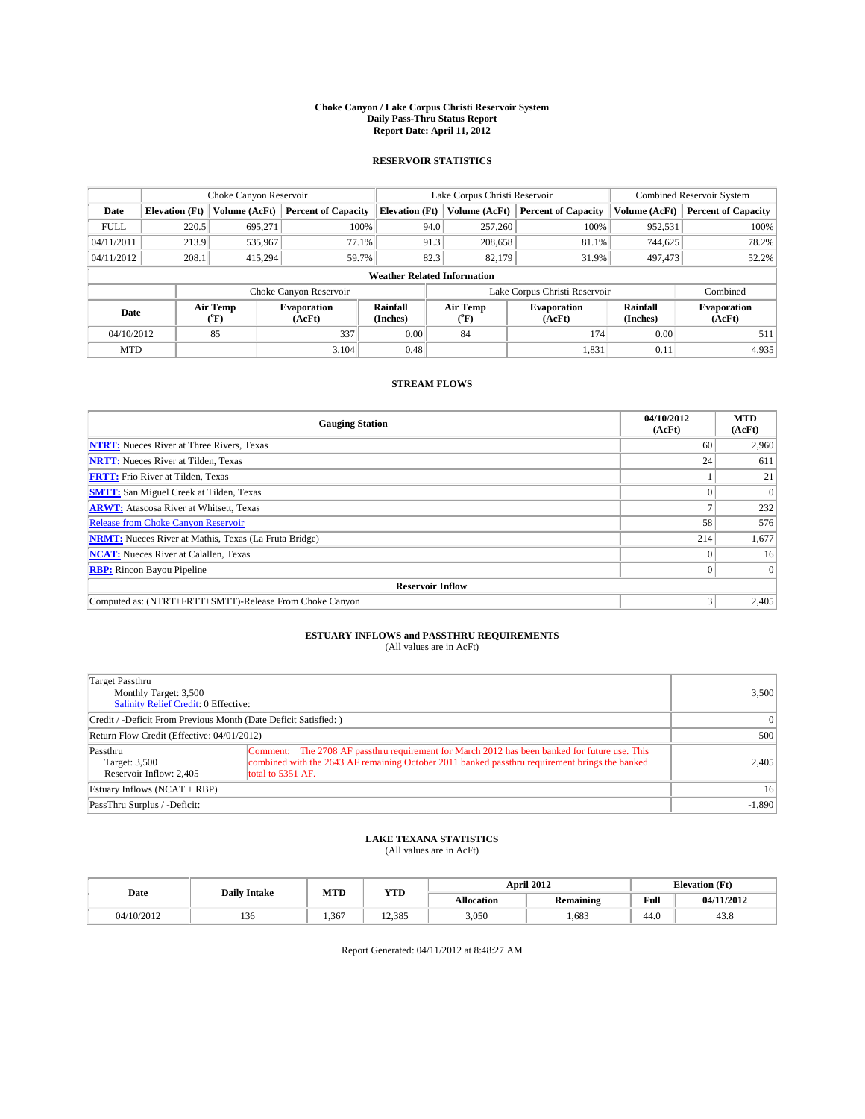### **Choke Canyon / Lake Corpus Christi Reservoir System Daily Pass-Thru Status Report Report Date: April 11, 2012**

### **RESERVOIR STATISTICS**

|             |                                    | Choke Canyon Reservoir |                              |                       | Lake Corpus Christi Reservoir | <b>Combined Reservoir System</b> |                      |                              |  |  |
|-------------|------------------------------------|------------------------|------------------------------|-----------------------|-------------------------------|----------------------------------|----------------------|------------------------------|--|--|
| Date        | <b>Elevation</b> (Ft)              | Volume (AcFt)          | <b>Percent of Capacity</b>   | <b>Elevation (Ft)</b> | Volume (AcFt)                 | <b>Percent of Capacity</b>       | Volume (AcFt)        | <b>Percent of Capacity</b>   |  |  |
| <b>FULL</b> | 220.5                              | 695,271                | 100%                         | 94.0                  | 257,260                       | 100%                             | 952,531              | 100%                         |  |  |
| 04/11/2011  | 213.9                              | 535,967                | 77.1%                        |                       | 208,658<br>91.3               | 81.1%                            | 744,625              | 78.2%                        |  |  |
| 04/11/2012  | 208.1                              | 415,294                | 59.7%                        | 82.3                  | 82,179                        | 31.9%                            | 497,473              | 52.2%                        |  |  |
|             | <b>Weather Related Information</b> |                        |                              |                       |                               |                                  |                      |                              |  |  |
|             |                                    |                        | Choke Canyon Reservoir       |                       | Lake Corpus Christi Reservoir |                                  |                      | Combined                     |  |  |
| Date        |                                    | Air Temp<br>(°F)       | <b>Evaporation</b><br>(AcFt) | Rainfall<br>(Inches)  | Air Temp<br>(°F)              | <b>Evaporation</b><br>(AcFt)     | Rainfall<br>(Inches) | <b>Evaporation</b><br>(AcFt) |  |  |
| 04/10/2012  |                                    | 85                     | 337                          | 0.00                  | 84                            | 174                              | 0.00                 | 511                          |  |  |
| <b>MTD</b>  |                                    |                        | 3.104                        | 0.48                  |                               | 1,831                            | 0.11                 | 4,935                        |  |  |

### **STREAM FLOWS**

| <b>Gauging Station</b>                                       | 04/10/2012<br>(AcFt) | <b>MTD</b><br>(AcFt) |
|--------------------------------------------------------------|----------------------|----------------------|
| <b>NTRT:</b> Nueces River at Three Rivers, Texas             | 60                   | 2,960                |
| <b>NRTT:</b> Nueces River at Tilden, Texas                   | 24                   | 611                  |
| <b>FRTT:</b> Frio River at Tilden, Texas                     |                      | 21                   |
| <b>SMTT:</b> San Miguel Creek at Tilden, Texas               |                      | $\Omega$             |
| <b>ARWT:</b> Atascosa River at Whitsett, Texas               |                      | 232                  |
| <b>Release from Choke Canyon Reservoir</b>                   | 58                   | 576                  |
| <b>NRMT:</b> Nueces River at Mathis, Texas (La Fruta Bridge) | 214                  | 1,677                |
| <b>NCAT:</b> Nueces River at Calallen, Texas                 |                      | 16                   |
| <b>RBP:</b> Rincon Bayou Pipeline                            |                      | $\Omega$             |
| <b>Reservoir Inflow</b>                                      |                      |                      |
| Computed as: (NTRT+FRTT+SMTT)-Release From Choke Canyon      | 3                    | 2,405                |

# **ESTUARY INFLOWS and PASSTHRU REQUIREMENTS**<br>(All values are in AcFt)

| Target Passthru<br>Monthly Target: 3,500<br>Salinity Relief Credit: 0 Effective: |                                                                                                                                                                                                                      | 3,500           |
|----------------------------------------------------------------------------------|----------------------------------------------------------------------------------------------------------------------------------------------------------------------------------------------------------------------|-----------------|
| Credit / -Deficit From Previous Month (Date Deficit Satisfied: )                 |                                                                                                                                                                                                                      | $\vert$ 0       |
| Return Flow Credit (Effective: 04/01/2012)                                       | 500                                                                                                                                                                                                                  |                 |
| Passthru<br>Target: 3,500<br>Reservoir Inflow: 2.405                             | Comment: The 2708 AF passthru requirement for March 2012 has been banked for future use. This<br>combined with the 2643 AF remaining October 2011 banked passthru requirement brings the banked<br>total to 5351 AF. | 2,405           |
| Estuary Inflows (NCAT + RBP)                                                     |                                                                                                                                                                                                                      | 16 <sup>1</sup> |
| PassThru Surplus / -Deficit:                                                     |                                                                                                                                                                                                                      | $-1,890$        |

# **LAKE TEXANA STATISTICS** (All values are in AcFt)

|            | <b>Daily Intake</b> | MTD  | <b>YTD</b> |            | April 2012       | <b>Elevation</b> (Ft) |            |
|------------|---------------------|------|------------|------------|------------------|-----------------------|------------|
| Date       |                     |      |            | Allocation | <b>Remaining</b> | Full                  | 04/11/2012 |
| 04/10/2012 | 136                 | .367 | 12.385     | 3,050      | .683             | 44.0                  | 43.8       |

Report Generated: 04/11/2012 at 8:48:27 AM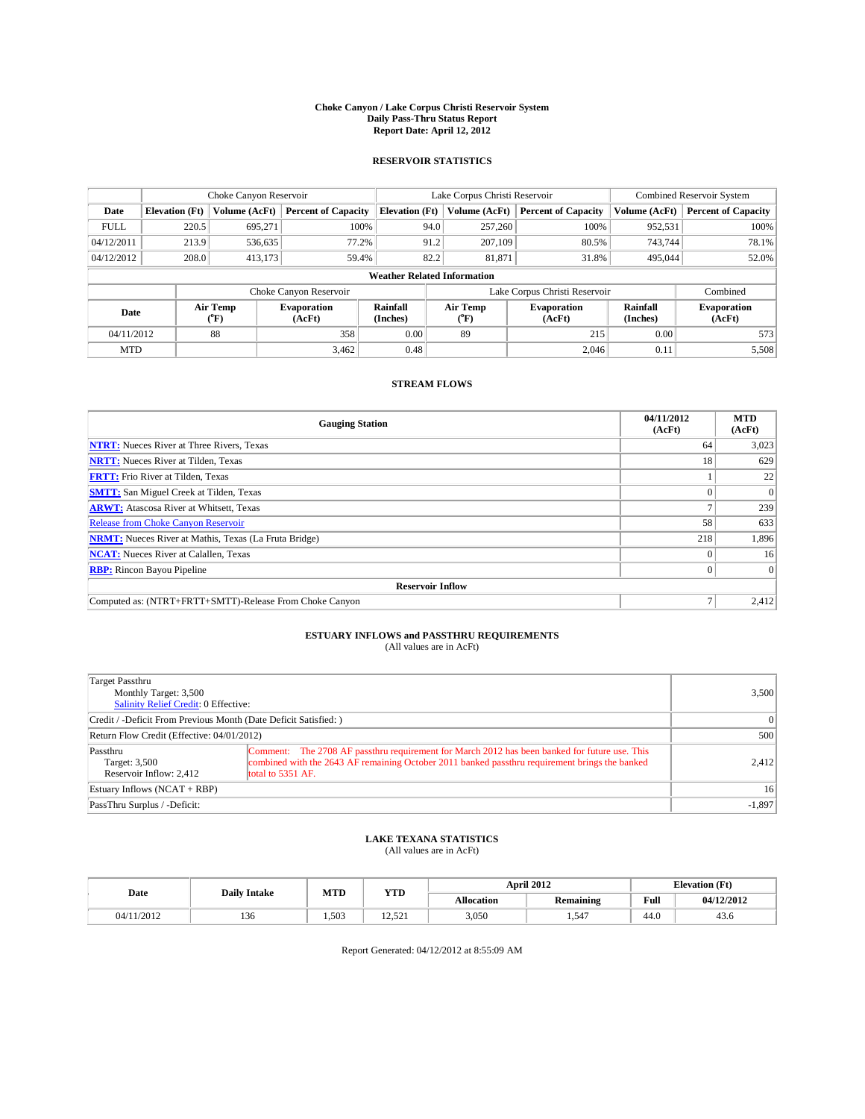### **Choke Canyon / Lake Corpus Christi Reservoir System Daily Pass-Thru Status Report Report Date: April 12, 2012**

### **RESERVOIR STATISTICS**

|             | Choke Canyon Reservoir             |                  |                              |                       | Lake Corpus Christi Reservoir |                  |                              |                      | <b>Combined Reservoir System</b> |  |
|-------------|------------------------------------|------------------|------------------------------|-----------------------|-------------------------------|------------------|------------------------------|----------------------|----------------------------------|--|
| Date        | <b>Elevation</b> (Ft)              | Volume (AcFt)    | <b>Percent of Capacity</b>   | <b>Elevation (Ft)</b> |                               | Volume (AcFt)    | <b>Percent of Capacity</b>   | Volume (AcFt)        | <b>Percent of Capacity</b>       |  |
| <b>FULL</b> | 220.5                              | 695,271          | 100%                         |                       | 94.0                          | 257,260          | 100%                         | 952,531              | 100%                             |  |
| 04/12/2011  | 213.9                              | 536,635          | 77.2%                        |                       | 91.2                          | 207,109          | 80.5%                        | 743,744              | 78.1%                            |  |
| 04/12/2012  | 208.0                              | 413,173          | 59.4%                        |                       | 82.2                          | 81,871           | 31.8%                        | 495,044              | 52.0%                            |  |
|             | <b>Weather Related Information</b> |                  |                              |                       |                               |                  |                              |                      |                                  |  |
|             |                                    |                  | Choke Canyon Reservoir       |                       | Lake Corpus Christi Reservoir |                  |                              |                      | Combined                         |  |
| Date        |                                    | Air Temp<br>(°F) | <b>Evaporation</b><br>(AcFt) | Rainfall<br>(Inches)  |                               | Air Temp<br>("F) | <b>Evaporation</b><br>(AcFt) | Rainfall<br>(Inches) | <b>Evaporation</b><br>(AcFt)     |  |
| 04/11/2012  |                                    | 88               | 358                          | 0.00                  |                               | 89               | 215                          | 0.00                 | 573                              |  |
| <b>MTD</b>  |                                    |                  | 3.462                        | 0.48                  |                               |                  | 2.046                        | 0.11                 | 5,508                            |  |

### **STREAM FLOWS**

| <b>Gauging Station</b>                                       | 04/11/2012<br>(AcFt) | <b>MTD</b><br>(AcFt) |
|--------------------------------------------------------------|----------------------|----------------------|
| <b>NTRT:</b> Nueces River at Three Rivers, Texas             | 64                   | 3,023                |
| <b>NRTT:</b> Nueces River at Tilden, Texas                   | 18                   | 629                  |
| <b>FRTT:</b> Frio River at Tilden, Texas                     |                      | 22                   |
| <b>SMTT:</b> San Miguel Creek at Tilden, Texas               |                      | $\Omega$             |
| <b>ARWT:</b> Atascosa River at Whitsett, Texas               |                      | 239                  |
| <b>Release from Choke Canyon Reservoir</b>                   | 58                   | 633                  |
| <b>NRMT:</b> Nueces River at Mathis, Texas (La Fruta Bridge) | 218                  | 1,896                |
| <b>NCAT:</b> Nueces River at Calallen, Texas                 |                      | 16                   |
| <b>RBP:</b> Rincon Bayou Pipeline                            | $\Omega$             | $\Omega$             |
| <b>Reservoir Inflow</b>                                      |                      |                      |
| Computed as: (NTRT+FRTT+SMTT)-Release From Choke Canyon      |                      | 2,412                |

# **ESTUARY INFLOWS and PASSTHRU REQUIREMENTS**<br>(All values are in AcFt)

| Target Passthru<br>Monthly Target: 3,500<br>Salinity Relief Credit: 0 Effective: |                                                                                                                                                                                                                      | 3,500           |
|----------------------------------------------------------------------------------|----------------------------------------------------------------------------------------------------------------------------------------------------------------------------------------------------------------------|-----------------|
| Credit / -Deficit From Previous Month (Date Deficit Satisfied: )                 |                                                                                                                                                                                                                      | $\vert$ 0       |
| Return Flow Credit (Effective: 04/01/2012)                                       |                                                                                                                                                                                                                      | 500             |
| Passthru<br>Target: 3,500<br>Reservoir Inflow: 2.412                             | Comment: The 2708 AF passthru requirement for March 2012 has been banked for future use. This<br>combined with the 2643 AF remaining October 2011 banked passthru requirement brings the banked<br>total to 5351 AF. | 2,412           |
| Estuary Inflows (NCAT + RBP)                                                     |                                                                                                                                                                                                                      | 16 <sup>1</sup> |
| PassThru Surplus / -Deficit:                                                     |                                                                                                                                                                                                                      | $-1,897$        |

# **LAKE TEXANA STATISTICS** (All values are in AcFt)

|            | <b>Daily Intake</b> |       | MTD<br><b>YTD</b>          |                   | <b>April 2012</b> | <b>Elevation</b> (Ft) |            |
|------------|---------------------|-------|----------------------------|-------------------|-------------------|-----------------------|------------|
| Date       |                     |       |                            | <b>Allocation</b> | Remaining         | Full                  | 04/12/2012 |
| 04/11/2012 | 136                 | 1.503 | $\sim$<br>$\sim$<br>12.321 | 3,050             | . . 547           | 44.0                  | 45.0       |

Report Generated: 04/12/2012 at 8:55:09 AM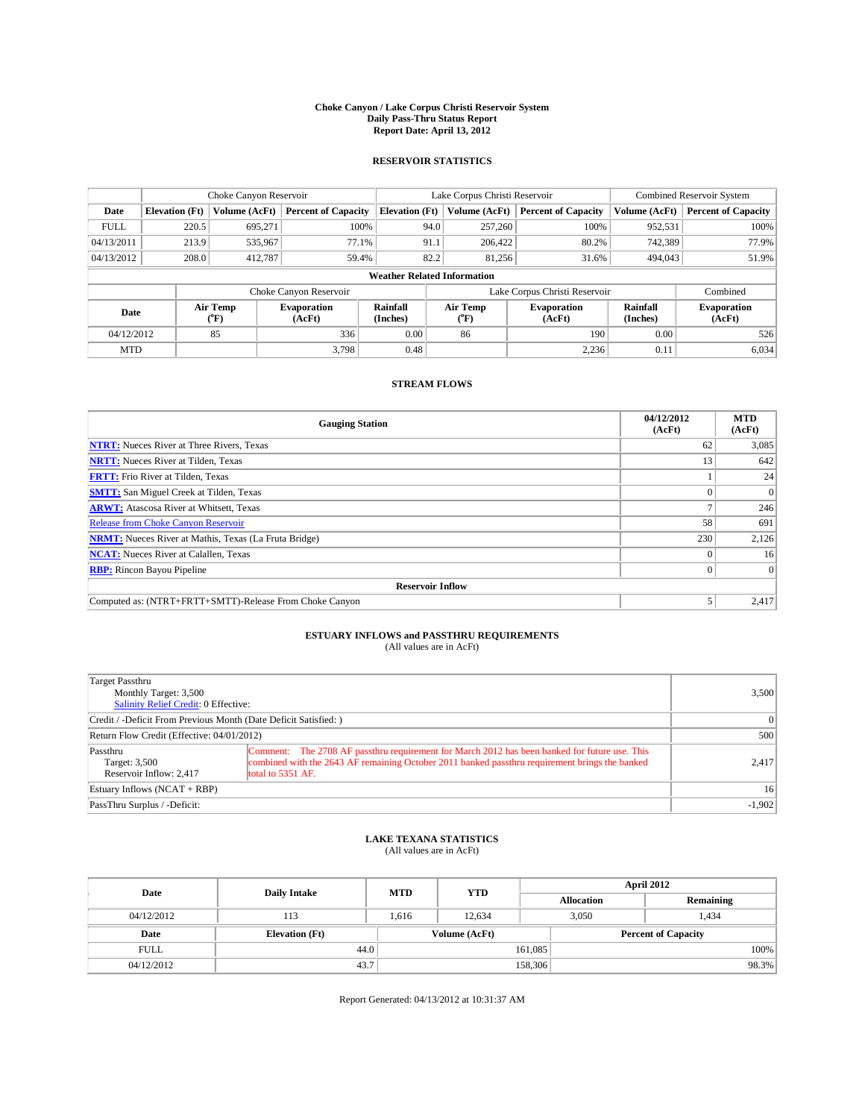### **Choke Canyon / Lake Corpus Christi Reservoir System Daily Pass-Thru Status Report Report Date: April 13, 2012**

### **RESERVOIR STATISTICS**

|             |                       | Choke Canyon Reservoir |                              |                                    | Lake Corpus Christi Reservoir             | <b>Combined Reservoir System</b> |                      |                              |  |
|-------------|-----------------------|------------------------|------------------------------|------------------------------------|-------------------------------------------|----------------------------------|----------------------|------------------------------|--|
| Date        | <b>Elevation</b> (Ft) | Volume (AcFt)          | <b>Percent of Capacity</b>   | <b>Elevation (Ft)</b>              | Volume (AcFt)                             | <b>Percent of Capacity</b>       | Volume (AcFt)        | <b>Percent of Capacity</b>   |  |
| <b>FULL</b> | 220.5                 | 695,271                | 100%                         | 94.0                               | 257,260                                   | 100%                             | 952,531              | 100%                         |  |
| 04/13/2011  | 213.9                 | 535,967                | 77.1%                        | 91.1                               | 206,422                                   | 80.2%                            | 742,389              | 77.9%                        |  |
| 04/13/2012  | 208.0                 | 412,787                | 59.4%                        | 82.2                               | 81.256                                    | 31.6%                            | 494,043              | 51.9%                        |  |
|             |                       |                        |                              | <b>Weather Related Information</b> |                                           |                                  |                      |                              |  |
|             |                       |                        | Choke Canyon Reservoir       |                                    | Lake Corpus Christi Reservoir<br>Combined |                                  |                      |                              |  |
| Date        |                       | Air Temp<br>(°F)       | <b>Evaporation</b><br>(AcFt) | Rainfall<br>(Inches)               | Air Temp<br>$(^{0}F)$                     | <b>Evaporation</b><br>(AcFt)     | Rainfall<br>(Inches) | <b>Evaporation</b><br>(AcFt) |  |
| 04/12/2012  |                       | 85                     | 336                          | 0.00                               | 86                                        | 190                              | 0.00                 | 526                          |  |
| <b>MTD</b>  |                       |                        | 3.798                        | 0.48                               |                                           | 2,236                            | 0.11                 | 6,034                        |  |

## **STREAM FLOWS**

| <b>Gauging Station</b>                                       | 04/12/2012<br>(AcFt) | <b>MTD</b><br>(AcFt) |
|--------------------------------------------------------------|----------------------|----------------------|
| <b>NTRT:</b> Nueces River at Three Rivers, Texas             | 62                   | 3,085                |
| <b>NRTT:</b> Nueces River at Tilden, Texas                   | 13                   | 642                  |
| <b>FRTT:</b> Frio River at Tilden, Texas                     |                      | 24                   |
| <b>SMTT:</b> San Miguel Creek at Tilden, Texas               |                      | $\Omega$             |
| <b>ARWT:</b> Atascosa River at Whitsett, Texas               |                      | 246                  |
| <b>Release from Choke Canyon Reservoir</b>                   | 58                   | 691                  |
| <b>NRMT:</b> Nueces River at Mathis, Texas (La Fruta Bridge) | 230                  | 2,126                |
| <b>NCAT:</b> Nueces River at Calallen, Texas                 |                      | 16                   |
| <b>RBP:</b> Rincon Bayou Pipeline                            | $\Omega$             | $\Omega$             |
| <b>Reservoir Inflow</b>                                      |                      |                      |
| Computed as: (NTRT+FRTT+SMTT)-Release From Choke Canyon      |                      | 2,417                |

# **ESTUARY INFLOWS and PASSTHRU REQUIREMENTS**<br>(All values are in AcFt)

| Target Passthru<br>Monthly Target: 3,500<br>Salinity Relief Credit: 0 Effective: |                                                                                                                                                                                                                      | 3,500           |  |  |
|----------------------------------------------------------------------------------|----------------------------------------------------------------------------------------------------------------------------------------------------------------------------------------------------------------------|-----------------|--|--|
| Credit / -Deficit From Previous Month (Date Deficit Satisfied: )                 |                                                                                                                                                                                                                      |                 |  |  |
| Return Flow Credit (Effective: 04/01/2012)                                       |                                                                                                                                                                                                                      |                 |  |  |
| Passthru<br>Target: 3,500<br>Reservoir Inflow: 2.417                             | Comment: The 2708 AF passthru requirement for March 2012 has been banked for future use. This<br>combined with the 2643 AF remaining October 2011 banked passthru requirement brings the banked<br>total to 5351 AF. | 2.417           |  |  |
| Estuary Inflows $(NCAT + RBP)$                                                   |                                                                                                                                                                                                                      | 16 <sup>1</sup> |  |  |
| PassThru Surplus / -Deficit:                                                     |                                                                                                                                                                                                                      | $-1,902$        |  |  |

# **LAKE TEXANA STATISTICS** (All values are in AcFt)

| Date        |                       | <b>MTD</b> | <b>YTD</b>    | <b>April 2012</b> |                            |           |       |  |
|-------------|-----------------------|------------|---------------|-------------------|----------------------------|-----------|-------|--|
|             | <b>Daily Intake</b>   |            |               | <b>Allocation</b> |                            | Remaining |       |  |
| 04/12/2012  | 113                   | 1.616      | 12.634        | 3.050             |                            | 1,434     |       |  |
| Date        | <b>Elevation</b> (Ft) |            | Volume (AcFt) |                   | <b>Percent of Capacity</b> |           |       |  |
| <b>FULL</b> | 44.0                  |            |               | 161,085           |                            |           | 100%  |  |
| 04/12/2012  | 43.7                  |            |               | 158,306           |                            |           | 98.3% |  |

Report Generated: 04/13/2012 at 10:31:37 AM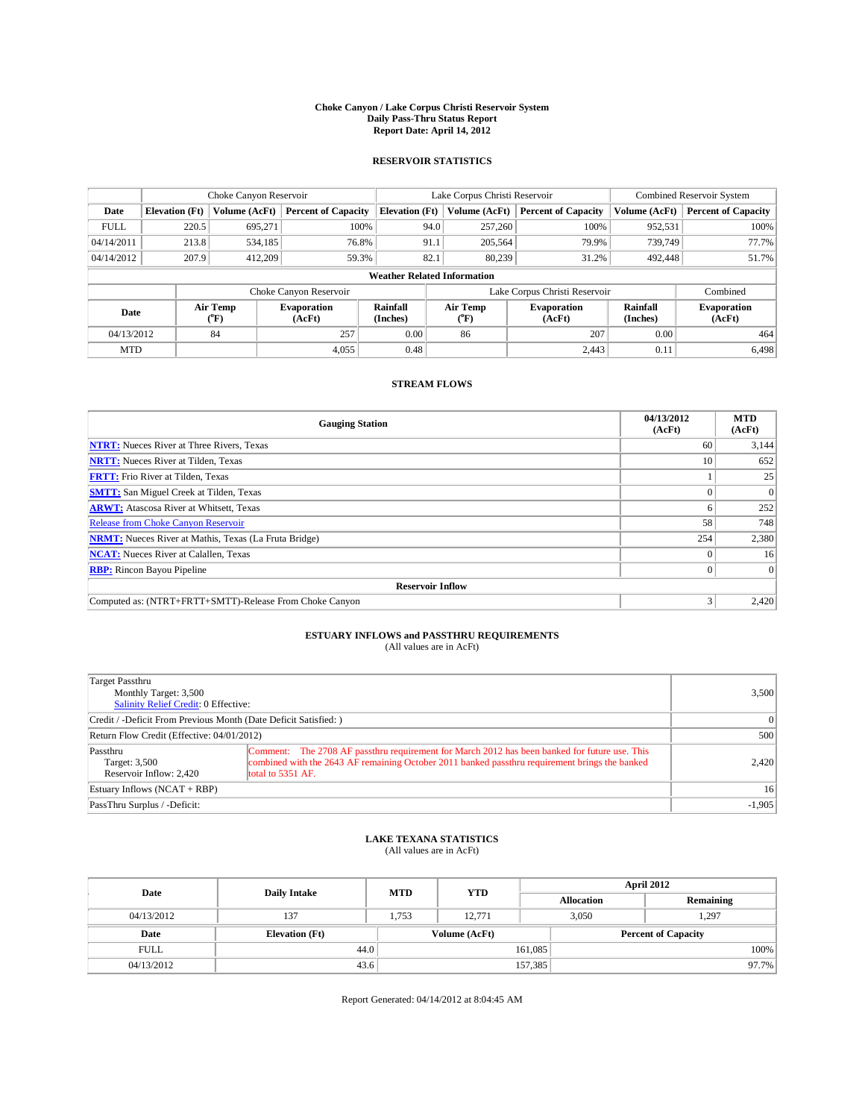### **Choke Canyon / Lake Corpus Christi Reservoir System Daily Pass-Thru Status Report Report Date: April 14, 2012**

### **RESERVOIR STATISTICS**

|             | Choke Canyon Reservoir |                  |                              |                                    | Lake Corpus Christi Reservoir                    |         |                            |                              | <b>Combined Reservoir System</b> |  |  |
|-------------|------------------------|------------------|------------------------------|------------------------------------|--------------------------------------------------|---------|----------------------------|------------------------------|----------------------------------|--|--|
| Date        | <b>Elevation</b> (Ft)  | Volume (AcFt)    | <b>Percent of Capacity</b>   | <b>Elevation (Ft)</b>              | Volume (AcFt)                                    |         | <b>Percent of Capacity</b> | Volume (AcFt)                | <b>Percent of Capacity</b>       |  |  |
| <b>FULL</b> | 220.5                  | 695,271          | 100%                         |                                    | 94.0                                             | 257,260 | 100%                       | 952,531                      | 100%                             |  |  |
| 04/14/2011  | 213.8                  | 534,185          | 76.8%                        | 91.1                               |                                                  | 205,564 | 79.9%                      | 739,749                      | 77.7%                            |  |  |
| 04/14/2012  | 207.9                  | 412,209          | 59.3%                        | 82.1                               |                                                  | 80.239  | 31.2%                      | 492,448                      | 51.7%                            |  |  |
|             |                        |                  |                              | <b>Weather Related Information</b> |                                                  |         |                            |                              |                                  |  |  |
|             |                        |                  | Choke Canyon Reservoir       |                                    | Lake Corpus Christi Reservoir                    |         |                            |                              | Combined                         |  |  |
| Date        |                        | Air Temp<br>(°F) | <b>Evaporation</b><br>(AcFt) | Rainfall<br>(Inches)               | Air Temp<br><b>Evaporation</b><br>(AcFt)<br>(°F) |         | Rainfall<br>(Inches)       | <b>Evaporation</b><br>(AcFt) |                                  |  |  |
| 04/13/2012  |                        | 84               | 257                          | 0.00                               | 86                                               |         | 207                        | 0.00                         | 464                              |  |  |
| <b>MTD</b>  |                        |                  | 4.055                        | 0.48                               |                                                  |         | 2.443                      | 0.11                         | 6.498                            |  |  |

## **STREAM FLOWS**

| <b>Gauging Station</b>                                       | 04/13/2012<br>(AcFt) | <b>MTD</b><br>(AcFt) |
|--------------------------------------------------------------|----------------------|----------------------|
| <b>NTRT:</b> Nueces River at Three Rivers, Texas             | 60                   | 3,144                |
| <b>NRTT:</b> Nueces River at Tilden, Texas                   | 10                   | 652                  |
| <b>FRTT:</b> Frio River at Tilden, Texas                     |                      | 25                   |
| <b>SMTT:</b> San Miguel Creek at Tilden, Texas               |                      | $\Omega$             |
| <b>ARWT:</b> Atascosa River at Whitsett, Texas               |                      | 252                  |
| <b>Release from Choke Canyon Reservoir</b>                   | 58                   | 748                  |
| <b>NRMT:</b> Nueces River at Mathis, Texas (La Fruta Bridge) | 254                  | 2,380                |
| <b>NCAT:</b> Nueces River at Calallen, Texas                 |                      | 16                   |
| <b>RBP:</b> Rincon Bayou Pipeline                            | $\Omega$             | $\Omega$             |
| <b>Reservoir Inflow</b>                                      |                      |                      |
| Computed as: (NTRT+FRTT+SMTT)-Release From Choke Canyon      |                      | 2,420                |

# **ESTUARY INFLOWS and PASSTHRU REQUIREMENTS**<br>(All values are in AcFt)

| Target Passthru<br>Monthly Target: 3,500<br>Salinity Relief Credit: 0 Effective: |                                                                                                                                                                                                                      | 3,500           |  |  |  |
|----------------------------------------------------------------------------------|----------------------------------------------------------------------------------------------------------------------------------------------------------------------------------------------------------------------|-----------------|--|--|--|
| Credit / -Deficit From Previous Month (Date Deficit Satisfied: )                 |                                                                                                                                                                                                                      |                 |  |  |  |
| Return Flow Credit (Effective: 04/01/2012)                                       |                                                                                                                                                                                                                      |                 |  |  |  |
| Passthru<br>Target: 3,500<br>Reservoir Inflow: 2.420                             | Comment: The 2708 AF passthru requirement for March 2012 has been banked for future use. This<br>combined with the 2643 AF remaining October 2011 banked passthru requirement brings the banked<br>total to 5351 AF. | 2.420           |  |  |  |
| Estuary Inflows (NCAT + RBP)                                                     |                                                                                                                                                                                                                      | 16 <sup>1</sup> |  |  |  |
| PassThru Surplus / -Deficit:                                                     |                                                                                                                                                                                                                      | $-1,905$        |  |  |  |

# **LAKE TEXANA STATISTICS** (All values are in AcFt)

| Date        | <b>Daily Intake</b>   | <b>MTD</b> | <b>YTD</b>    | <b>April 2012</b> |                            |           |  |
|-------------|-----------------------|------------|---------------|-------------------|----------------------------|-----------|--|
|             |                       |            |               | <b>Allocation</b> |                            | Remaining |  |
| 04/13/2012  | 137                   | 1.753      | 12.771        |                   | 1,297<br>3,050             |           |  |
| Date        | <b>Elevation</b> (Ft) |            | Volume (AcFt) |                   | <b>Percent of Capacity</b> |           |  |
| <b>FULL</b> | 44.0                  |            |               | 161,085           |                            | 100%      |  |
| 04/13/2012  | 43.6                  |            |               | 157,385           |                            | 97.7%     |  |

Report Generated: 04/14/2012 at 8:04:45 AM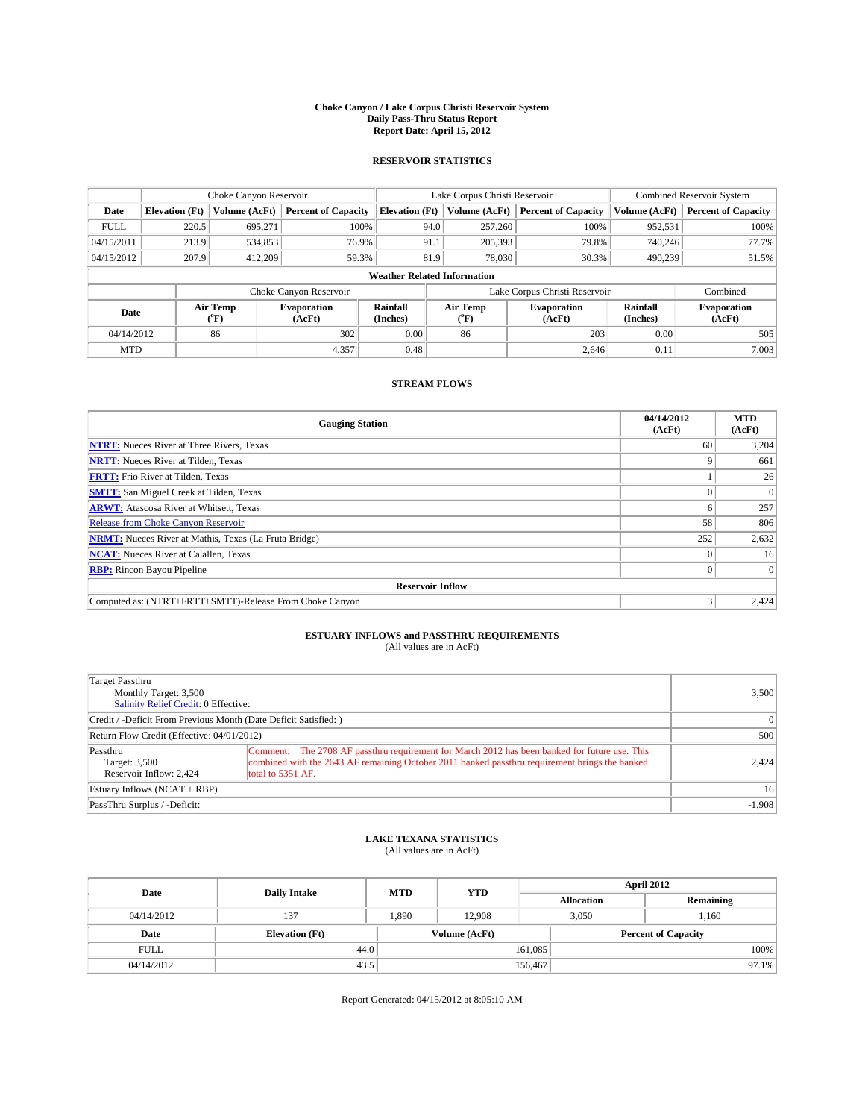### **Choke Canyon / Lake Corpus Christi Reservoir System Daily Pass-Thru Status Report Report Date: April 15, 2012**

### **RESERVOIR STATISTICS**

|             | Choke Canyon Reservoir |               |                              |                                    | Lake Corpus Christi Reservoir |               |                              |                      | <b>Combined Reservoir System</b> |  |  |
|-------------|------------------------|---------------|------------------------------|------------------------------------|-------------------------------|---------------|------------------------------|----------------------|----------------------------------|--|--|
| Date        | <b>Elevation</b> (Ft)  | Volume (AcFt) | <b>Percent of Capacity</b>   | <b>Elevation (Ft)</b>              |                               | Volume (AcFt) | <b>Percent of Capacity</b>   | Volume (AcFt)        | <b>Percent of Capacity</b>       |  |  |
| <b>FULL</b> | 220.5                  | 695,271       | 100%                         |                                    | 94.0                          | 257,260       | 100%                         | 952,531              | 100%                             |  |  |
| 04/15/2011  | 213.9                  | 534,853       | 76.9%                        |                                    | 91.1                          | 205,393       | 79.8%                        | 740,246              | 77.7%                            |  |  |
| 04/15/2012  | 207.9                  | 412,209       | 59.3%                        |                                    | 81.9                          | 78,030        | 30.3%                        | 490.239              | 51.5%                            |  |  |
|             |                        |               |                              | <b>Weather Related Information</b> |                               |               |                              |                      |                                  |  |  |
|             |                        |               | Choke Canyon Reservoir       |                                    | Lake Corpus Christi Reservoir |               |                              |                      | Combined                         |  |  |
| Date        | Air Temp<br>(°F)       |               | <b>Evaporation</b><br>(AcFt) | Rainfall<br>(Inches)               | Air Temp<br>("F)              |               | <b>Evaporation</b><br>(AcFt) | Rainfall<br>(Inches) | <b>Evaporation</b><br>(AcFt)     |  |  |
| 04/14/2012  |                        | 86            | 302                          | 0.00                               |                               |               | 203                          | 0.00                 | 505                              |  |  |
| <b>MTD</b>  |                        |               | 4,357                        | 0.48                               |                               |               | 2,646                        | 0.11                 | 7,003                            |  |  |

## **STREAM FLOWS**

| <b>Gauging Station</b>                                       | 04/14/2012<br>(AcFt) | <b>MTD</b><br>(AcFt) |
|--------------------------------------------------------------|----------------------|----------------------|
| <b>NTRT:</b> Nueces River at Three Rivers, Texas             | 60                   | 3,204                |
| <b>NRTT:</b> Nueces River at Tilden, Texas                   |                      | 661                  |
| <b>FRTT:</b> Frio River at Tilden, Texas                     |                      | 26                   |
| <b>SMTT:</b> San Miguel Creek at Tilden, Texas               |                      | $\Omega$             |
| <b>ARWT:</b> Atascosa River at Whitsett, Texas               |                      | 257                  |
| <b>Release from Choke Canyon Reservoir</b>                   | 58                   | 806                  |
| <b>NRMT:</b> Nueces River at Mathis, Texas (La Fruta Bridge) | 252                  | 2,632                |
| <b>NCAT:</b> Nueces River at Calallen, Texas                 |                      | 16                   |
| <b>RBP:</b> Rincon Bayou Pipeline                            | $\Omega$             | $\Omega$             |
| <b>Reservoir Inflow</b>                                      |                      |                      |
| Computed as: (NTRT+FRTT+SMTT)-Release From Choke Canyon      |                      | 2,424                |

# **ESTUARY INFLOWS and PASSTHRU REQUIREMENTS**<br>(All values are in AcFt)

| Target Passthru<br>Monthly Target: 3,500<br>Salinity Relief Credit: 0 Effective: |                                                                                                                                                                                                                      | 3,500           |  |  |
|----------------------------------------------------------------------------------|----------------------------------------------------------------------------------------------------------------------------------------------------------------------------------------------------------------------|-----------------|--|--|
| Credit / -Deficit From Previous Month (Date Deficit Satisfied: )                 |                                                                                                                                                                                                                      |                 |  |  |
| Return Flow Credit (Effective: 04/01/2012)                                       |                                                                                                                                                                                                                      |                 |  |  |
| Passthru<br>Target: 3,500<br>Reservoir Inflow: 2.424                             | Comment: The 2708 AF passthru requirement for March 2012 has been banked for future use. This<br>combined with the 2643 AF remaining October 2011 banked passthru requirement brings the banked<br>total to 5351 AF. | 2.424           |  |  |
| Estuary Inflows (NCAT + RBP)                                                     |                                                                                                                                                                                                                      | 16 <sup>1</sup> |  |  |
| PassThru Surplus / -Deficit:                                                     |                                                                                                                                                                                                                      | $-1,908$        |  |  |

# **LAKE TEXANA STATISTICS** (All values are in AcFt)

| Date        | <b>Daily Intake</b>   | <b>MTD</b> | <b>YTD</b>    | <b>April 2012</b> |                            |           |          |
|-------------|-----------------------|------------|---------------|-------------------|----------------------------|-----------|----------|
|             |                       |            |               | <b>Allocation</b> |                            | Remaining |          |
| 04/14/2012  | 137                   | 1,890      | 12.908        |                   | 3,050                      | 1,160     |          |
| Date        | <b>Elevation (Ft)</b> |            | Volume (AcFt) |                   | <b>Percent of Capacity</b> |           |          |
| <b>FULL</b> | 44.0                  |            |               | 161,085           |                            |           | 100%     |
| 04/14/2012  | 43.5                  |            |               | 156,467           |                            |           | $97.1\%$ |

Report Generated: 04/15/2012 at 8:05:10 AM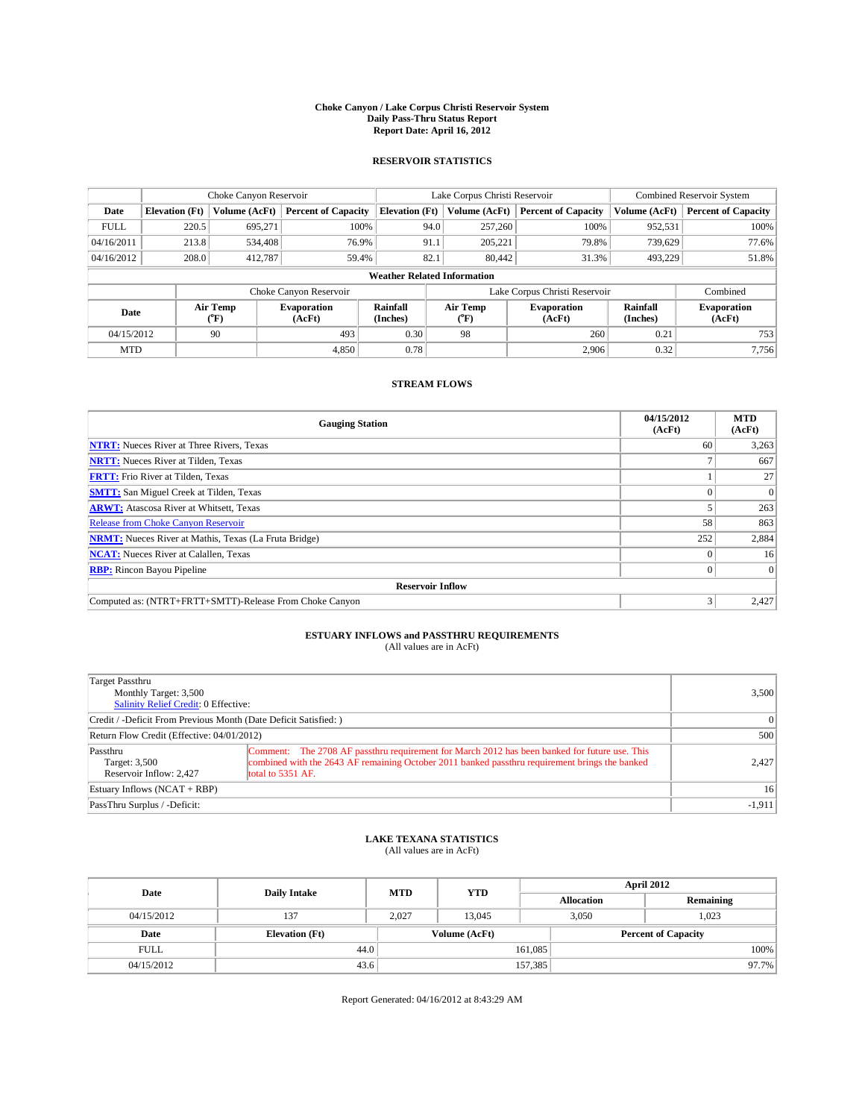### **Choke Canyon / Lake Corpus Christi Reservoir System Daily Pass-Thru Status Report Report Date: April 16, 2012**

### **RESERVOIR STATISTICS**

|             | Choke Canyon Reservoir |                  |                              |                                    | Lake Corpus Christi Reservoir | Combined Reservoir System    |                      |                              |
|-------------|------------------------|------------------|------------------------------|------------------------------------|-------------------------------|------------------------------|----------------------|------------------------------|
| Date        | <b>Elevation</b> (Ft)  | Volume (AcFt)    | <b>Percent of Capacity</b>   | <b>Elevation (Ft)</b>              | Volume (AcFt)                 | <b>Percent of Capacity</b>   | Volume (AcFt)        | <b>Percent of Capacity</b>   |
| <b>FULL</b> | 220.5                  | 695,271          | 100%                         | 94.0                               | 257,260                       | 100%                         | 952,531              | 100%                         |
| 04/16/2011  | 213.8                  | 534,408          | 76.9%                        | 91.1                               | 205,221                       | 79.8%                        | 739,629              | 77.6%                        |
| 04/16/2012  | 208.0                  | 412,787          | 59.4%                        | 82.1                               | 80,442                        | 31.3%                        | 493.229              | 51.8%                        |
|             |                        |                  |                              | <b>Weather Related Information</b> |                               |                              |                      |                              |
|             |                        |                  | Choke Canyon Reservoir       |                                    | Lake Corpus Christi Reservoir |                              | Combined             |                              |
| Date        |                        | Air Temp<br>(°F) | <b>Evaporation</b><br>(AcFt) | Rainfall<br>(Inches)               | Air Temp<br>("F)              | <b>Evaporation</b><br>(AcFt) | Rainfall<br>(Inches) | <b>Evaporation</b><br>(AcFt) |
| 04/15/2012  |                        | 90               | 493                          | 0.30                               | 98                            | 260                          | 0.21                 | 753                          |
| <b>MTD</b>  |                        |                  | 4.850                        | 0.78                               |                               | 2,906                        | 0.32                 | 7,756                        |

## **STREAM FLOWS**

| <b>Gauging Station</b>                                       | 04/15/2012<br>(AcFt) | <b>MTD</b><br>(AcFt) |  |  |  |  |
|--------------------------------------------------------------|----------------------|----------------------|--|--|--|--|
| <b>NTRT:</b> Nueces River at Three Rivers, Texas             | 60                   | 3,263                |  |  |  |  |
| <b>NRTT:</b> Nueces River at Tilden, Texas                   |                      | 667                  |  |  |  |  |
| <b>FRTT:</b> Frio River at Tilden, Texas                     |                      | 27                   |  |  |  |  |
| <b>SMTT:</b> San Miguel Creek at Tilden, Texas               |                      | $\Omega$             |  |  |  |  |
| <b>ARWT:</b> Atascosa River at Whitsett, Texas               |                      | 263                  |  |  |  |  |
| <b>Release from Choke Canyon Reservoir</b>                   | 58                   | 863                  |  |  |  |  |
| <b>NRMT:</b> Nueces River at Mathis, Texas (La Fruta Bridge) | 252                  | 2,884                |  |  |  |  |
| <b>NCAT:</b> Nueces River at Calallen, Texas                 |                      | 16                   |  |  |  |  |
| <b>RBP:</b> Rincon Bayou Pipeline                            | $\Omega$             | $\Omega$             |  |  |  |  |
| <b>Reservoir Inflow</b>                                      |                      |                      |  |  |  |  |
| Computed as: (NTRT+FRTT+SMTT)-Release From Choke Canyon      |                      | 2,427                |  |  |  |  |

# **ESTUARY INFLOWS and PASSTHRU REQUIREMENTS**<br>(All values are in AcFt)

| Target Passthru<br>Monthly Target: 3,500<br>Salinity Relief Credit: 0 Effective: |                                                                                                                                                                                                                      | 3,500    |
|----------------------------------------------------------------------------------|----------------------------------------------------------------------------------------------------------------------------------------------------------------------------------------------------------------------|----------|
| Credit / -Deficit From Previous Month (Date Deficit Satisfied: )                 | $\Omega$                                                                                                                                                                                                             |          |
| Return Flow Credit (Effective: 04/01/2012)                                       | 500                                                                                                                                                                                                                  |          |
| Passthru<br>Target: 3,500<br>Reservoir Inflow: 2.427                             | Comment: The 2708 AF passthru requirement for March 2012 has been banked for future use. This<br>combined with the 2643 AF remaining October 2011 banked passthru requirement brings the banked<br>total to 5351 AF. | 2.427    |
| Estuary Inflows $(NCAT + RBP)$                                                   | 16 <sup>1</sup>                                                                                                                                                                                                      |          |
| PassThru Surplus / -Deficit:                                                     |                                                                                                                                                                                                                      | $-1,911$ |

# **LAKE TEXANA STATISTICS** (All values are in AcFt)

| Date        |                       | <b>MTD</b> | <b>YTD</b>    | <b>April 2012</b> |                |                            |       |
|-------------|-----------------------|------------|---------------|-------------------|----------------|----------------------------|-------|
|             | <b>Daily Intake</b>   |            |               | <b>Allocation</b> |                | Remaining                  |       |
| 04/15/2012  | 137                   | 2.027      | 13.045        |                   | 1,023<br>3.050 |                            |       |
| Date        | <b>Elevation</b> (Ft) |            | Volume (AcFt) |                   |                | <b>Percent of Capacity</b> |       |
| <b>FULL</b> | 44.0                  |            |               | 161,085           |                |                            | 100%  |
| 04/15/2012  | 43.6                  |            |               | 157,385           |                |                            | 97.7% |

Report Generated: 04/16/2012 at 8:43:29 AM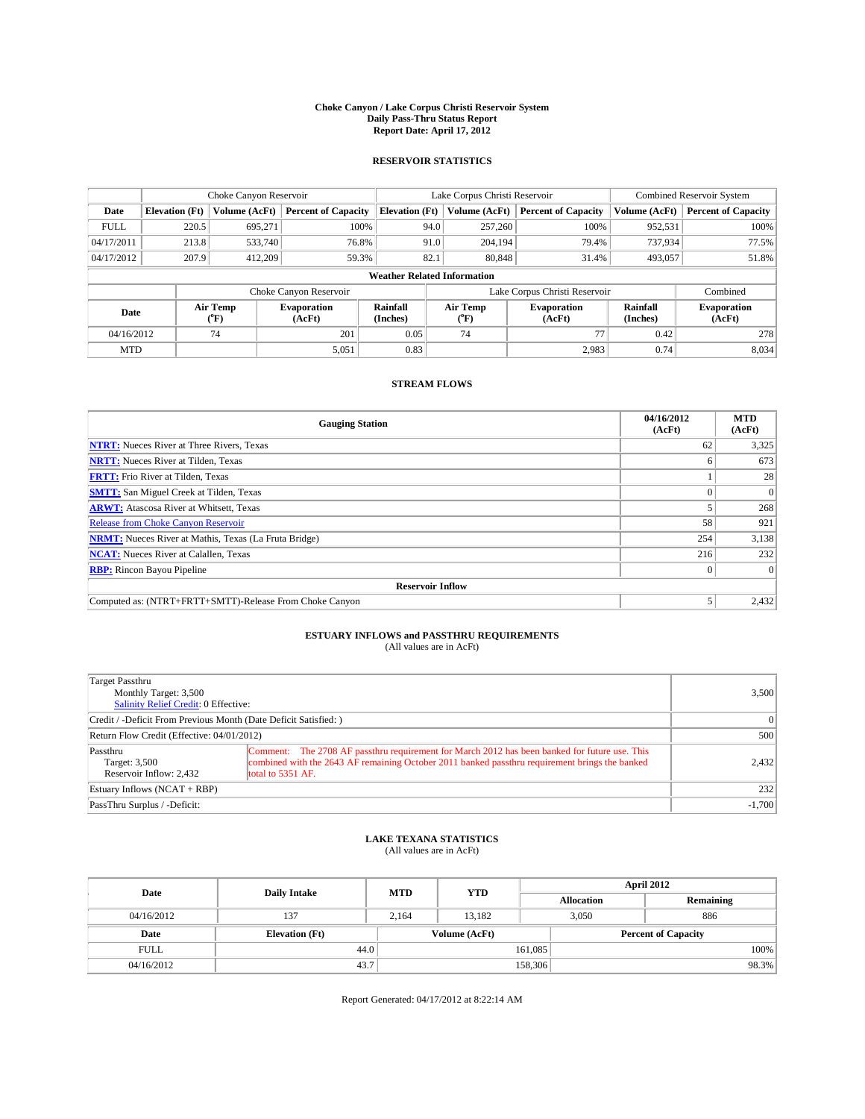### **Choke Canyon / Lake Corpus Christi Reservoir System Daily Pass-Thru Status Report Report Date: April 17, 2012**

### **RESERVOIR STATISTICS**

|             | Choke Canyon Reservoir |                  |                              |                                    | Lake Corpus Christi Reservoir | <b>Combined Reservoir System</b> |                      |                              |
|-------------|------------------------|------------------|------------------------------|------------------------------------|-------------------------------|----------------------------------|----------------------|------------------------------|
| Date        | <b>Elevation</b> (Ft)  | Volume (AcFt)    | <b>Percent of Capacity</b>   | <b>Elevation (Ft)</b>              | Volume (AcFt)                 | <b>Percent of Capacity</b>       | Volume (AcFt)        | <b>Percent of Capacity</b>   |
| <b>FULL</b> | 220.5                  | 695,271          | 100%                         | 94.0                               | 257,260                       | 100%                             | 952,531              | 100%                         |
| 04/17/2011  | 213.8                  | 533,740          | 76.8%                        | 91.0                               | 204,194                       | 79.4%                            | 737,934              | 77.5%                        |
| 04/17/2012  | 207.9                  | 412,209          | 59.3%                        | 82.1                               | 80,848                        | 31.4%                            | 493,057              | 51.8%                        |
|             |                        |                  |                              | <b>Weather Related Information</b> |                               |                                  |                      |                              |
|             |                        |                  | Choke Canyon Reservoir       |                                    | Lake Corpus Christi Reservoir |                                  | Combined             |                              |
| Date        |                        | Air Temp<br>(°F) | <b>Evaporation</b><br>(AcFt) | Rainfall<br>(Inches)               | Air Temp<br>(°F)              | <b>Evaporation</b><br>(AcFt)     | Rainfall<br>(Inches) | <b>Evaporation</b><br>(AcFt) |
| 04/16/2012  |                        | 74               | 201                          | 0.05                               | 74                            | 77                               | 0.42                 | 278                          |
| <b>MTD</b>  |                        |                  | 5,051                        | 0.83                               |                               | 2,983                            | 0.74                 | 8,034                        |

## **STREAM FLOWS**

| <b>Gauging Station</b>                                       | 04/16/2012<br>(AcFt) | <b>MTD</b><br>(AcFt) |  |  |  |
|--------------------------------------------------------------|----------------------|----------------------|--|--|--|
| <b>NTRT:</b> Nueces River at Three Rivers, Texas             | 62                   | 3,325                |  |  |  |
| <b>NRTT:</b> Nueces River at Tilden, Texas                   |                      | 673                  |  |  |  |
| <b>FRTT:</b> Frio River at Tilden, Texas                     |                      | 28                   |  |  |  |
| <b>SMTT:</b> San Miguel Creek at Tilden, Texas               |                      | $\Omega$             |  |  |  |
| <b>ARWT:</b> Atascosa River at Whitsett, Texas               |                      | 268                  |  |  |  |
| <b>Release from Choke Canyon Reservoir</b>                   | 58                   | 921                  |  |  |  |
| <b>NRMT:</b> Nueces River at Mathis, Texas (La Fruta Bridge) | 254                  | 3,138                |  |  |  |
| <b>NCAT:</b> Nueces River at Calallen, Texas                 | 216                  | 232                  |  |  |  |
| <b>RBP:</b> Rincon Bayou Pipeline                            | $\Omega$             | $\Omega$             |  |  |  |
| <b>Reservoir Inflow</b>                                      |                      |                      |  |  |  |
| Computed as: (NTRT+FRTT+SMTT)-Release From Choke Canyon      |                      | 2,432                |  |  |  |

# **ESTUARY INFLOWS and PASSTHRU REQUIREMENTS**<br>(All values are in AcFt)

| Target Passthru<br>Monthly Target: 3,500<br>Salinity Relief Credit: 0 Effective: | 3,500                                                                                                                                                                                                                |          |
|----------------------------------------------------------------------------------|----------------------------------------------------------------------------------------------------------------------------------------------------------------------------------------------------------------------|----------|
| Credit / -Deficit From Previous Month (Date Deficit Satisfied: )                 | $\vert$ 0                                                                                                                                                                                                            |          |
| Return Flow Credit (Effective: 04/01/2012)                                       | 500                                                                                                                                                                                                                  |          |
| Passthru<br>Target: 3,500<br>Reservoir Inflow: 2.432                             | Comment: The 2708 AF passthru requirement for March 2012 has been banked for future use. This<br>combined with the 2643 AF remaining October 2011 banked passthru requirement brings the banked<br>total to 5351 AF. | 2,432    |
| Estuary Inflows $(NCAT + RBP)$                                                   | 232                                                                                                                                                                                                                  |          |
| PassThru Surplus / -Deficit:                                                     |                                                                                                                                                                                                                      | $-1,700$ |

# **LAKE TEXANA STATISTICS** (All values are in AcFt)

| Date        | <b>Daily Intake</b>   | <b>MTD</b> | <b>YTD</b>    | <b>April 2012</b> |                            |           |  |
|-------------|-----------------------|------------|---------------|-------------------|----------------------------|-----------|--|
|             |                       |            |               | <b>Allocation</b> |                            | Remaining |  |
| 04/16/2012  | 137                   | 2.164      | 13.182        |                   | 3,050<br>886               |           |  |
| Date        | <b>Elevation</b> (Ft) |            | Volume (AcFt) |                   | <b>Percent of Capacity</b> |           |  |
| <b>FULL</b> | 44.0                  |            |               | 161,085           |                            | 100%      |  |
| 04/16/2012  | 43.7                  |            |               | 158,306           |                            | 98.3%     |  |

Report Generated: 04/17/2012 at 8:22:14 AM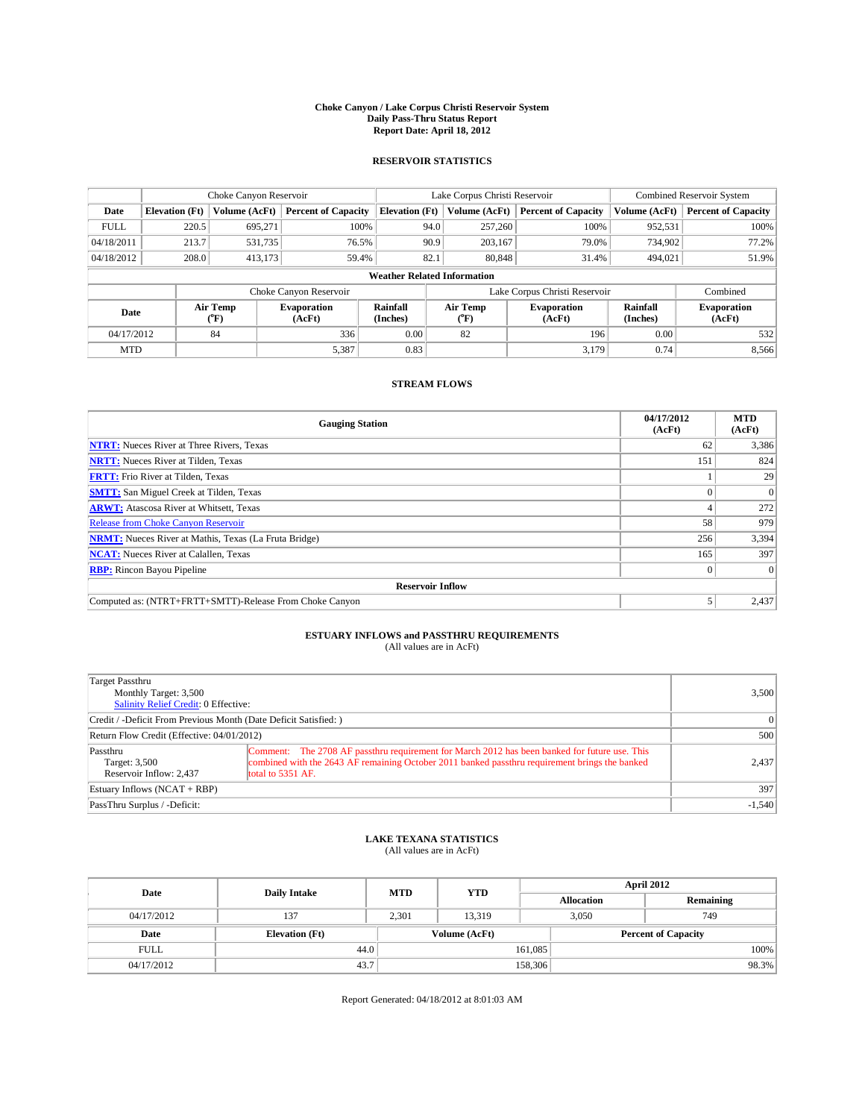### **Choke Canyon / Lake Corpus Christi Reservoir System Daily Pass-Thru Status Report Report Date: April 18, 2012**

### **RESERVOIR STATISTICS**

|             | Choke Canyon Reservoir |                  |                              |                                    | Lake Corpus Christi Reservoir | Combined Reservoir System    |                      |                              |
|-------------|------------------------|------------------|------------------------------|------------------------------------|-------------------------------|------------------------------|----------------------|------------------------------|
| Date        | <b>Elevation</b> (Ft)  | Volume (AcFt)    | <b>Percent of Capacity</b>   | <b>Elevation (Ft)</b>              | Volume (AcFt)                 | <b>Percent of Capacity</b>   | Volume (AcFt)        | <b>Percent of Capacity</b>   |
| <b>FULL</b> | 220.5                  | 695,271          | 100%                         | 94.0                               | 257,260                       | 100%                         | 952,531              | 100%                         |
| 04/18/2011  | 213.7                  | 531,735          | 76.5%                        | 90.9                               | 203,167                       | 79.0%                        | 734,902              | 77.2%                        |
| 04/18/2012  | 208.0                  | 413,173          | 59.4%                        | 82.1                               | 80,848                        | 31.4%                        | 494.021              | 51.9%                        |
|             |                        |                  |                              | <b>Weather Related Information</b> |                               |                              |                      |                              |
|             |                        |                  | Choke Canyon Reservoir       |                                    | Lake Corpus Christi Reservoir |                              | Combined             |                              |
| Date        |                        | Air Temp<br>(°F) | <b>Evaporation</b><br>(AcFt) | Rainfall<br>(Inches)               | Air Temp<br>(°F)              | <b>Evaporation</b><br>(AcFt) | Rainfall<br>(Inches) | <b>Evaporation</b><br>(AcFt) |
| 04/17/2012  |                        | 84               | 336                          | 0.00                               | 82                            | 196                          | 0.00                 | 532                          |
| <b>MTD</b>  |                        |                  | 5,387                        | 0.83                               |                               | 3,179                        | 0.74                 | 8,566                        |

## **STREAM FLOWS**

| <b>Gauging Station</b>                                       | 04/17/2012<br>(AcFt) | <b>MTD</b><br>(AcFt) |  |  |  |  |
|--------------------------------------------------------------|----------------------|----------------------|--|--|--|--|
| <b>NTRT:</b> Nueces River at Three Rivers, Texas             | 62                   | 3,386                |  |  |  |  |
| <b>NRTT:</b> Nueces River at Tilden, Texas                   | 151                  | 824                  |  |  |  |  |
| <b>FRTT:</b> Frio River at Tilden, Texas                     |                      | 29                   |  |  |  |  |
| <b>SMTT:</b> San Miguel Creek at Tilden, Texas               |                      | $\Omega$             |  |  |  |  |
| <b>ARWT:</b> Atascosa River at Whitsett, Texas               |                      | 272                  |  |  |  |  |
| <b>Release from Choke Canyon Reservoir</b>                   | 58                   | 979                  |  |  |  |  |
| <b>NRMT:</b> Nueces River at Mathis, Texas (La Fruta Bridge) | 256                  | 3,394                |  |  |  |  |
| <b>NCAT:</b> Nueces River at Calallen, Texas                 | 165                  | 397                  |  |  |  |  |
| <b>RBP:</b> Rincon Bayou Pipeline                            | $\Omega$             | $\Omega$             |  |  |  |  |
| <b>Reservoir Inflow</b>                                      |                      |                      |  |  |  |  |
| Computed as: (NTRT+FRTT+SMTT)-Release From Choke Canyon      |                      | 2,437                |  |  |  |  |

# **ESTUARY INFLOWS and PASSTHRU REQUIREMENTS**<br>(All values are in AcFt)

| Target Passthru<br>Monthly Target: 3,500<br>Salinity Relief Credit: 0 Effective: | 3,500                                                                                                                                                                                                                |          |
|----------------------------------------------------------------------------------|----------------------------------------------------------------------------------------------------------------------------------------------------------------------------------------------------------------------|----------|
| Credit / -Deficit From Previous Month (Date Deficit Satisfied: )                 | $\vert$ 0                                                                                                                                                                                                            |          |
| Return Flow Credit (Effective: 04/01/2012)                                       | 500                                                                                                                                                                                                                  |          |
| Passthru<br>Target: 3,500<br>Reservoir Inflow: 2.437                             | Comment: The 2708 AF passthru requirement for March 2012 has been banked for future use. This<br>combined with the 2643 AF remaining October 2011 banked passthru requirement brings the banked<br>total to 5351 AF. | 2,437    |
| Estuary Inflows $(NCAT + RBP)$                                                   | 397                                                                                                                                                                                                                  |          |
| PassThru Surplus / -Deficit:                                                     |                                                                                                                                                                                                                      | $-1,540$ |

# **LAKE TEXANA STATISTICS** (All values are in AcFt)

| Date        | <b>Daily Intake</b>   | <b>MTD</b> | <b>YTD</b>    | <b>April 2012</b> |              |                            |  |
|-------------|-----------------------|------------|---------------|-------------------|--------------|----------------------------|--|
|             |                       |            |               | <b>Allocation</b> |              | Remaining                  |  |
| 04/17/2012  | 137                   | 2.301      | 13.319        |                   | 3,050<br>749 |                            |  |
| Date        | <b>Elevation</b> (Ft) |            | Volume (AcFt) |                   |              | <b>Percent of Capacity</b> |  |
| <b>FULL</b> | 44.0                  |            |               | 161,085           |              | 100%                       |  |
| 04/17/2012  | 43.7                  |            |               | 158,306           |              | 98.3%                      |  |

Report Generated: 04/18/2012 at 8:01:03 AM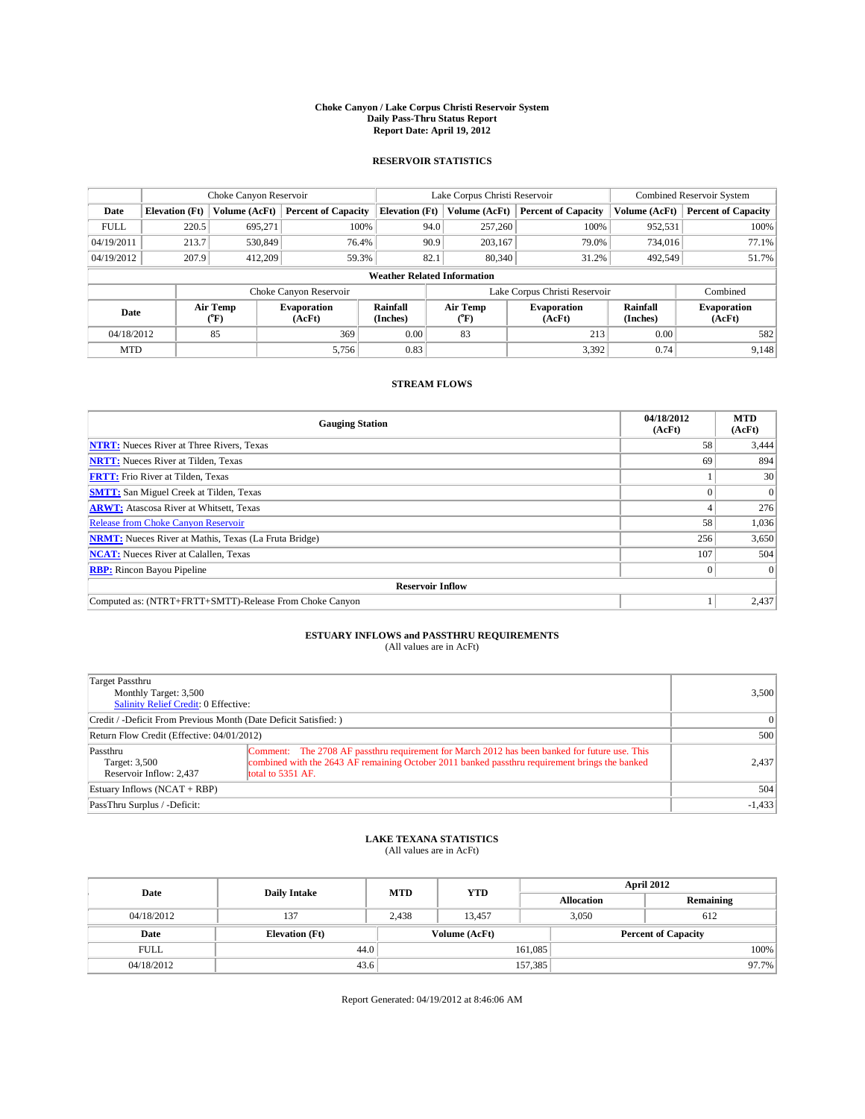### **Choke Canyon / Lake Corpus Christi Reservoir System Daily Pass-Thru Status Report Report Date: April 19, 2012**

### **RESERVOIR STATISTICS**

|             |                       | Choke Canyon Reservoir |                              |                                    | Lake Corpus Christi Reservoir | <b>Combined Reservoir System</b> |                      |                              |
|-------------|-----------------------|------------------------|------------------------------|------------------------------------|-------------------------------|----------------------------------|----------------------|------------------------------|
| Date        | <b>Elevation</b> (Ft) | Volume (AcFt)          | <b>Percent of Capacity</b>   | <b>Elevation (Ft)</b>              | Volume (AcFt)                 | <b>Percent of Capacity</b>       | Volume (AcFt)        | <b>Percent of Capacity</b>   |
| <b>FULL</b> | 220.5                 | 695,271                | 100%                         | 94.0                               | 257,260                       | 100%                             | 952,531              | 100%                         |
| 04/19/2011  | 213.7                 | 530,849                | 76.4%                        | 90.9                               | 203,167                       | 79.0%                            | 734,016              | 77.1%                        |
| 04/19/2012  | 207.9                 | 412,209                | 59.3%                        | 82.1                               | 80,340                        | 31.2%                            | 492.549              | 51.7%                        |
|             |                       |                        |                              | <b>Weather Related Information</b> |                               |                                  |                      |                              |
|             |                       |                        | Choke Canyon Reservoir       |                                    | Lake Corpus Christi Reservoir |                                  | Combined             |                              |
| Date        |                       | Air Temp<br>(°F)       | <b>Evaporation</b><br>(AcFt) | Rainfall<br>(Inches)               | Air Temp<br>(°F)              | <b>Evaporation</b><br>(AcFt)     | Rainfall<br>(Inches) | <b>Evaporation</b><br>(AcFt) |
| 04/18/2012  |                       | 85                     | 369                          | 0.00                               | 83                            | 213                              | 0.00                 | 582                          |
| <b>MTD</b>  |                       |                        | 5,756                        | 0.83                               |                               | 3,392                            | 0.74                 | 9,148                        |

## **STREAM FLOWS**

| <b>Gauging Station</b>                                       | 04/18/2012<br>(AcFt) | <b>MTD</b><br>(AcFt) |  |  |  |  |
|--------------------------------------------------------------|----------------------|----------------------|--|--|--|--|
| <b>NTRT:</b> Nueces River at Three Rivers, Texas             | 58                   | 3,444                |  |  |  |  |
| <b>NRTT:</b> Nueces River at Tilden, Texas                   | 69                   | 894                  |  |  |  |  |
| <b>FRTT:</b> Frio River at Tilden, Texas                     |                      | 30                   |  |  |  |  |
| <b>SMTT:</b> San Miguel Creek at Tilden, Texas               |                      | $\Omega$             |  |  |  |  |
| <b>ARWT:</b> Atascosa River at Whitsett, Texas               |                      | 276                  |  |  |  |  |
| <b>Release from Choke Canyon Reservoir</b>                   | 58                   | 1,036                |  |  |  |  |
| <b>NRMT:</b> Nueces River at Mathis, Texas (La Fruta Bridge) | 256                  | 3,650                |  |  |  |  |
| <b>NCAT:</b> Nueces River at Calallen, Texas                 | 107                  | 504                  |  |  |  |  |
| <b>RBP:</b> Rincon Bayou Pipeline                            | $\Omega$             | $\Omega$             |  |  |  |  |
| <b>Reservoir Inflow</b>                                      |                      |                      |  |  |  |  |
| Computed as: (NTRT+FRTT+SMTT)-Release From Choke Canyon      |                      | 2,437                |  |  |  |  |

# **ESTUARY INFLOWS and PASSTHRU REQUIREMENTS**<br>(All values are in AcFt)

| Target Passthru<br>Monthly Target: 3,500<br>Salinity Relief Credit: 0 Effective: | 3,500                                                                                                                                                                                                                |          |
|----------------------------------------------------------------------------------|----------------------------------------------------------------------------------------------------------------------------------------------------------------------------------------------------------------------|----------|
| Credit / -Deficit From Previous Month (Date Deficit Satisfied: )                 | $\vert$ 0                                                                                                                                                                                                            |          |
| Return Flow Credit (Effective: 04/01/2012)                                       | 500                                                                                                                                                                                                                  |          |
| Passthru<br>Target: 3,500<br>Reservoir Inflow: 2.437                             | Comment: The 2708 AF passthru requirement for March 2012 has been banked for future use. This<br>combined with the 2643 AF remaining October 2011 banked passthru requirement brings the banked<br>total to 5351 AF. | 2,437    |
| Estuary Inflows $(NCAT + RBP)$                                                   | 504                                                                                                                                                                                                                  |          |
| PassThru Surplus / -Deficit:                                                     |                                                                                                                                                                                                                      | $-1,433$ |

# **LAKE TEXANA STATISTICS** (All values are in AcFt)

| Date        | <b>Daily Intake</b>   | <b>MTD</b>    | <b>YTD</b> | April 2012        |                            |  |  |
|-------------|-----------------------|---------------|------------|-------------------|----------------------------|--|--|
|             |                       |               |            | <b>Allocation</b> | Remaining                  |  |  |
| 04/18/2012  | 137                   | 2,438         | 13.457     | 3.050             | 612                        |  |  |
| Date        | <b>Elevation</b> (Ft) | Volume (AcFt) |            |                   | <b>Percent of Capacity</b> |  |  |
| <b>FULL</b> | 44.0                  |               |            | 161,085           | 100%                       |  |  |
| 04/18/2012  | 43.6                  |               |            | 157,385           | 97.7%                      |  |  |

Report Generated: 04/19/2012 at 8:46:06 AM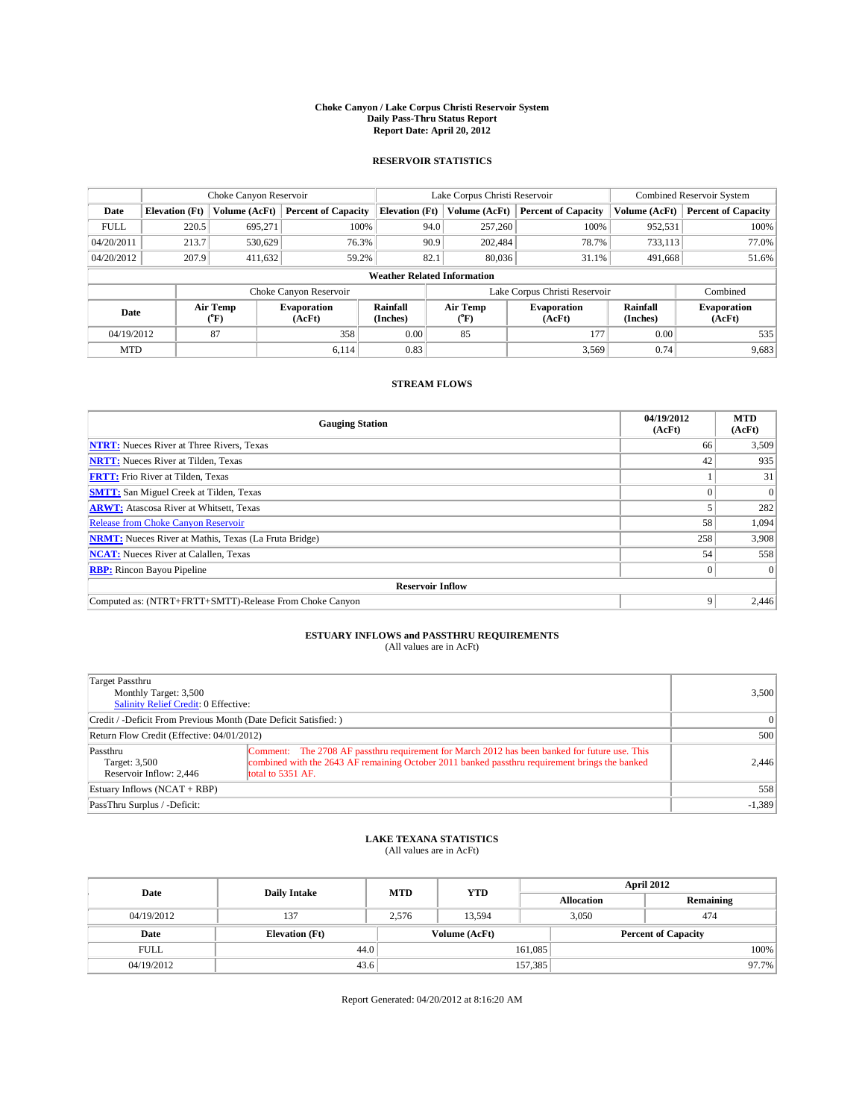### **Choke Canyon / Lake Corpus Christi Reservoir System Daily Pass-Thru Status Report Report Date: April 20, 2012**

### **RESERVOIR STATISTICS**

|             | Choke Canyon Reservoir |                  |                              |                                    | Lake Corpus Christi Reservoir |                                                  |                            |                      | <b>Combined Reservoir System</b> |  |  |
|-------------|------------------------|------------------|------------------------------|------------------------------------|-------------------------------|--------------------------------------------------|----------------------------|----------------------|----------------------------------|--|--|
| Date        | <b>Elevation</b> (Ft)  | Volume (AcFt)    | <b>Percent of Capacity</b>   | <b>Elevation (Ft)</b>              |                               | Volume (AcFt)                                    | <b>Percent of Capacity</b> | Volume (AcFt)        | <b>Percent of Capacity</b>       |  |  |
| <b>FULL</b> | 220.5                  | 695,271          | 100%                         |                                    | 94.0                          | 257,260                                          | 100%                       | 952,531              | 100%                             |  |  |
| 04/20/2011  | 213.7                  | 530,629          | 76.3%                        |                                    | 90.9                          | 202,484                                          | 78.7%                      | 733,113              | 77.0%                            |  |  |
| 04/20/2012  | 207.9                  | 411,632          | 59.2%                        |                                    | 82.1                          | 80,036                                           | 31.1%                      | 491.668              | 51.6%                            |  |  |
|             |                        |                  |                              | <b>Weather Related Information</b> |                               |                                                  |                            |                      |                                  |  |  |
|             |                        |                  | Choke Canyon Reservoir       |                                    | Lake Corpus Christi Reservoir |                                                  |                            |                      | Combined                         |  |  |
| Date        |                        | Air Temp<br>(°F) | <b>Evaporation</b><br>(AcFt) | Rainfall<br>(Inches)               |                               | Air Temp<br><b>Evaporation</b><br>(AcFt)<br>("F) |                            | Rainfall<br>(Inches) | <b>Evaporation</b><br>(AcFt)     |  |  |
| 04/19/2012  |                        | 87               | 358                          | 0.00                               |                               | 85                                               | 177                        | 0.00                 | 535                              |  |  |
| <b>MTD</b>  |                        |                  | 6.114                        | 0.83                               |                               |                                                  | 3,569                      | 0.74                 | 9,683                            |  |  |

### **STREAM FLOWS**

| <b>Gauging Station</b>                                       | 04/19/2012<br>(AcFt) | <b>MTD</b><br>(AcFt) |  |  |  |  |
|--------------------------------------------------------------|----------------------|----------------------|--|--|--|--|
| <b>NTRT:</b> Nueces River at Three Rivers, Texas             | 66                   | 3,509                |  |  |  |  |
| <b>NRTT:</b> Nueces River at Tilden, Texas                   | 42                   | 935                  |  |  |  |  |
| <b>FRTT:</b> Frio River at Tilden, Texas                     |                      | 31                   |  |  |  |  |
| <b>SMTT:</b> San Miguel Creek at Tilden, Texas               |                      | $\Omega$             |  |  |  |  |
| <b>ARWT:</b> Atascosa River at Whitsett, Texas               |                      | 282                  |  |  |  |  |
| <b>Release from Choke Canyon Reservoir</b>                   | 58                   | 1,094                |  |  |  |  |
| <b>NRMT:</b> Nueces River at Mathis, Texas (La Fruta Bridge) | 258                  | 3,908                |  |  |  |  |
| <b>NCAT:</b> Nueces River at Calallen, Texas                 | 54                   | 558                  |  |  |  |  |
| <b>RBP:</b> Rincon Bayou Pipeline                            | $\overline{0}$       | $\Omega$             |  |  |  |  |
| <b>Reservoir Inflow</b>                                      |                      |                      |  |  |  |  |
| Computed as: (NTRT+FRTT+SMTT)-Release From Choke Canyon      | 9                    | 2,446                |  |  |  |  |

# **ESTUARY INFLOWS and PASSTHRU REQUIREMENTS**<br>(All values are in AcFt)

| Target Passthru<br>Monthly Target: 3,500<br>Salinity Relief Credit: 0 Effective: | 3,500                                                                                                                                                                                                                |          |
|----------------------------------------------------------------------------------|----------------------------------------------------------------------------------------------------------------------------------------------------------------------------------------------------------------------|----------|
| Credit / -Deficit From Previous Month (Date Deficit Satisfied: )                 |                                                                                                                                                                                                                      | $\Omega$ |
| Return Flow Credit (Effective: 04/01/2012)                                       | 500                                                                                                                                                                                                                  |          |
| Passthru<br>Target: 3,500<br>Reservoir Inflow: 2.446                             | Comment: The 2708 AF passthru requirement for March 2012 has been banked for future use. This<br>combined with the 2643 AF remaining October 2011 banked passthru requirement brings the banked<br>total to 5351 AF. | 2,446    |
| Estuary Inflows (NCAT + RBP)                                                     | 558                                                                                                                                                                                                                  |          |
| PassThru Surplus / -Deficit:                                                     |                                                                                                                                                                                                                      | $-1,389$ |

## **LAKE TEXANA STATISTICS** (All values are in AcFt)

| Date        | <b>Daily Intake</b>   | <b>MTD</b>    | <b>YTD</b> | April 2012        |                            |           |  |
|-------------|-----------------------|---------------|------------|-------------------|----------------------------|-----------|--|
|             |                       |               |            | <b>Allocation</b> |                            | Remaining |  |
| 04/19/2012  | 137                   | 2,576         | 13,594     |                   | 3,050<br>474               |           |  |
| Date        | <b>Elevation (Ft)</b> | Volume (AcFt) |            |                   | <b>Percent of Capacity</b> |           |  |
| <b>FULL</b> | 44.0                  |               |            | 161,085           |                            | 100%      |  |
| 04/19/2012  | 43.6                  |               |            | 157,385           |                            | 97.7%     |  |

Report Generated: 04/20/2012 at 8:16:20 AM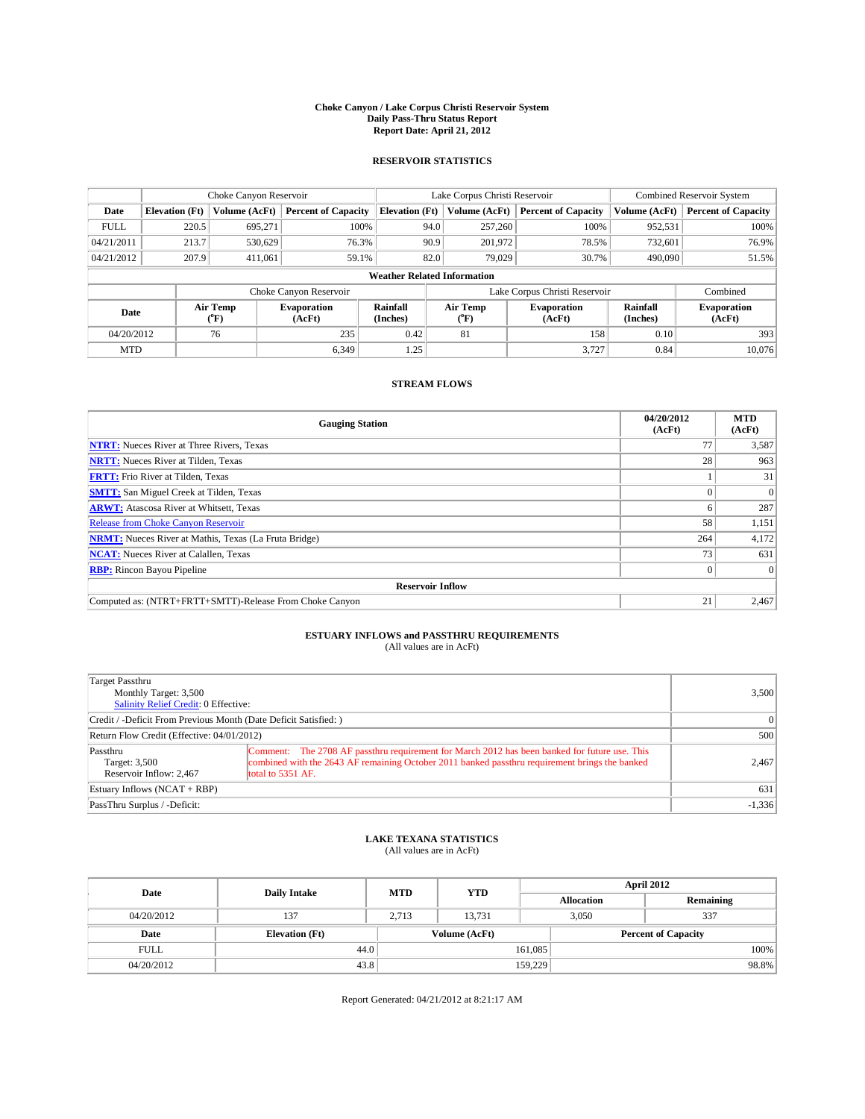### **Choke Canyon / Lake Corpus Christi Reservoir System Daily Pass-Thru Status Report Report Date: April 21, 2012**

### **RESERVOIR STATISTICS**

|             |                       | Choke Canyon Reservoir |                              |                                    | Lake Corpus Christi Reservoir | <b>Combined Reservoir System</b> |               |                              |
|-------------|-----------------------|------------------------|------------------------------|------------------------------------|-------------------------------|----------------------------------|---------------|------------------------------|
| Date        | <b>Elevation</b> (Ft) | Volume (AcFt)          | <b>Percent of Capacity</b>   | <b>Elevation (Ft)</b>              | Volume (AcFt)                 | <b>Percent of Capacity</b>       | Volume (AcFt) | <b>Percent of Capacity</b>   |
| <b>FULL</b> | 220.5                 | 695,271                | 100%                         | 94.0                               | 257,260                       | 100%                             | 952,531       | 100%                         |
| 04/21/2011  | 213.7                 | 530,629                | 76.3%                        | 90.9                               | 201,972                       | 78.5%                            | 732,601       | 76.9%                        |
| 04/21/2012  | 207.9                 | 411.061                | 59.1%                        | 82.0                               | 79,029                        | 30.7%                            | 490,090       | 51.5%                        |
|             |                       |                        |                              | <b>Weather Related Information</b> |                               |                                  |               |                              |
|             |                       |                        | Choke Canyon Reservoir       |                                    | Lake Corpus Christi Reservoir |                                  | Combined      |                              |
| Date        |                       | Air Temp<br>(°F)       | <b>Evaporation</b><br>(AcFt) | Rainfall<br>(Inches)               | Air Temp<br>(°F)              | <b>Evaporation</b><br>(AcFt)     |               | <b>Evaporation</b><br>(AcFt) |
| 04/20/2012  |                       | 76                     | 235                          | 0.42                               | 81                            | 158                              | 0.10          | 393                          |
| <b>MTD</b>  |                       |                        | 6.349                        | 1.25                               |                               | 3.727                            | 0.84          | 10.076                       |

## **STREAM FLOWS**

| <b>Gauging Station</b>                                       | 04/20/2012<br>(AcFt) | <b>MTD</b><br>(AcFt) |  |  |  |
|--------------------------------------------------------------|----------------------|----------------------|--|--|--|
| <b>NTRT:</b> Nueces River at Three Rivers, Texas             |                      | 3,587                |  |  |  |
| <b>NRTT:</b> Nueces River at Tilden, Texas                   | 28                   | 963                  |  |  |  |
| <b>FRTT:</b> Frio River at Tilden, Texas                     |                      | 31                   |  |  |  |
| <b>SMTT:</b> San Miguel Creek at Tilden, Texas               |                      | $\Omega$             |  |  |  |
| <b>ARWT:</b> Atascosa River at Whitsett, Texas               |                      | 287                  |  |  |  |
| <b>Release from Choke Canyon Reservoir</b>                   | 58                   | 1,151                |  |  |  |
| <b>NRMT:</b> Nueces River at Mathis, Texas (La Fruta Bridge) | 264                  | 4,172                |  |  |  |
| <b>NCAT:</b> Nueces River at Calallen, Texas                 | 73                   | 631                  |  |  |  |
| <b>RBP:</b> Rincon Bayou Pipeline                            | $\Omega$             | $\Omega$             |  |  |  |
| <b>Reservoir Inflow</b>                                      |                      |                      |  |  |  |
| Computed as: (NTRT+FRTT+SMTT)-Release From Choke Canyon      | 21                   | 2,467                |  |  |  |

# **ESTUARY INFLOWS and PASSTHRU REQUIREMENTS**<br>(All values are in AcFt)

| Target Passthru<br>Monthly Target: 3,500<br>Salinity Relief Credit: 0 Effective: | 3,500                                                                                                                                                                                                                |          |
|----------------------------------------------------------------------------------|----------------------------------------------------------------------------------------------------------------------------------------------------------------------------------------------------------------------|----------|
| Credit / -Deficit From Previous Month (Date Deficit Satisfied: )                 | $\vert$ 0                                                                                                                                                                                                            |          |
| Return Flow Credit (Effective: 04/01/2012)                                       | 500                                                                                                                                                                                                                  |          |
| Passthru<br>Target: 3,500<br>Reservoir Inflow: 2.467                             | Comment: The 2708 AF passthru requirement for March 2012 has been banked for future use. This<br>combined with the 2643 AF remaining October 2011 banked passthru requirement brings the banked<br>total to 5351 AF. | 2,467    |
| Estuary Inflows $(NCAT + RBP)$                                                   | 631                                                                                                                                                                                                                  |          |
| PassThru Surplus / -Deficit:                                                     |                                                                                                                                                                                                                      | $-1,336$ |

# **LAKE TEXANA STATISTICS** (All values are in AcFt)

| Date        | <b>Daily Intake</b>   | <b>MTD</b>    | <b>YTD</b> | <b>April 2012</b> |                            |           |  |
|-------------|-----------------------|---------------|------------|-------------------|----------------------------|-----------|--|
|             |                       |               |            | <b>Allocation</b> |                            | Remaining |  |
| 04/20/2012  | 137                   | 2.713         | 13.731     |                   | 337<br>3.050               |           |  |
| Date        | <b>Elevation</b> (Ft) | Volume (AcFt) |            |                   | <b>Percent of Capacity</b> |           |  |
| <b>FULL</b> | 44.0                  |               |            | 161,085           |                            | 100%      |  |
| 04/20/2012  | 43.8                  |               |            | 159,229           |                            | 98.8%     |  |

Report Generated: 04/21/2012 at 8:21:17 AM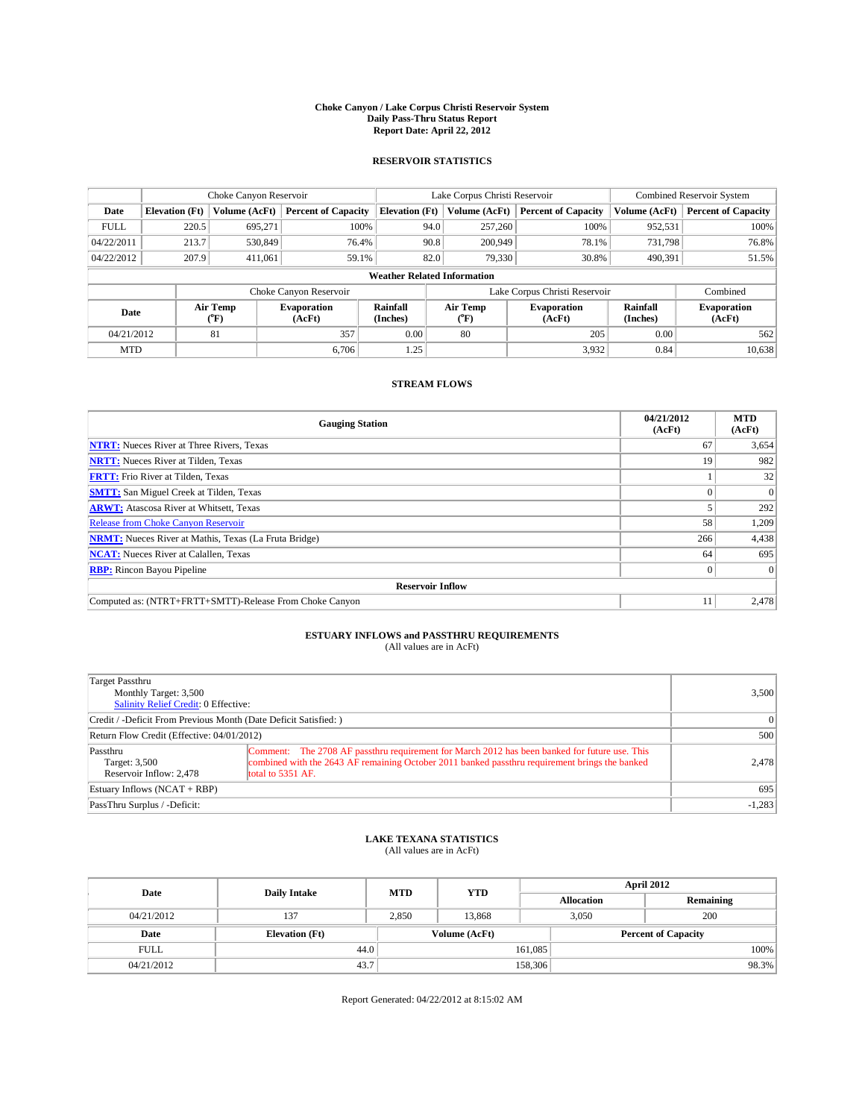### **Choke Canyon / Lake Corpus Christi Reservoir System Daily Pass-Thru Status Report Report Date: April 22, 2012**

### **RESERVOIR STATISTICS**

|             |                       | Choke Canyon Reservoir |                              |                                    | Lake Corpus Christi Reservoir | <b>Combined Reservoir System</b> |               |                              |
|-------------|-----------------------|------------------------|------------------------------|------------------------------------|-------------------------------|----------------------------------|---------------|------------------------------|
| Date        | <b>Elevation</b> (Ft) | Volume (AcFt)          | <b>Percent of Capacity</b>   | <b>Elevation (Ft)</b>              | Volume (AcFt)                 | <b>Percent of Capacity</b>       | Volume (AcFt) | <b>Percent of Capacity</b>   |
| <b>FULL</b> | 220.5                 | 695,271                | 100%                         | 94.0                               | 257,260                       | 100%                             | 952,531       | 100%                         |
| 04/22/2011  | 213.7                 | 530,849                | 76.4%                        | 90.8                               | 200,949                       | 78.1%                            | 731,798       | 76.8%                        |
| 04/22/2012  | 207.9                 | 411.061                | 59.1%                        | 82.0                               | 79,330                        | 30.8%                            | 490,391       | 51.5%                        |
|             |                       |                        |                              | <b>Weather Related Information</b> |                               |                                  |               |                              |
|             |                       |                        | Choke Canyon Reservoir       |                                    |                               | Lake Corpus Christi Reservoir    |               | Combined                     |
| Date        |                       | Air Temp<br>(°F)       | <b>Evaporation</b><br>(AcFt) | Rainfall<br>(Inches)               | Air Temp<br>(°F)              | <b>Evaporation</b><br>(AcFt)     |               | <b>Evaporation</b><br>(AcFt) |
| 04/21/2012  |                       | 81                     | 357                          | 0.00                               | 80                            | 205                              | 0.00          | 562                          |
| <b>MTD</b>  |                       |                        | 6.706                        | 1.25                               |                               | 3,932                            | 0.84          | 10,638                       |

## **STREAM FLOWS**

| <b>Gauging Station</b>                                       | 04/21/2012<br>(AcFt) | <b>MTD</b><br>(AcFt) |  |  |  |
|--------------------------------------------------------------|----------------------|----------------------|--|--|--|
| <b>NTRT:</b> Nueces River at Three Rivers, Texas             | 67                   | 3,654                |  |  |  |
| <b>NRTT:</b> Nueces River at Tilden, Texas                   | 19                   | 982                  |  |  |  |
| <b>FRTT:</b> Frio River at Tilden, Texas                     |                      | 32                   |  |  |  |
| <b>SMTT:</b> San Miguel Creek at Tilden, Texas               |                      | $\Omega$             |  |  |  |
| <b>ARWT:</b> Atascosa River at Whitsett, Texas               |                      | 292                  |  |  |  |
| <b>Release from Choke Canyon Reservoir</b>                   | 58                   | 1,209                |  |  |  |
| <b>NRMT:</b> Nueces River at Mathis, Texas (La Fruta Bridge) | 266                  | 4,438                |  |  |  |
| <b>NCAT:</b> Nueces River at Calallen, Texas                 | 64                   | 695                  |  |  |  |
| <b>RBP:</b> Rincon Bayou Pipeline                            | $\Omega$             | $\Omega$             |  |  |  |
| <b>Reservoir Inflow</b>                                      |                      |                      |  |  |  |
| Computed as: (NTRT+FRTT+SMTT)-Release From Choke Canyon      |                      | 2,478                |  |  |  |

# **ESTUARY INFLOWS and PASSTHRU REQUIREMENTS**<br>(All values are in AcFt)

| Target Passthru<br>Monthly Target: 3,500<br>Salinity Relief Credit: 0 Effective: | 3,500                                                                                                                                                                                                                |          |
|----------------------------------------------------------------------------------|----------------------------------------------------------------------------------------------------------------------------------------------------------------------------------------------------------------------|----------|
| Credit / -Deficit From Previous Month (Date Deficit Satisfied: )                 | $\Omega$                                                                                                                                                                                                             |          |
| Return Flow Credit (Effective: 04/01/2012)                                       | 500                                                                                                                                                                                                                  |          |
| Passthru<br>Target: 3,500<br>Reservoir Inflow: 2.478                             | Comment: The 2708 AF passthru requirement for March 2012 has been banked for future use. This<br>combined with the 2643 AF remaining October 2011 banked passthru requirement brings the banked<br>total to 5351 AF. | 2.478    |
| Estuary Inflows $(NCAT + RBP)$                                                   | 695                                                                                                                                                                                                                  |          |
| PassThru Surplus / -Deficit:                                                     |                                                                                                                                                                                                                      | $-1,283$ |

# **LAKE TEXANA STATISTICS** (All values are in AcFt)

| Date        | <b>Daily Intake</b>   | <b>MTD</b>    | <b>YTD</b> | <b>April 2012</b>          |                   |           |  |
|-------------|-----------------------|---------------|------------|----------------------------|-------------------|-----------|--|
|             |                       |               |            |                            | <b>Allocation</b> | Remaining |  |
| 04/21/2012  | 137                   | 2,850         | 13.868     |                            | 200<br>3,050      |           |  |
| Date        | <b>Elevation</b> (Ft) | Volume (AcFt) |            | <b>Percent of Capacity</b> |                   |           |  |
| <b>FULL</b> | 44.0                  |               |            | 161,085                    |                   | 100%      |  |
| 04/21/2012  | 43.7                  |               |            | 158,306                    |                   | 98.3%     |  |

Report Generated: 04/22/2012 at 8:15:02 AM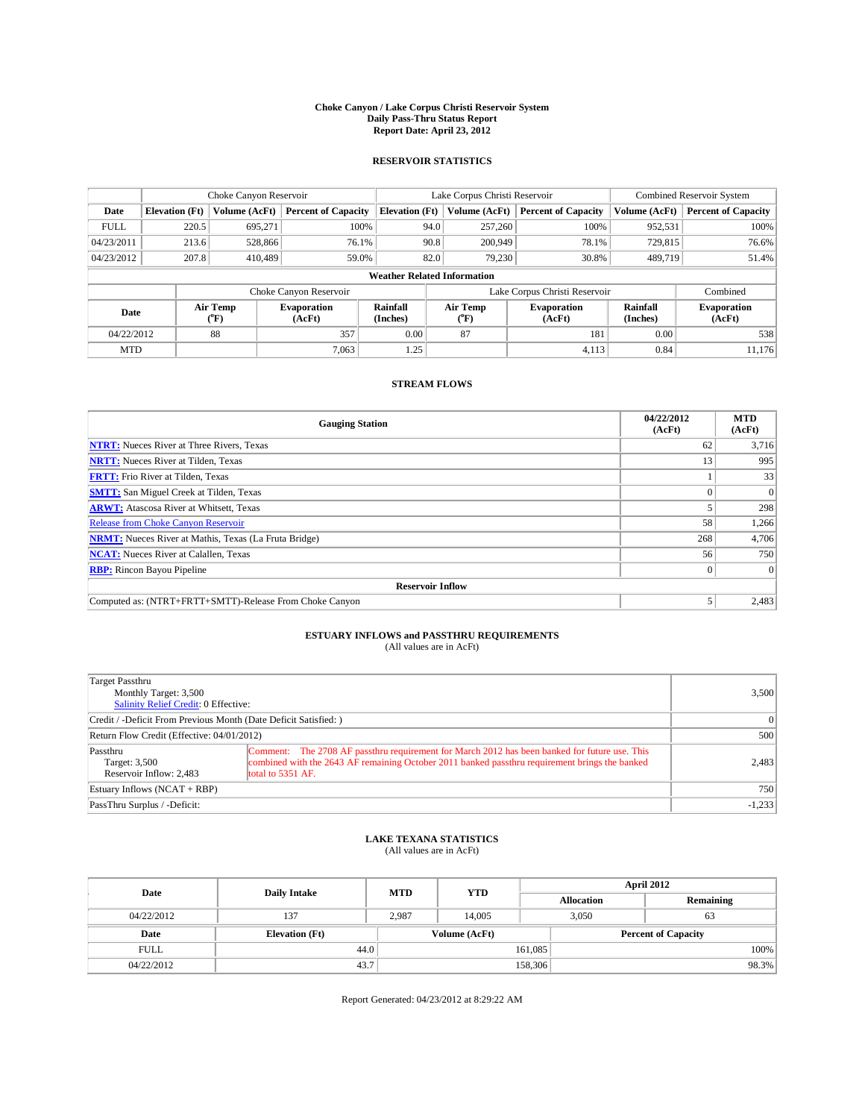### **Choke Canyon / Lake Corpus Christi Reservoir System Daily Pass-Thru Status Report Report Date: April 23, 2012**

### **RESERVOIR STATISTICS**

|             |                       | Choke Canyon Reservoir |                              |                                    | Lake Corpus Christi Reservoir | Combined Reservoir System     |                      |                              |
|-------------|-----------------------|------------------------|------------------------------|------------------------------------|-------------------------------|-------------------------------|----------------------|------------------------------|
| Date        | <b>Elevation</b> (Ft) | Volume (AcFt)          | <b>Percent of Capacity</b>   | <b>Elevation (Ft)</b>              | Volume (AcFt)                 | <b>Percent of Capacity</b>    | Volume (AcFt)        | <b>Percent of Capacity</b>   |
| <b>FULL</b> | 220.5                 | 695,271                | 100%                         | 94.0                               | 257,260                       | 100%                          | 952,531              | 100%                         |
| 04/23/2011  | 213.6                 | 528,866                | 76.1%                        | 90.8                               | 200,949                       | 78.1%                         | 729,815              | 76.6%                        |
| 04/23/2012  | 207.8                 | 410.489                | 59.0%                        | 82.0                               | 79.230                        | 30.8%                         | 489,719              | 51.4%                        |
|             |                       |                        |                              | <b>Weather Related Information</b> |                               |                               |                      |                              |
|             |                       |                        | Choke Canyon Reservoir       |                                    |                               | Lake Corpus Christi Reservoir |                      | Combined                     |
| Date        |                       | Air Temp<br>(°F)       | <b>Evaporation</b><br>(AcFt) | Rainfall<br>(Inches)               | Air Temp<br>("F)              | <b>Evaporation</b><br>(AcFt)  | Rainfall<br>(Inches) | <b>Evaporation</b><br>(AcFt) |
| 04/22/2012  |                       | 88                     | 357                          | 0.00                               | 87                            | 181                           | 0.00                 | 538                          |
| <b>MTD</b>  |                       |                        | 7.063                        | 1.25                               |                               | 4,113                         | 0.84                 | 11.176                       |

## **STREAM FLOWS**

| <b>Gauging Station</b>                                       | 04/22/2012<br>(AcFt) | <b>MTD</b><br>(AcFt) |  |  |  |  |
|--------------------------------------------------------------|----------------------|----------------------|--|--|--|--|
| <b>NTRT:</b> Nueces River at Three Rivers, Texas             | 62                   | 3,716                |  |  |  |  |
| <b>NRTT:</b> Nueces River at Tilden, Texas                   | 13                   | 995                  |  |  |  |  |
| <b>FRTT:</b> Frio River at Tilden, Texas                     |                      | 33                   |  |  |  |  |
| <b>SMTT:</b> San Miguel Creek at Tilden, Texas               |                      | $\Omega$             |  |  |  |  |
| <b>ARWT:</b> Atascosa River at Whitsett, Texas               |                      | 298                  |  |  |  |  |
| <b>Release from Choke Canyon Reservoir</b>                   | 58                   | 1,266                |  |  |  |  |
| <b>NRMT:</b> Nueces River at Mathis, Texas (La Fruta Bridge) | 268                  | 4,706                |  |  |  |  |
| <b>NCAT:</b> Nueces River at Calallen, Texas                 | 56                   | 750                  |  |  |  |  |
| <b>RBP:</b> Rincon Bayou Pipeline                            | $\Omega$             | $\Omega$             |  |  |  |  |
| <b>Reservoir Inflow</b>                                      |                      |                      |  |  |  |  |
| Computed as: (NTRT+FRTT+SMTT)-Release From Choke Canyon      |                      | 2,483                |  |  |  |  |

# **ESTUARY INFLOWS and PASSTHRU REQUIREMENTS**<br>(All values are in AcFt)

| Target Passthru<br>Monthly Target: 3,500<br>Salinity Relief Credit: 0 Effective: | 3,500                                                                                                                                                                                                                |          |
|----------------------------------------------------------------------------------|----------------------------------------------------------------------------------------------------------------------------------------------------------------------------------------------------------------------|----------|
| Credit / -Deficit From Previous Month (Date Deficit Satisfied: )                 | $\Omega$                                                                                                                                                                                                             |          |
| Return Flow Credit (Effective: 04/01/2012)                                       | 500                                                                                                                                                                                                                  |          |
| Passthru<br>Target: 3,500<br>Reservoir Inflow: 2.483                             | Comment: The 2708 AF passthru requirement for March 2012 has been banked for future use. This<br>combined with the 2643 AF remaining October 2011 banked passthru requirement brings the banked<br>total to 5351 AF. | 2,483    |
| Estuary Inflows $(NCAT + RBP)$                                                   | 750                                                                                                                                                                                                                  |          |
| PassThru Surplus / -Deficit:                                                     |                                                                                                                                                                                                                      | $-1,233$ |

# **LAKE TEXANA STATISTICS** (All values are in AcFt)

| Date        |                       | <b>MTD</b>    | <b>YTD</b> | <b>April 2012</b>          |                   |           |       |
|-------------|-----------------------|---------------|------------|----------------------------|-------------------|-----------|-------|
|             | <b>Daily Intake</b>   |               |            |                            | <b>Allocation</b> | Remaining |       |
| 04/22/2012  | 137                   | 2.987         | 14.005     |                            | 3.050<br>63       |           |       |
| Date        | <b>Elevation</b> (Ft) | Volume (AcFt) |            | <b>Percent of Capacity</b> |                   |           |       |
| <b>FULL</b> | 44.0                  |               |            | 161,085                    |                   |           | 100%  |
| 04/22/2012  | 43.7                  |               |            | 158,306                    |                   |           | 98.3% |

Report Generated: 04/23/2012 at 8:29:22 AM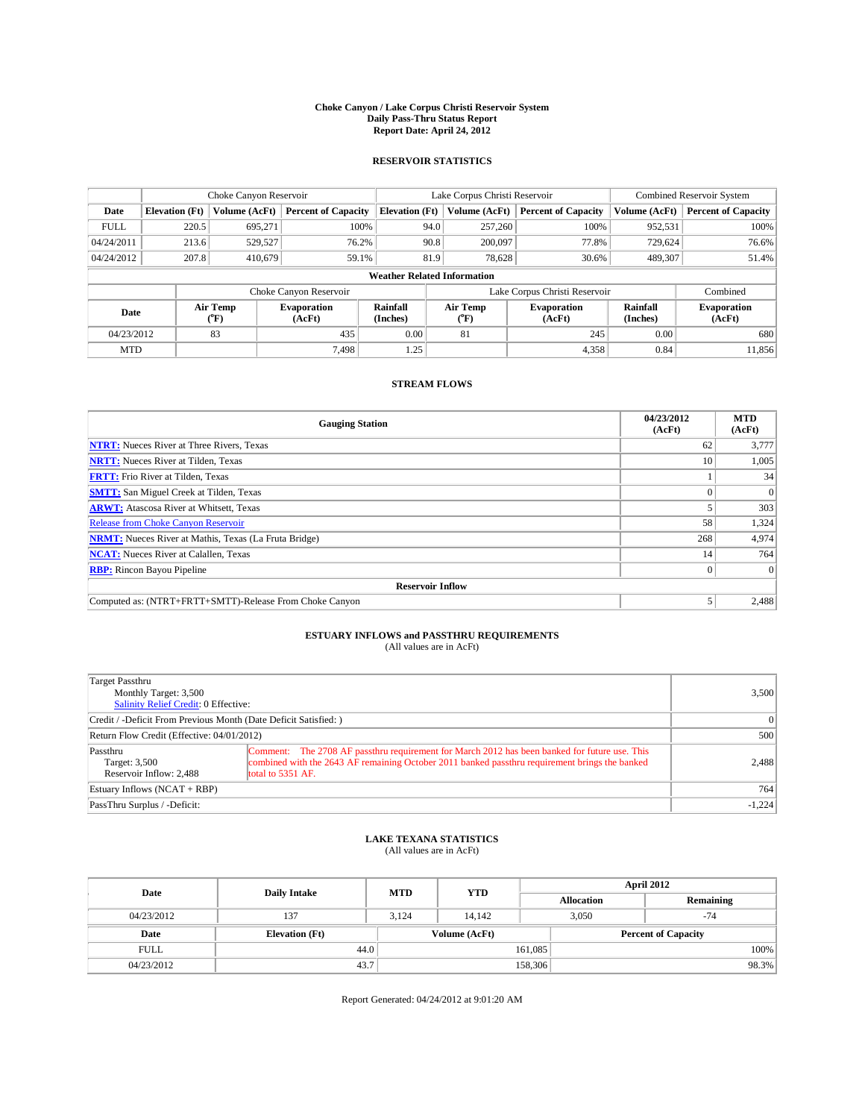### **Choke Canyon / Lake Corpus Christi Reservoir System Daily Pass-Thru Status Report Report Date: April 24, 2012**

### **RESERVOIR STATISTICS**

|             |                       | Choke Canyon Reservoir |                              |                                    | Lake Corpus Christi Reservoir | <b>Combined Reservoir System</b> |               |                              |
|-------------|-----------------------|------------------------|------------------------------|------------------------------------|-------------------------------|----------------------------------|---------------|------------------------------|
| Date        | <b>Elevation</b> (Ft) | Volume (AcFt)          | <b>Percent of Capacity</b>   | <b>Elevation (Ft)</b>              | Volume (AcFt)                 | <b>Percent of Capacity</b>       | Volume (AcFt) | <b>Percent of Capacity</b>   |
| <b>FULL</b> | 220.5                 | 695,271                | 100%                         | 94.0                               | 257,260                       | 100%                             | 952,531       | 100%                         |
| 04/24/2011  | 213.6                 | 529,527                | 76.2%                        | 90.8                               | 200,097                       | 77.8%                            | 729,624       | 76.6%                        |
| 04/24/2012  | 207.8                 | 410.679                | 59.1%                        | 81.9                               | 78.628                        | 30.6%                            | 489,307       | 51.4%                        |
|             |                       |                        |                              | <b>Weather Related Information</b> |                               |                                  |               |                              |
|             |                       |                        | Choke Canyon Reservoir       |                                    |                               | Lake Corpus Christi Reservoir    |               | Combined                     |
| Date        |                       | Air Temp<br>(°F)       | <b>Evaporation</b><br>(AcFt) | Rainfall<br>(Inches)               | Air Temp<br>(°F)              | <b>Evaporation</b><br>(AcFt)     |               | <b>Evaporation</b><br>(AcFt) |
| 04/23/2012  |                       | 83                     | 435                          | 0.00                               | 81                            | 245                              | 0.00          | 680                          |
| <b>MTD</b>  |                       |                        | 7.498                        | 1.25                               |                               | 4,358                            | 0.84          | 11,856                       |

## **STREAM FLOWS**

| <b>Gauging Station</b>                                       | 04/23/2012<br>(AcFt) | <b>MTD</b><br>(AcFt) |  |  |  |
|--------------------------------------------------------------|----------------------|----------------------|--|--|--|
| <b>NTRT:</b> Nueces River at Three Rivers, Texas             | 62                   | 3,777                |  |  |  |
| <b>NRTT:</b> Nueces River at Tilden, Texas                   | 10                   | 1,005                |  |  |  |
| <b>FRTT:</b> Frio River at Tilden, Texas                     |                      | 34                   |  |  |  |
| <b>SMTT:</b> San Miguel Creek at Tilden, Texas               |                      | $\Omega$             |  |  |  |
| <b>ARWT:</b> Atascosa River at Whitsett, Texas               |                      | 303                  |  |  |  |
| <b>Release from Choke Canyon Reservoir</b>                   | 58                   | 1,324                |  |  |  |
| <b>NRMT:</b> Nueces River at Mathis, Texas (La Fruta Bridge) | 268                  | 4,974                |  |  |  |
| <b>NCAT:</b> Nueces River at Calallen, Texas                 | 14                   | 764                  |  |  |  |
| <b>RBP:</b> Rincon Bayou Pipeline                            | $\Omega$             | $\Omega$             |  |  |  |
| <b>Reservoir Inflow</b>                                      |                      |                      |  |  |  |
| Computed as: (NTRT+FRTT+SMTT)-Release From Choke Canyon      |                      | 2,488                |  |  |  |

# **ESTUARY INFLOWS and PASSTHRU REQUIREMENTS**<br>(All values are in AcFt)

| Target Passthru<br>Monthly Target: 3,500<br>Salinity Relief Credit: 0 Effective: | 3,500                                                                                                                                                                                                                |          |
|----------------------------------------------------------------------------------|----------------------------------------------------------------------------------------------------------------------------------------------------------------------------------------------------------------------|----------|
| Credit / -Deficit From Previous Month (Date Deficit Satisfied: )                 | $\vert$ 0                                                                                                                                                                                                            |          |
| Return Flow Credit (Effective: 04/01/2012)                                       | 500                                                                                                                                                                                                                  |          |
| Passthru<br>Target: 3,500<br>Reservoir Inflow: 2.488                             | Comment: The 2708 AF passthru requirement for March 2012 has been banked for future use. This<br>combined with the 2643 AF remaining October 2011 banked passthru requirement brings the banked<br>total to 5351 AF. | 2,488    |
| Estuary Inflows (NCAT + RBP)                                                     | 764                                                                                                                                                                                                                  |          |
| PassThru Surplus / -Deficit:                                                     |                                                                                                                                                                                                                      | $-1,224$ |

# **LAKE TEXANA STATISTICS** (All values are in AcFt)

| Date        | <b>Daily Intake</b>   | <b>MTD</b> | <b>YTD</b>    | April 2012        |                            |           |  |
|-------------|-----------------------|------------|---------------|-------------------|----------------------------|-----------|--|
|             |                       |            |               | <b>Allocation</b> |                            | Remaining |  |
| 04/23/2012  | 137                   | 3,124      | 14.142        | 3,050             |                            | $-74$     |  |
| Date        | <b>Elevation</b> (Ft) |            | Volume (AcFt) |                   | <b>Percent of Capacity</b> |           |  |
| <b>FULL</b> | 44.0                  |            |               | 161,085           |                            | 100%      |  |
| 04/23/2012  | 43.7                  |            |               | 158,306           |                            | 98.3%     |  |

Report Generated: 04/24/2012 at 9:01:20 AM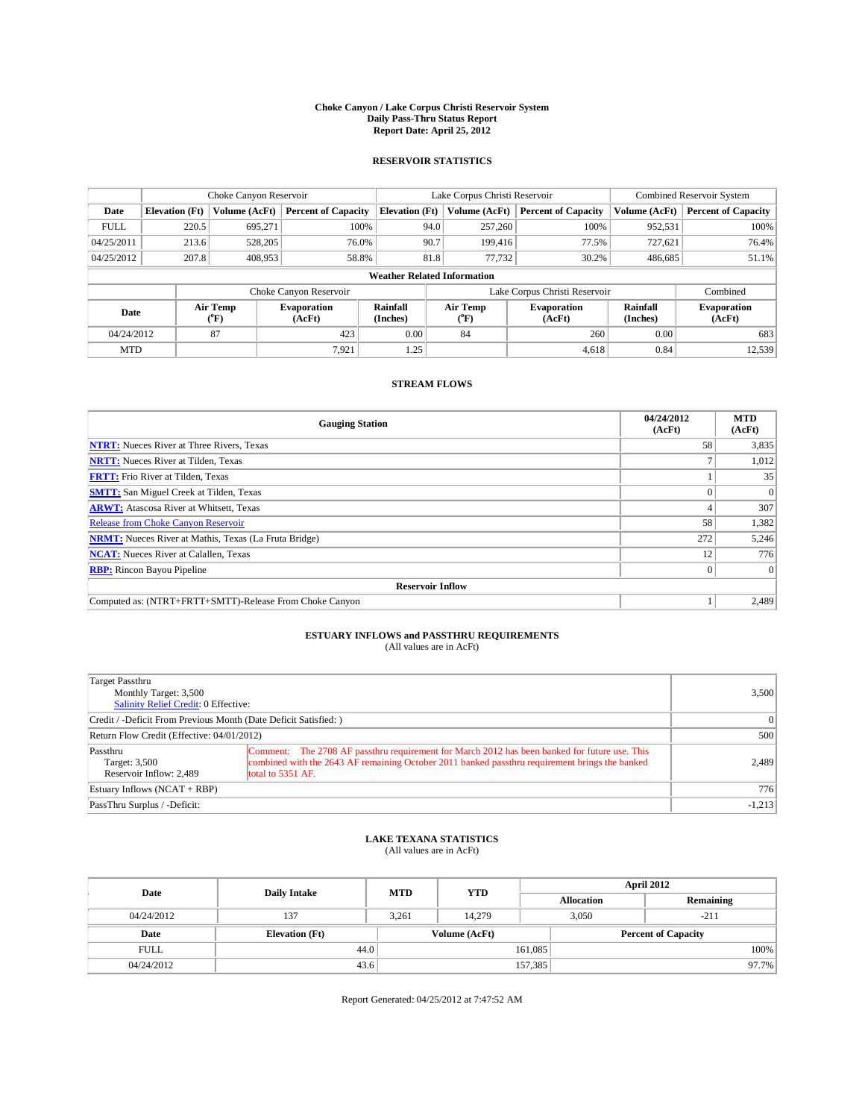### **Choke Canyon / Lake Corpus Christi Reservoir System Daily Pass-Thru Status Report Report Date: April 25, 2012**

### **RESERVOIR STATISTICS**

|             |                       | Choke Canyon Reservoir |                              |                                    | Lake Corpus Christi Reservoir | <b>Combined Reservoir System</b> |               |                              |
|-------------|-----------------------|------------------------|------------------------------|------------------------------------|-------------------------------|----------------------------------|---------------|------------------------------|
| Date        | <b>Elevation</b> (Ft) | Volume (AcFt)          | <b>Percent of Capacity</b>   | <b>Elevation (Ft)</b>              | Volume (AcFt)                 | <b>Percent of Capacity</b>       | Volume (AcFt) | <b>Percent of Capacity</b>   |
| <b>FULL</b> | 220.5                 | 695,271                | 100%                         | 94.0                               | 257,260                       | 100%                             | 952,531       | 100%                         |
| 04/25/2011  | 213.6                 | 528,205                | 76.0%                        | 90.7                               | 199,416                       | 77.5%                            | 727,621       | 76.4%                        |
| 04/25/2012  | 207.8                 | 408,953                | 58.8%                        | 81.8                               | 77.732                        | 30.2%                            | 486,685       | 51.1%                        |
|             |                       |                        |                              | <b>Weather Related Information</b> |                               |                                  |               |                              |
|             |                       |                        | Choke Canyon Reservoir       |                                    |                               | Lake Corpus Christi Reservoir    |               | Combined                     |
| Date        |                       | Air Temp<br>(°F)       | <b>Evaporation</b><br>(AcFt) | Rainfall<br>(Inches)               | Air Temp<br>(°F)              | <b>Evaporation</b><br>(AcFt)     |               | <b>Evaporation</b><br>(AcFt) |
| 04/24/2012  |                       | 87                     | 423                          | 0.00                               | 84                            | 260                              | 0.00          | 683                          |
| <b>MTD</b>  |                       |                        | 7.921                        | 1.25                               |                               | 4.618                            | 0.84          | 12,539                       |

## **STREAM FLOWS**

| <b>Gauging Station</b>                                       | 04/24/2012<br>(AcFt) | <b>MTD</b><br>(AcFt) |  |  |  |
|--------------------------------------------------------------|----------------------|----------------------|--|--|--|
| <b>NTRT:</b> Nueces River at Three Rivers, Texas             | 58                   | 3,835                |  |  |  |
| <b>NRTT:</b> Nueces River at Tilden, Texas                   |                      | 1,012                |  |  |  |
| <b>FRTT:</b> Frio River at Tilden, Texas                     |                      | 35                   |  |  |  |
| <b>SMTT:</b> San Miguel Creek at Tilden, Texas               |                      | $\Omega$             |  |  |  |
| <b>ARWT:</b> Atascosa River at Whitsett, Texas               |                      | 307                  |  |  |  |
| <b>Release from Choke Canyon Reservoir</b>                   | 58                   | 1,382                |  |  |  |
| <b>NRMT:</b> Nueces River at Mathis, Texas (La Fruta Bridge) | 272                  | 5,246                |  |  |  |
| <b>NCAT:</b> Nueces River at Calallen, Texas                 | 12                   | 776                  |  |  |  |
| <b>RBP:</b> Rincon Bayou Pipeline                            |                      | $\Omega$             |  |  |  |
| <b>Reservoir Inflow</b>                                      |                      |                      |  |  |  |
| Computed as: (NTRT+FRTT+SMTT)-Release From Choke Canyon      |                      | 2,489                |  |  |  |

# **ESTUARY INFLOWS and PASSTHRU REQUIREMENTS**<br>(All values are in AcFt)

| Target Passthru<br>Monthly Target: 3,500<br>Salinity Relief Credit: 0 Effective: |                                                                                                                                                                                                                      | 3,500    |
|----------------------------------------------------------------------------------|----------------------------------------------------------------------------------------------------------------------------------------------------------------------------------------------------------------------|----------|
| Credit / -Deficit From Previous Month (Date Deficit Satisfied: )                 | $\Omega$                                                                                                                                                                                                             |          |
| Return Flow Credit (Effective: 04/01/2012)                                       | 500                                                                                                                                                                                                                  |          |
| Passthru<br>Target: 3,500<br>Reservoir Inflow: 2.489                             | Comment: The 2708 AF passthru requirement for March 2012 has been banked for future use. This<br>combined with the 2643 AF remaining October 2011 banked passthru requirement brings the banked<br>total to 5351 AF. | 2,489    |
| Estuary Inflows (NCAT + RBP)                                                     | 776                                                                                                                                                                                                                  |          |
| PassThru Surplus / -Deficit:                                                     |                                                                                                                                                                                                                      | $-1,213$ |

# **LAKE TEXANA STATISTICS** (All values are in AcFt)

| Date        | <b>Daily Intake</b>   | <b>MTD</b>    | <b>YTD</b> | April 2012        |                            |           |  |
|-------------|-----------------------|---------------|------------|-------------------|----------------------------|-----------|--|
|             |                       |               |            | <b>Allocation</b> |                            | Remaining |  |
| 04/24/2012  | 137                   | 3,261         | 14.279     |                   | 3,050<br>$-211$            |           |  |
| Date        | <b>Elevation</b> (Ft) | Volume (AcFt) |            |                   | <b>Percent of Capacity</b> |           |  |
| <b>FULL</b> | 44.0                  |               |            | 161,085           |                            | 100%      |  |
| 04/24/2012  | 43.6                  |               |            | 157,385           |                            | 97.7%     |  |

Report Generated: 04/25/2012 at 7:47:52 AM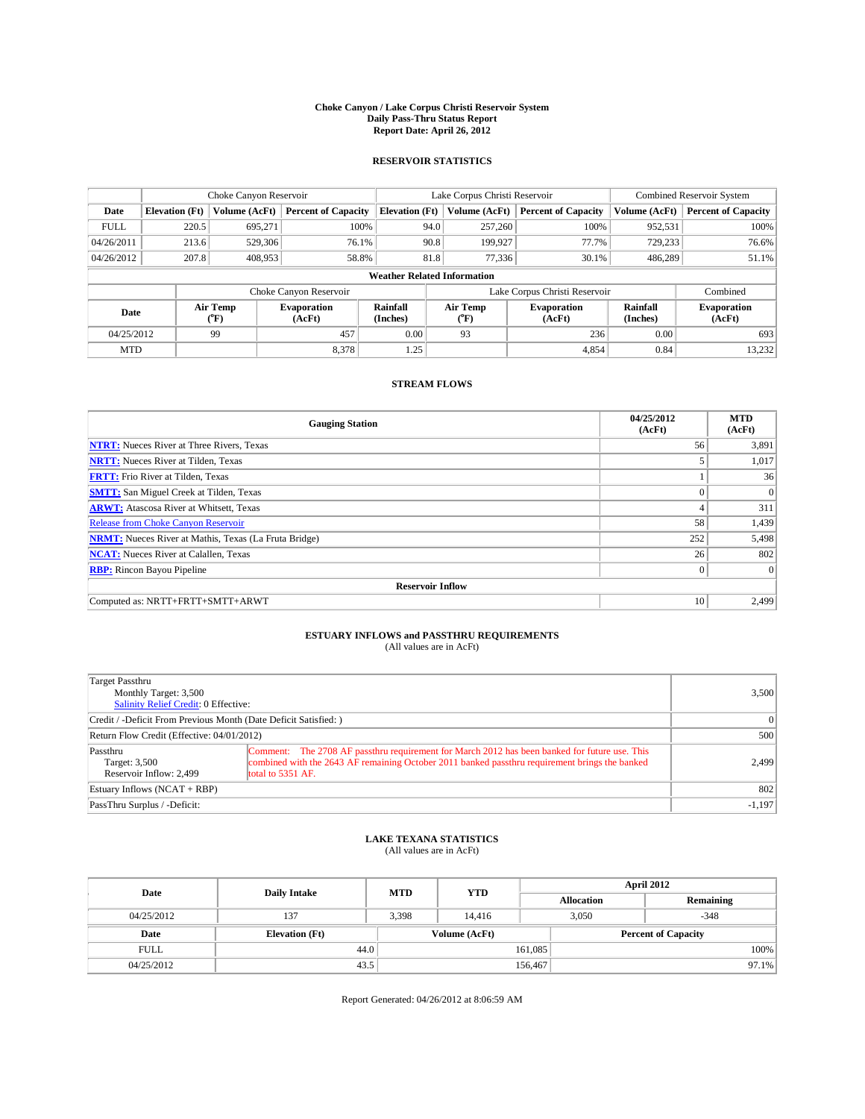### **Choke Canyon / Lake Corpus Christi Reservoir System Daily Pass-Thru Status Report Report Date: April 26, 2012**

### **RESERVOIR STATISTICS**

|             | Choke Canyon Reservoir |                  |                              |                                    | Lake Corpus Christi Reservoir | <b>Combined Reservoir System</b> |               |                              |
|-------------|------------------------|------------------|------------------------------|------------------------------------|-------------------------------|----------------------------------|---------------|------------------------------|
| Date        | <b>Elevation</b> (Ft)  | Volume (AcFt)    | <b>Percent of Capacity</b>   | <b>Elevation</b> (Ft)              | Volume (AcFt)                 | <b>Percent of Capacity</b>       | Volume (AcFt) | <b>Percent of Capacity</b>   |
| <b>FULL</b> | 220.5                  | 695,271          | 100%                         | 94.0                               | 257,260                       | 100%                             | 952,531       | 100%                         |
| 04/26/2011  | 213.6                  | 529,306          | 76.1%                        | 90.8                               | 199,927                       | 77.7%                            | 729,233       | 76.6%                        |
| 04/26/2012  | 207.8                  | 408,953          | 58.8%                        | 81.8                               | 77,336                        | 30.1%                            | 486,289       | 51.1%                        |
|             |                        |                  |                              | <b>Weather Related Information</b> |                               |                                  |               |                              |
|             |                        |                  | Choke Canyon Reservoir       |                                    |                               | Lake Corpus Christi Reservoir    |               | Combined                     |
| Date        |                        | Air Temp<br>(°F) | <b>Evaporation</b><br>(AcFt) | Rainfall<br>(Inches)               | Air Temp<br>("F)              | <b>Evaporation</b><br>(AcFt)     |               | <b>Evaporation</b><br>(AcFt) |
| 04/25/2012  |                        | 99               | 457                          | 0.00                               | 93                            | 236                              | 0.00          | 693                          |
| <b>MTD</b>  |                        |                  | 8,378                        | 1.25                               |                               | 4,854                            | 0.84          | 13,232                       |

## **STREAM FLOWS**

| <b>Gauging Station</b>                                       | 04/25/2012<br>(AcFt) | <b>MTD</b><br>(AcFt) |  |  |  |  |
|--------------------------------------------------------------|----------------------|----------------------|--|--|--|--|
| <b>NTRT:</b> Nueces River at Three Rivers, Texas             | 56                   | 3,891                |  |  |  |  |
| <b>NRTT:</b> Nueces River at Tilden, Texas                   |                      | 1,017                |  |  |  |  |
| <b>FRTT:</b> Frio River at Tilden, Texas                     |                      | 36                   |  |  |  |  |
| <b>SMTT:</b> San Miguel Creek at Tilden, Texas               |                      | $\overline{0}$       |  |  |  |  |
| <b>ARWT:</b> Atascosa River at Whitsett, Texas               | 4                    | 311                  |  |  |  |  |
| <b>Release from Choke Canyon Reservoir</b>                   | 58                   | 1,439                |  |  |  |  |
| <b>NRMT:</b> Nueces River at Mathis, Texas (La Fruta Bridge) | 252                  | 5,498                |  |  |  |  |
| <b>NCAT:</b> Nueces River at Calallen, Texas                 | 26                   | 802                  |  |  |  |  |
| <b>RBP:</b> Rincon Bayou Pipeline                            | $\mathbf{0}$         | $\Omega$             |  |  |  |  |
| <b>Reservoir Inflow</b>                                      |                      |                      |  |  |  |  |
| Computed as: NRTT+FRTT+SMTT+ARWT                             | 10                   | 2,499                |  |  |  |  |

# **ESTUARY INFLOWS and PASSTHRU REQUIREMENTS**<br>(All values are in AcFt)

| Target Passthru<br>Monthly Target: 3,500<br>Salinity Relief Credit: 0 Effective: | 3,500                                                                                                                                                                                                                |          |
|----------------------------------------------------------------------------------|----------------------------------------------------------------------------------------------------------------------------------------------------------------------------------------------------------------------|----------|
| Credit / -Deficit From Previous Month (Date Deficit Satisfied: )                 | $\Omega$                                                                                                                                                                                                             |          |
| Return Flow Credit (Effective: 04/01/2012)                                       | 500                                                                                                                                                                                                                  |          |
| Passthru<br>Target: 3,500<br>Reservoir Inflow: 2.499                             | Comment: The 2708 AF passthru requirement for March 2012 has been banked for future use. This<br>combined with the 2643 AF remaining October 2011 banked passthru requirement brings the banked<br>total to 5351 AF. | 2.499    |
| Estuary Inflows $(NCAT + RBP)$                                                   | 802                                                                                                                                                                                                                  |          |
| PassThru Surplus / -Deficit:                                                     |                                                                                                                                                                                                                      | $-1,197$ |

# **LAKE TEXANA STATISTICS** (All values are in AcFt)

| Date        | <b>Daily Intake</b>   | <b>MTD</b> | <b>YTD</b>    | <b>April 2012</b> |                 |                            |          |
|-------------|-----------------------|------------|---------------|-------------------|-----------------|----------------------------|----------|
|             |                       |            |               | <b>Allocation</b> |                 | Remaining                  |          |
| 04/25/2012  | 137                   | 3.398      | 14.416        |                   | $-348$<br>3.050 |                            |          |
| Date        | <b>Elevation</b> (Ft) |            | Volume (AcFt) |                   |                 | <b>Percent of Capacity</b> |          |
| <b>FULL</b> | 44.0                  |            |               | 161,085           |                 |                            | 100%     |
| 04/25/2012  | 43.5                  |            |               | 156,467           |                 |                            | $97.1\%$ |

Report Generated: 04/26/2012 at 8:06:59 AM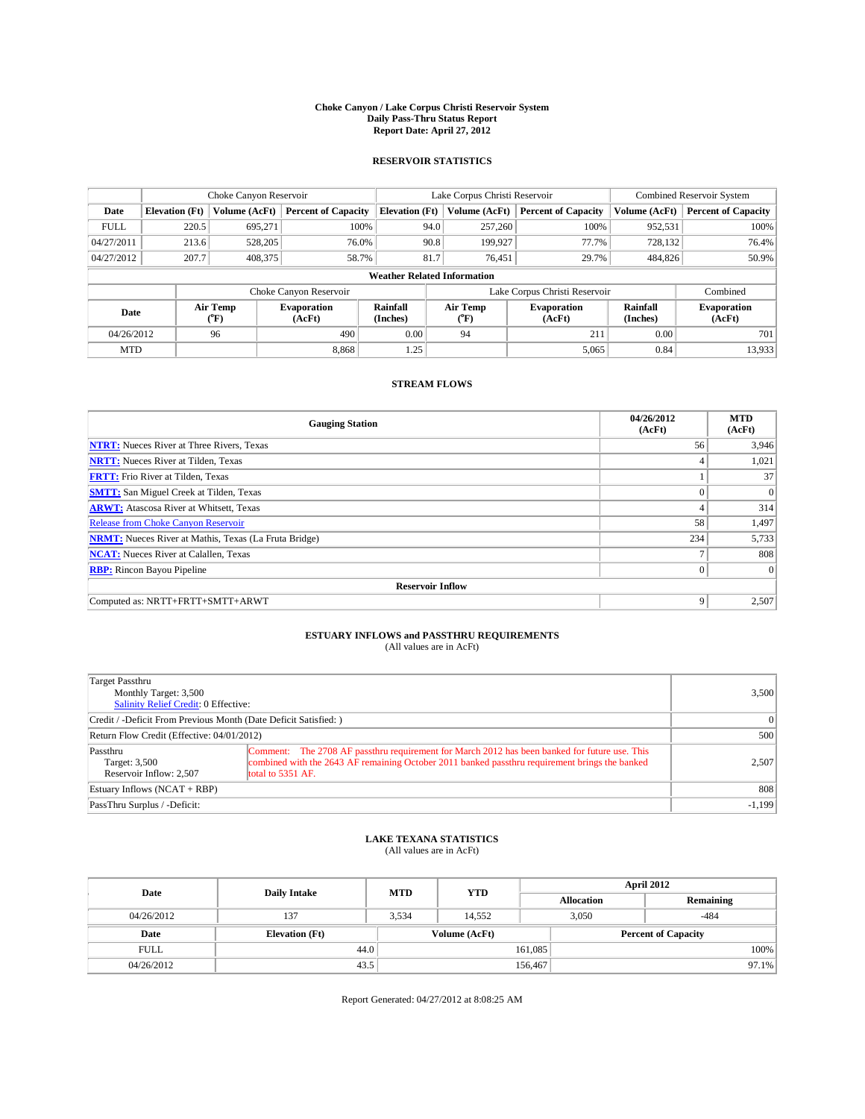### **Choke Canyon / Lake Corpus Christi Reservoir System Daily Pass-Thru Status Report Report Date: April 27, 2012**

### **RESERVOIR STATISTICS**

|             | Choke Canyon Reservoir |                  |                              |                       | Lake Corpus Christi Reservoir      | Combined Reservoir System     |                      |                              |
|-------------|------------------------|------------------|------------------------------|-----------------------|------------------------------------|-------------------------------|----------------------|------------------------------|
| Date        | <b>Elevation</b> (Ft)  | Volume (AcFt)    | <b>Percent of Capacity</b>   | <b>Elevation</b> (Ft) | Volume (AcFt)                      | <b>Percent of Capacity</b>    | Volume (AcFt)        | <b>Percent of Capacity</b>   |
| <b>FULL</b> | 220.5                  | 695,271          | 100%                         |                       | 257,260<br>94.0                    | 100%                          | 952,531              | 100%                         |
| 04/27/2011  | 213.6                  | 528,205          | 76.0%                        |                       | 90.8<br>199,927                    | 77.7%                         | 728,132              | 76.4%                        |
| 04/27/2012  | 207.7                  | 408,375          | 58.7%                        |                       | 81.7<br>76.451                     | 29.7%                         | 484,826              | 50.9%                        |
|             |                        |                  |                              |                       | <b>Weather Related Information</b> |                               |                      |                              |
|             |                        |                  | Choke Canyon Reservoir       |                       |                                    | Lake Corpus Christi Reservoir |                      | Combined                     |
| Date        |                        | Air Temp<br>(°F) | <b>Evaporation</b><br>(AcFt) | Rainfall<br>(Inches)  | Air Temp<br>("F)                   | <b>Evaporation</b><br>(AcFt)  | Rainfall<br>(Inches) | <b>Evaporation</b><br>(AcFt) |
| 04/26/2012  |                        | 96               | 490                          | 0.00                  | 94                                 | 211                           | 0.00                 | 701                          |
| <b>MTD</b>  |                        |                  | 8.868                        | 1.25                  |                                    | 5,065                         | 0.84                 | 13,933                       |

## **STREAM FLOWS**

| <b>Gauging Station</b>                                       | 04/26/2012<br>(AcFt) | <b>MTD</b><br>(AcFt) |  |  |  |  |
|--------------------------------------------------------------|----------------------|----------------------|--|--|--|--|
| <b>NTRT:</b> Nueces River at Three Rivers, Texas             | 56                   | 3,946                |  |  |  |  |
| <b>NRTT:</b> Nueces River at Tilden, Texas                   | 4                    | 1,021                |  |  |  |  |
| <b>FRTT:</b> Frio River at Tilden, Texas                     |                      | 37                   |  |  |  |  |
| <b>SMTT:</b> San Miguel Creek at Tilden, Texas               | $\theta$             | $\overline{0}$       |  |  |  |  |
| <b>ARWT:</b> Atascosa River at Whitsett, Texas               | 4                    | 314                  |  |  |  |  |
| <b>Release from Choke Canyon Reservoir</b>                   | 58                   | 1,497                |  |  |  |  |
| <b>NRMT:</b> Nueces River at Mathis, Texas (La Fruta Bridge) | 234                  | 5,733                |  |  |  |  |
| <b>NCAT:</b> Nueces River at Calallen, Texas                 |                      | 808                  |  |  |  |  |
| <b>RBP:</b> Rincon Bayou Pipeline                            | $\Omega$             | $\Omega$             |  |  |  |  |
| <b>Reservoir Inflow</b>                                      |                      |                      |  |  |  |  |
| Computed as: NRTT+FRTT+SMTT+ARWT                             | 9                    | 2,507                |  |  |  |  |

# **ESTUARY INFLOWS and PASSTHRU REQUIREMENTS**<br>(All values are in AcFt)

| Target Passthru<br>Monthly Target: 3,500<br>Salinity Relief Credit: 0 Effective: | 3,500                                                                                                                                                                                                                |          |
|----------------------------------------------------------------------------------|----------------------------------------------------------------------------------------------------------------------------------------------------------------------------------------------------------------------|----------|
| Credit / -Deficit From Previous Month (Date Deficit Satisfied: )                 | $\Omega$                                                                                                                                                                                                             |          |
| Return Flow Credit (Effective: 04/01/2012)                                       | 500                                                                                                                                                                                                                  |          |
| Passthru<br>Target: 3,500<br>Reservoir Inflow: 2.507                             | Comment: The 2708 AF passthru requirement for March 2012 has been banked for future use. This<br>combined with the 2643 AF remaining October 2011 banked passthru requirement brings the banked<br>total to 5351 AF. | 2.507    |
| Estuary Inflows (NCAT + RBP)                                                     | 808                                                                                                                                                                                                                  |          |
| PassThru Surplus / -Deficit:                                                     |                                                                                                                                                                                                                      | $-1,199$ |

# **LAKE TEXANA STATISTICS** (All values are in AcFt)

| Date        | <b>Daily Intake</b>   | <b>MTD</b> | <b>YTD</b>    | <b>April 2012</b> |                 |                            |  |
|-------------|-----------------------|------------|---------------|-------------------|-----------------|----------------------------|--|
|             |                       |            |               | <b>Allocation</b> |                 | Remaining                  |  |
| 04/26/2012  | 137                   | 3.534      | 14.552        |                   | $-484$<br>3.050 |                            |  |
| Date        | <b>Elevation</b> (Ft) |            | Volume (AcFt) |                   |                 | <b>Percent of Capacity</b> |  |
| <b>FULL</b> | 44.0                  |            |               | 161,085           |                 | 100%                       |  |
| 04/26/2012  | 43.5                  |            |               | 156,467           |                 | $97.1\%$                   |  |

Report Generated: 04/27/2012 at 8:08:25 AM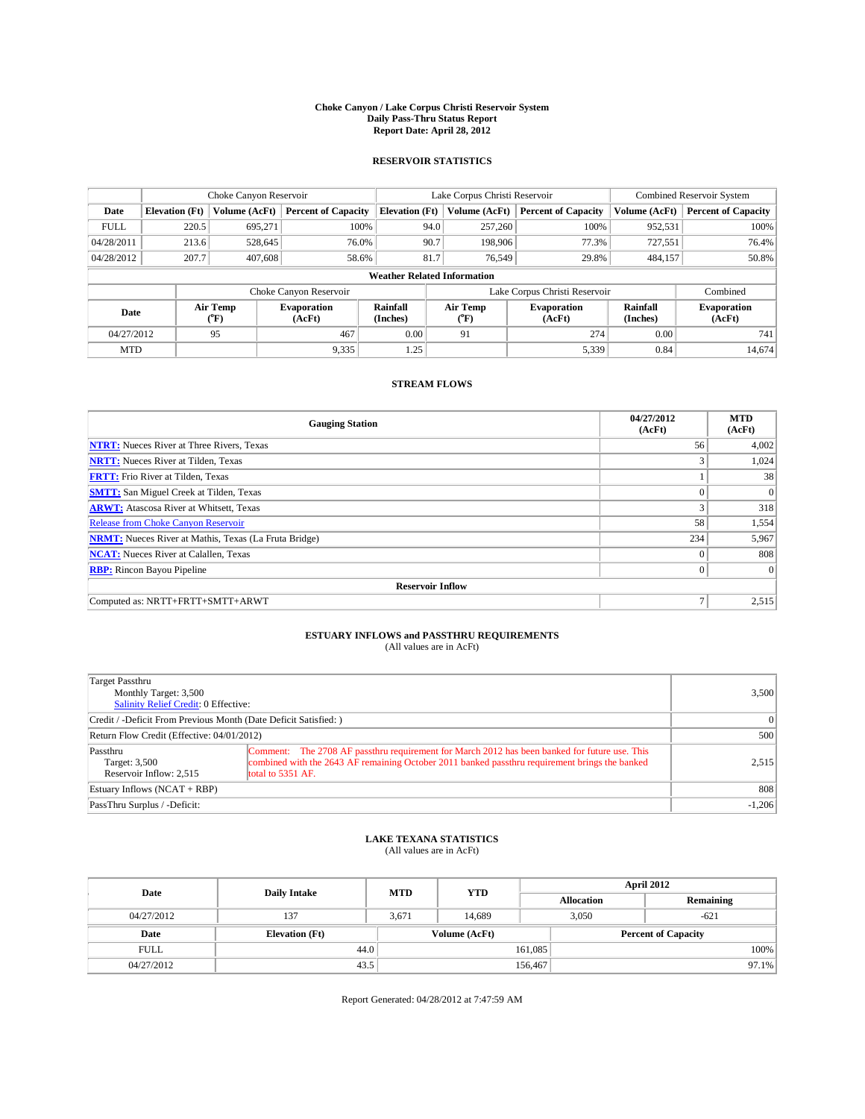### **Choke Canyon / Lake Corpus Christi Reservoir System Daily Pass-Thru Status Report Report Date: April 28, 2012**

### **RESERVOIR STATISTICS**

|             |                                    | Choke Canyon Reservoir |                              |                       | Lake Corpus Christi Reservoir | <b>Combined Reservoir System</b> |                      |                              |  |  |
|-------------|------------------------------------|------------------------|------------------------------|-----------------------|-------------------------------|----------------------------------|----------------------|------------------------------|--|--|
| Date        | <b>Elevation</b> (Ft)              | Volume (AcFt)          | <b>Percent of Capacity</b>   | <b>Elevation</b> (Ft) | Volume (AcFt)                 | <b>Percent of Capacity</b>       | Volume (AcFt)        | <b>Percent of Capacity</b>   |  |  |
| <b>FULL</b> | 220.5                              | 695,271                | 100%                         | 94.0                  | 257,260                       | 100%                             | 952,531              | 100%                         |  |  |
| 04/28/2011  | 213.6                              | 528,645                | 76.0%                        | 90.7                  | 198,906                       | 77.3%                            | 727,551              | 76.4%                        |  |  |
| 04/28/2012  | 207.7                              | 407,608                | 58.6%                        | 81.7                  | 76.549                        | 29.8%                            | 484,157              | 50.8%                        |  |  |
|             | <b>Weather Related Information</b> |                        |                              |                       |                               |                                  |                      |                              |  |  |
|             |                                    |                        | Choke Canyon Reservoir       |                       | Lake Corpus Christi Reservoir |                                  | Combined             |                              |  |  |
| Date        |                                    | Air Temp<br>(°F)       | <b>Evaporation</b><br>(AcFt) | Rainfall<br>(Inches)  | Air Temp<br>("F)              | <b>Evaporation</b><br>(AcFt)     | Rainfall<br>(Inches) | <b>Evaporation</b><br>(AcFt) |  |  |
| 04/27/2012  |                                    | 95                     | 467                          | 0.00                  | 91                            | 274                              | 0.00                 | 741                          |  |  |
| <b>MTD</b>  |                                    |                        | 9,335                        | 1.25                  |                               | 5,339                            | 0.84                 | 14.674                       |  |  |

## **STREAM FLOWS**

| <b>Gauging Station</b>                                       | 04/27/2012<br>(AcFt) | <b>MTD</b><br>(AcFt) |  |  |  |  |  |  |
|--------------------------------------------------------------|----------------------|----------------------|--|--|--|--|--|--|
| <b>NTRT:</b> Nueces River at Three Rivers, Texas             | 56                   | 4,002                |  |  |  |  |  |  |
| <b>NRTT:</b> Nueces River at Tilden, Texas                   | 3                    | 1,024                |  |  |  |  |  |  |
| <b>FRTT:</b> Frio River at Tilden, Texas                     |                      | 38                   |  |  |  |  |  |  |
| <b>SMTT:</b> San Miguel Creek at Tilden, Texas               | $\theta$             | $\overline{0}$       |  |  |  |  |  |  |
| <b>ARWT:</b> Atascosa River at Whitsett, Texas               | 3                    | 318                  |  |  |  |  |  |  |
| <b>Release from Choke Canyon Reservoir</b>                   | 58                   | 1,554                |  |  |  |  |  |  |
| <b>NRMT:</b> Nueces River at Mathis, Texas (La Fruta Bridge) | 234                  | 5,967                |  |  |  |  |  |  |
| <b>NCAT:</b> Nueces River at Calallen, Texas                 | $\theta$             | 808                  |  |  |  |  |  |  |
| <b>RBP:</b> Rincon Bayou Pipeline                            | $\Omega$             | $\Omega$             |  |  |  |  |  |  |
| <b>Reservoir Inflow</b>                                      |                      |                      |  |  |  |  |  |  |
| Computed as: NRTT+FRTT+SMTT+ARWT                             | Ξ                    | 2,515                |  |  |  |  |  |  |

# **ESTUARY INFLOWS and PASSTHRU REQUIREMENTS**<br>(All values are in AcFt)

| Target Passthru<br>Monthly Target: 3,500<br>Salinity Relief Credit: 0 Effective: |                                                                                                                                                                                                                      |          |  |  |  |
|----------------------------------------------------------------------------------|----------------------------------------------------------------------------------------------------------------------------------------------------------------------------------------------------------------------|----------|--|--|--|
| Credit / -Deficit From Previous Month (Date Deficit Satisfied: )                 |                                                                                                                                                                                                                      |          |  |  |  |
| Return Flow Credit (Effective: 04/01/2012)                                       |                                                                                                                                                                                                                      |          |  |  |  |
| Passthru<br>Target: 3,500<br>Reservoir Inflow: 2.515                             | Comment: The 2708 AF passthru requirement for March 2012 has been banked for future use. This<br>combined with the 2643 AF remaining October 2011 banked passthru requirement brings the banked<br>total to 5351 AF. | 2,515    |  |  |  |
| Estuary Inflows (NCAT + RBP)                                                     |                                                                                                                                                                                                                      | 808      |  |  |  |
| PassThru Surplus / -Deficit:                                                     |                                                                                                                                                                                                                      | $-1,206$ |  |  |  |

# **LAKE TEXANA STATISTICS** (All values are in AcFt)

| Date        | <b>Daily Intake</b>   | <b>MTD</b> | <b>YTD</b>    | April 2012        |                            |           |  |
|-------------|-----------------------|------------|---------------|-------------------|----------------------------|-----------|--|
|             |                       |            |               | <b>Allocation</b> |                            | Remaining |  |
| 04/27/2012  | 137                   | 3,671      | 14.689        | 3.050             |                            | $-621$    |  |
| Date        | <b>Elevation</b> (Ft) |            | Volume (AcFt) |                   | <b>Percent of Capacity</b> |           |  |
| <b>FULL</b> | 44.0                  |            |               | 161,085           |                            | 100%      |  |
| 04/27/2012  | 43.5                  |            |               | 156,467           |                            | 97.1%     |  |

Report Generated: 04/28/2012 at 7:47:59 AM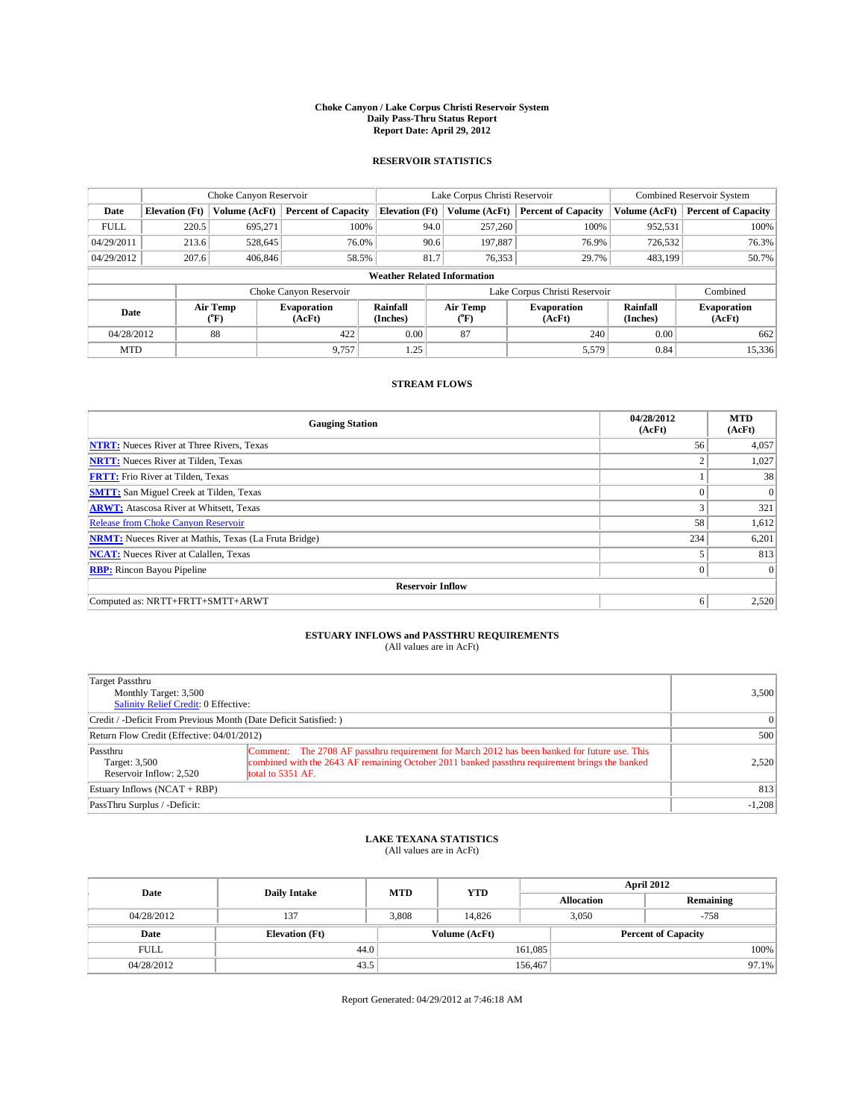### **Choke Canyon / Lake Corpus Christi Reservoir System Daily Pass-Thru Status Report Report Date: April 29, 2012**

### **RESERVOIR STATISTICS**

|             |                                    | Choke Canyon Reservoir |                              |                       | Lake Corpus Christi Reservoir | <b>Combined Reservoir System</b> |                      |                              |  |  |
|-------------|------------------------------------|------------------------|------------------------------|-----------------------|-------------------------------|----------------------------------|----------------------|------------------------------|--|--|
| Date        | <b>Elevation</b> (Ft)              | Volume (AcFt)          | <b>Percent of Capacity</b>   | <b>Elevation (Ft)</b> | Volume (AcFt)                 | <b>Percent of Capacity</b>       | Volume (AcFt)        | <b>Percent of Capacity</b>   |  |  |
| <b>FULL</b> | 220.5                              | 695,271                | 100%                         | 94.0                  | 257,260                       | 100%                             | 952,531              | 100%                         |  |  |
| 04/29/2011  | 213.6                              | 528,645                | 76.0%                        | 90.6                  | 197,887                       | 76.9%                            | 726,532              | 76.3%                        |  |  |
| 04/29/2012  | 207.6                              | 406,846                | 58.5%                        | 81.7                  | 76,353                        | 29.7%                            | 483,199              | 50.7%                        |  |  |
|             | <b>Weather Related Information</b> |                        |                              |                       |                               |                                  |                      |                              |  |  |
|             |                                    |                        | Choke Canyon Reservoir       |                       | Lake Corpus Christi Reservoir |                                  | Combined             |                              |  |  |
| Date        |                                    | Air Temp<br>(°F)       | <b>Evaporation</b><br>(AcFt) | Rainfall<br>(Inches)  | Air Temp<br>(°F)              | <b>Evaporation</b><br>(AcFt)     | Rainfall<br>(Inches) | <b>Evaporation</b><br>(AcFt) |  |  |
| 04/28/2012  |                                    | 88                     | 422                          | 0.00                  | 87                            | 240                              | 0.00                 | 662                          |  |  |
| <b>MTD</b>  |                                    |                        | 9.757                        | 1.25                  |                               | 5,579                            | 0.84                 | 15,336                       |  |  |

## **STREAM FLOWS**

| <b>Gauging Station</b>                                       | 04/28/2012<br>(AcFt) | <b>MTD</b><br>(AcFt) |  |  |  |  |  |  |
|--------------------------------------------------------------|----------------------|----------------------|--|--|--|--|--|--|
| <b>NTRT:</b> Nueces River at Three Rivers, Texas             | 56                   | 4,057                |  |  |  |  |  |  |
| <b>NRTT:</b> Nueces River at Tilden, Texas                   | $\overline{c}$       | 1,027                |  |  |  |  |  |  |
| <b>FRTT:</b> Frio River at Tilden, Texas                     |                      | 38                   |  |  |  |  |  |  |
| <b>SMTT:</b> San Miguel Creek at Tilden, Texas               |                      | $\Omega$             |  |  |  |  |  |  |
| <b>ARWT:</b> Atascosa River at Whitsett, Texas               | 3                    | 321                  |  |  |  |  |  |  |
| <b>Release from Choke Canyon Reservoir</b>                   | 58                   | 1,612                |  |  |  |  |  |  |
| <b>NRMT:</b> Nueces River at Mathis, Texas (La Fruta Bridge) | 234                  | 6,201                |  |  |  |  |  |  |
| <b>NCAT:</b> Nueces River at Calallen, Texas                 |                      | 813                  |  |  |  |  |  |  |
| <b>RBP:</b> Rincon Bayou Pipeline                            | $\Omega$             | $\Omega$             |  |  |  |  |  |  |
| <b>Reservoir Inflow</b>                                      |                      |                      |  |  |  |  |  |  |
| Computed as: NRTT+FRTT+SMTT+ARWT                             | 6                    | 2,520                |  |  |  |  |  |  |

# **ESTUARY INFLOWS and PASSTHRU REQUIREMENTS**<br>(All values are in AcFt)

| Target Passthru<br>Monthly Target: 3,500<br>Salinity Relief Credit: 0 Effective: |                                                                                                                                                                                                                      |          |  |  |  |
|----------------------------------------------------------------------------------|----------------------------------------------------------------------------------------------------------------------------------------------------------------------------------------------------------------------|----------|--|--|--|
| Credit / -Deficit From Previous Month (Date Deficit Satisfied: )                 |                                                                                                                                                                                                                      |          |  |  |  |
| Return Flow Credit (Effective: 04/01/2012)                                       |                                                                                                                                                                                                                      |          |  |  |  |
| Passthru<br>Target: 3,500<br>Reservoir Inflow: 2.520                             | Comment: The 2708 AF passthru requirement for March 2012 has been banked for future use. This<br>combined with the 2643 AF remaining October 2011 banked passthru requirement brings the banked<br>total to 5351 AF. | 2,520    |  |  |  |
| Estuary Inflows (NCAT + RBP)                                                     |                                                                                                                                                                                                                      | 813      |  |  |  |
| PassThru Surplus / -Deficit:                                                     |                                                                                                                                                                                                                      | $-1,208$ |  |  |  |

# **LAKE TEXANA STATISTICS** (All values are in AcFt)

| Date        | <b>Daily Intake</b>   | <b>MTD</b> | <b>YTD</b>    | <b>April 2012</b> |       |                            |          |
|-------------|-----------------------|------------|---------------|-------------------|-------|----------------------------|----------|
|             |                       |            |               | <b>Allocation</b> |       | Remaining                  |          |
| 04/28/2012  | 137                   | 3.808      | 14.826        |                   | 3.050 | $-758$                     |          |
| Date        | <b>Elevation</b> (Ft) |            | Volume (AcFt) |                   |       | <b>Percent of Capacity</b> |          |
| <b>FULL</b> | 44.0                  |            |               | 161,085           |       |                            | 100%     |
| 04/28/2012  | 43.5                  |            |               | 156,467           |       |                            | $97.1\%$ |

Report Generated: 04/29/2012 at 7:46:18 AM